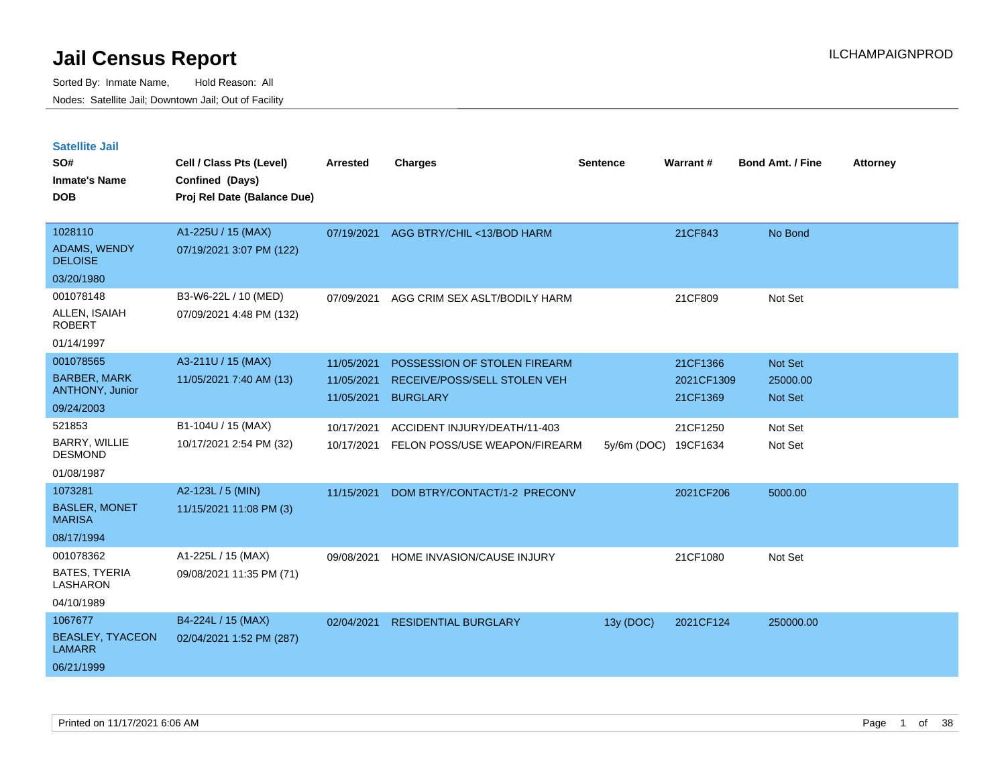| <b>Satellite Jail</b>                 |                             |                 |                               |                 |                 |                         |                 |
|---------------------------------------|-----------------------------|-----------------|-------------------------------|-----------------|-----------------|-------------------------|-----------------|
| SO#                                   | Cell / Class Pts (Level)    | <b>Arrested</b> | <b>Charges</b>                | <b>Sentence</b> | <b>Warrant#</b> | <b>Bond Amt. / Fine</b> | <b>Attorney</b> |
| <b>Inmate's Name</b>                  | Confined (Days)             |                 |                               |                 |                 |                         |                 |
| <b>DOB</b>                            | Proj Rel Date (Balance Due) |                 |                               |                 |                 |                         |                 |
| 1028110                               | A1-225U / 15 (MAX)          | 07/19/2021      | AGG BTRY/CHIL <13/BOD HARM    |                 | 21CF843         | No Bond                 |                 |
| <b>ADAMS, WENDY</b><br><b>DELOISE</b> | 07/19/2021 3:07 PM (122)    |                 |                               |                 |                 |                         |                 |
| 03/20/1980                            |                             |                 |                               |                 |                 |                         |                 |
| 001078148                             | B3-W6-22L / 10 (MED)        | 07/09/2021      | AGG CRIM SEX ASLT/BODILY HARM |                 | 21CF809         | Not Set                 |                 |
| ALLEN, ISAIAH<br><b>ROBERT</b>        | 07/09/2021 4:48 PM (132)    |                 |                               |                 |                 |                         |                 |
| 01/14/1997                            |                             |                 |                               |                 |                 |                         |                 |
| 001078565                             | A3-211U / 15 (MAX)          | 11/05/2021      | POSSESSION OF STOLEN FIREARM  |                 | 21CF1366        | <b>Not Set</b>          |                 |
| <b>BARBER, MARK</b>                   | 11/05/2021 7:40 AM (13)     | 11/05/2021      | RECEIVE/POSS/SELL STOLEN VEH  |                 | 2021CF1309      | 25000.00                |                 |
| <b>ANTHONY, Junior</b>                |                             | 11/05/2021      | <b>BURGLARY</b>               |                 | 21CF1369        | <b>Not Set</b>          |                 |
| 09/24/2003<br>521853                  |                             |                 |                               |                 |                 |                         |                 |
| <b>BARRY, WILLIE</b>                  | B1-104U / 15 (MAX)          | 10/17/2021      | ACCIDENT INJURY/DEATH/11-403  |                 | 21CF1250        | Not Set                 |                 |
| DESMOND                               | 10/17/2021 2:54 PM (32)     | 10/17/2021      | FELON POSS/USE WEAPON/FIREARM | 5y/6m (DOC)     | 19CF1634        | Not Set                 |                 |
| 01/08/1987                            |                             |                 |                               |                 |                 |                         |                 |
| 1073281                               | A2-123L / 5 (MIN)           | 11/15/2021      | DOM BTRY/CONTACT/1-2 PRECONV  |                 | 2021CF206       | 5000.00                 |                 |
| <b>BASLER, MONET</b><br><b>MARISA</b> | 11/15/2021 11:08 PM (3)     |                 |                               |                 |                 |                         |                 |
| 08/17/1994                            |                             |                 |                               |                 |                 |                         |                 |
| 001078362                             | A1-225L / 15 (MAX)          | 09/08/2021      | HOME INVASION/CAUSE INJURY    |                 | 21CF1080        | Not Set                 |                 |
| BATES, TYERIA<br>LASHARON             | 09/08/2021 11:35 PM (71)    |                 |                               |                 |                 |                         |                 |
| 04/10/1989                            |                             |                 |                               |                 |                 |                         |                 |
| 1067677                               | B4-224L / 15 (MAX)          | 02/04/2021      | <b>RESIDENTIAL BURGLARY</b>   | 13y (DOC)       | 2021CF124       | 250000.00               |                 |
| <b>BEASLEY, TYACEON</b><br>LAMARR     | 02/04/2021 1:52 PM (287)    |                 |                               |                 |                 |                         |                 |
| 06/21/1999                            |                             |                 |                               |                 |                 |                         |                 |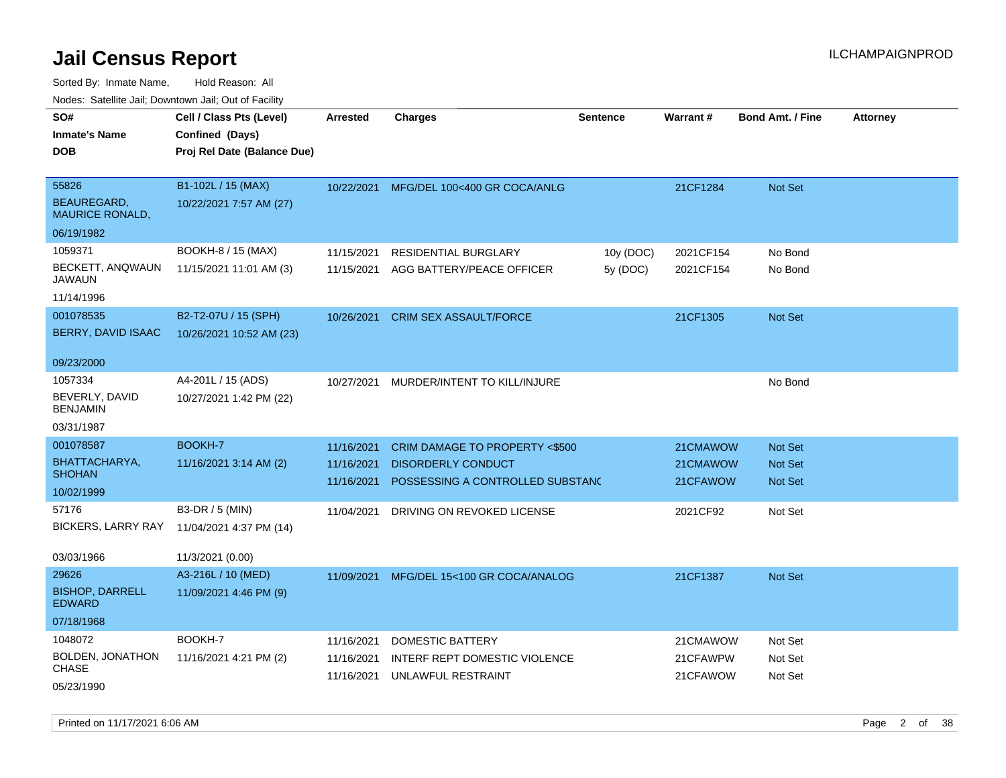Sorted By: Inmate Name, Hold Reason: All Nodes: Satellite Jail; Downtown Jail; Out of Facility

| rougs. Calcing Jan, Downtown Jan, Out of Facility |                                                                            |            |                                         |                 |           |                         |                 |
|---------------------------------------------------|----------------------------------------------------------------------------|------------|-----------------------------------------|-----------------|-----------|-------------------------|-----------------|
| SO#<br><b>Inmate's Name</b><br><b>DOB</b>         | Cell / Class Pts (Level)<br>Confined (Days)<br>Proj Rel Date (Balance Due) | Arrested   | <b>Charges</b>                          | <b>Sentence</b> | Warrant#  | <b>Bond Amt. / Fine</b> | <b>Attorney</b> |
| 55826                                             | B1-102L / 15 (MAX)                                                         |            | 10/22/2021 MFG/DEL 100<400 GR COCA/ANLG |                 | 21CF1284  | Not Set                 |                 |
| BEAUREGARD,<br><b>MAURICE RONALD,</b>             | 10/22/2021 7:57 AM (27)                                                    |            |                                         |                 |           |                         |                 |
| 06/19/1982                                        |                                                                            |            |                                         |                 |           |                         |                 |
| 1059371                                           | BOOKH-8 / 15 (MAX)                                                         | 11/15/2021 | <b>RESIDENTIAL BURGLARY</b>             | 10y (DOC)       | 2021CF154 | No Bond                 |                 |
| BECKETT, ANQWAUN<br>JAWAUN                        | 11/15/2021 11:01 AM (3)                                                    | 11/15/2021 | AGG BATTERY/PEACE OFFICER               | 5y (DOC)        | 2021CF154 | No Bond                 |                 |
| 11/14/1996                                        |                                                                            |            |                                         |                 |           |                         |                 |
| 001078535                                         | B2-T2-07U / 15 (SPH)                                                       | 10/26/2021 | <b>CRIM SEX ASSAULT/FORCE</b>           |                 | 21CF1305  | Not Set                 |                 |
| BERRY, DAVID ISAAC                                | 10/26/2021 10:52 AM (23)                                                   |            |                                         |                 |           |                         |                 |
| 09/23/2000                                        |                                                                            |            |                                         |                 |           |                         |                 |
| 1057334<br>BEVERLY, DAVID<br><b>BENJAMIN</b>      | A4-201L / 15 (ADS)<br>10/27/2021 1:42 PM (22)                              | 10/27/2021 | MURDER/INTENT TO KILL/INJURE            |                 |           | No Bond                 |                 |
| 03/31/1987                                        |                                                                            |            |                                         |                 |           |                         |                 |
| 001078587                                         | BOOKH-7                                                                    | 11/16/2021 | CRIM DAMAGE TO PROPERTY <\$500          |                 | 21CMAWOW  | <b>Not Set</b>          |                 |
| BHATTACHARYA,                                     | 11/16/2021 3:14 AM (2)                                                     | 11/16/2021 | <b>DISORDERLY CONDUCT</b>               |                 | 21CMAWOW  | <b>Not Set</b>          |                 |
| <b>SHOHAN</b><br>10/02/1999                       |                                                                            | 11/16/2021 | POSSESSING A CONTROLLED SUBSTANC        |                 | 21CFAWOW  | <b>Not Set</b>          |                 |
| 57176                                             | B3-DR / 5 (MIN)                                                            | 11/04/2021 | DRIVING ON REVOKED LICENSE              |                 | 2021CF92  | Not Set                 |                 |
| BICKERS, LARRY RAY                                | 11/04/2021 4:37 PM (14)                                                    |            |                                         |                 |           |                         |                 |
|                                                   |                                                                            |            |                                         |                 |           |                         |                 |
| 03/03/1966                                        | 11/3/2021 (0.00)                                                           |            |                                         |                 |           |                         |                 |
| 29626                                             | A3-216L / 10 (MED)                                                         | 11/09/2021 | MFG/DEL 15<100 GR COCA/ANALOG           |                 | 21CF1387  | Not Set                 |                 |
| <b>BISHOP, DARRELL</b><br><b>EDWARD</b>           | 11/09/2021 4:46 PM (9)                                                     |            |                                         |                 |           |                         |                 |
| 07/18/1968                                        |                                                                            |            |                                         |                 |           |                         |                 |
| 1048072                                           | BOOKH-7                                                                    | 11/16/2021 | DOMESTIC BATTERY                        |                 | 21CMAWOW  | Not Set                 |                 |
| BOLDEN, JONATHON<br>CHASE                         | 11/16/2021 4:21 PM (2)                                                     | 11/16/2021 | INTERF REPT DOMESTIC VIOLENCE           |                 | 21CFAWPW  | Not Set                 |                 |
| 05/23/1990                                        |                                                                            | 11/16/2021 | UNLAWFUL RESTRAINT                      |                 | 21CFAWOW  | Not Set                 |                 |

Printed on 11/17/2021 6:06 AM **Page 2** of 38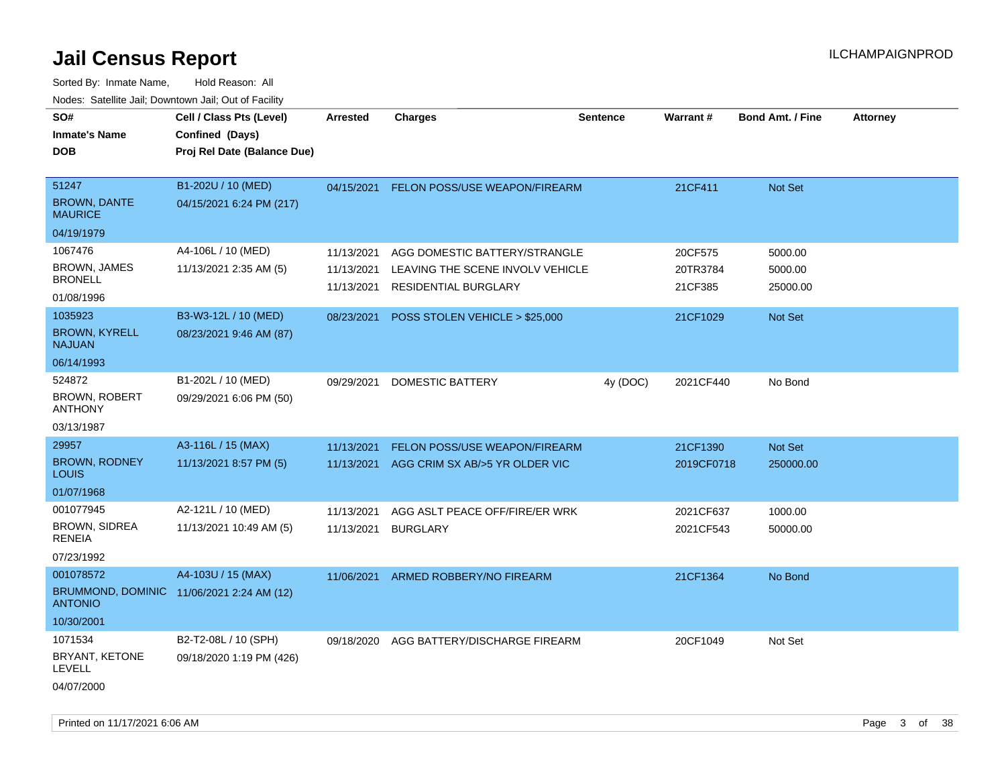| SO#                                   | Cell / Class Pts (Level)                  | <b>Arrested</b> | <b>Charges</b>                   | <b>Sentence</b> | <b>Warrant#</b> | <b>Bond Amt. / Fine</b> | <b>Attorney</b> |
|---------------------------------------|-------------------------------------------|-----------------|----------------------------------|-----------------|-----------------|-------------------------|-----------------|
| <b>Inmate's Name</b>                  | Confined (Days)                           |                 |                                  |                 |                 |                         |                 |
| <b>DOB</b>                            | Proj Rel Date (Balance Due)               |                 |                                  |                 |                 |                         |                 |
|                                       |                                           |                 |                                  |                 |                 |                         |                 |
| 51247                                 | B1-202U / 10 (MED)                        | 04/15/2021      | FELON POSS/USE WEAPON/FIREARM    |                 | 21CF411         | Not Set                 |                 |
| <b>BROWN, DANTE</b><br><b>MAURICE</b> | 04/15/2021 6:24 PM (217)                  |                 |                                  |                 |                 |                         |                 |
| 04/19/1979                            |                                           |                 |                                  |                 |                 |                         |                 |
| 1067476                               | A4-106L / 10 (MED)                        | 11/13/2021      | AGG DOMESTIC BATTERY/STRANGLE    |                 | 20CF575         | 5000.00                 |                 |
| <b>BROWN, JAMES</b>                   | 11/13/2021 2:35 AM (5)                    | 11/13/2021      | LEAVING THE SCENE INVOLV VEHICLE |                 | 20TR3784        | 5000.00                 |                 |
| <b>BRONELL</b>                        |                                           | 11/13/2021      | <b>RESIDENTIAL BURGLARY</b>      |                 | 21CF385         | 25000.00                |                 |
| 01/08/1996                            |                                           |                 |                                  |                 |                 |                         |                 |
| 1035923                               | B3-W3-12L / 10 (MED)                      | 08/23/2021      | POSS STOLEN VEHICLE > \$25,000   |                 | 21CF1029        | Not Set                 |                 |
| <b>BROWN, KYRELL</b><br><b>NAJUAN</b> | 08/23/2021 9:46 AM (87)                   |                 |                                  |                 |                 |                         |                 |
| 06/14/1993                            |                                           |                 |                                  |                 |                 |                         |                 |
| 524872                                | B1-202L / 10 (MED)                        | 09/29/2021      | DOMESTIC BATTERY                 | 4y (DOC)        | 2021CF440       | No Bond                 |                 |
| BROWN, ROBERT<br><b>ANTHONY</b>       | 09/29/2021 6:06 PM (50)                   |                 |                                  |                 |                 |                         |                 |
| 03/13/1987                            |                                           |                 |                                  |                 |                 |                         |                 |
| 29957                                 | A3-116L / 15 (MAX)                        | 11/13/2021      | FELON POSS/USE WEAPON/FIREARM    |                 | 21CF1390        | Not Set                 |                 |
| <b>BROWN, RODNEY</b><br>LOUIS         | 11/13/2021 8:57 PM (5)                    | 11/13/2021      | AGG CRIM SX AB/>5 YR OLDER VIC   |                 | 2019CF0718      | 250000.00               |                 |
| 01/07/1968                            |                                           |                 |                                  |                 |                 |                         |                 |
| 001077945                             | A2-121L / 10 (MED)                        | 11/13/2021      | AGG ASLT PEACE OFF/FIRE/ER WRK   |                 | 2021CF637       | 1000.00                 |                 |
| <b>BROWN, SIDREA</b><br><b>RENEIA</b> | 11/13/2021 10:49 AM (5)                   | 11/13/2021      | <b>BURGLARY</b>                  |                 | 2021CF543       | 50000.00                |                 |
| 07/23/1992                            |                                           |                 |                                  |                 |                 |                         |                 |
| 001078572                             | A4-103U / 15 (MAX)                        | 11/06/2021      | ARMED ROBBERY/NO FIREARM         |                 | 21CF1364        | No Bond                 |                 |
| <b>ANTONIO</b>                        | BRUMMOND, DOMINIC 11/06/2021 2:24 AM (12) |                 |                                  |                 |                 |                         |                 |
| 10/30/2001                            |                                           |                 |                                  |                 |                 |                         |                 |
| 1071534                               | B2-T2-08L / 10 (SPH)                      | 09/18/2020      | AGG BATTERY/DISCHARGE FIREARM    |                 | 20CF1049        | Not Set                 |                 |
| BRYANT, KETONE<br>LEVELL              | 09/18/2020 1:19 PM (426)                  |                 |                                  |                 |                 |                         |                 |
| 04/07/2000                            |                                           |                 |                                  |                 |                 |                         |                 |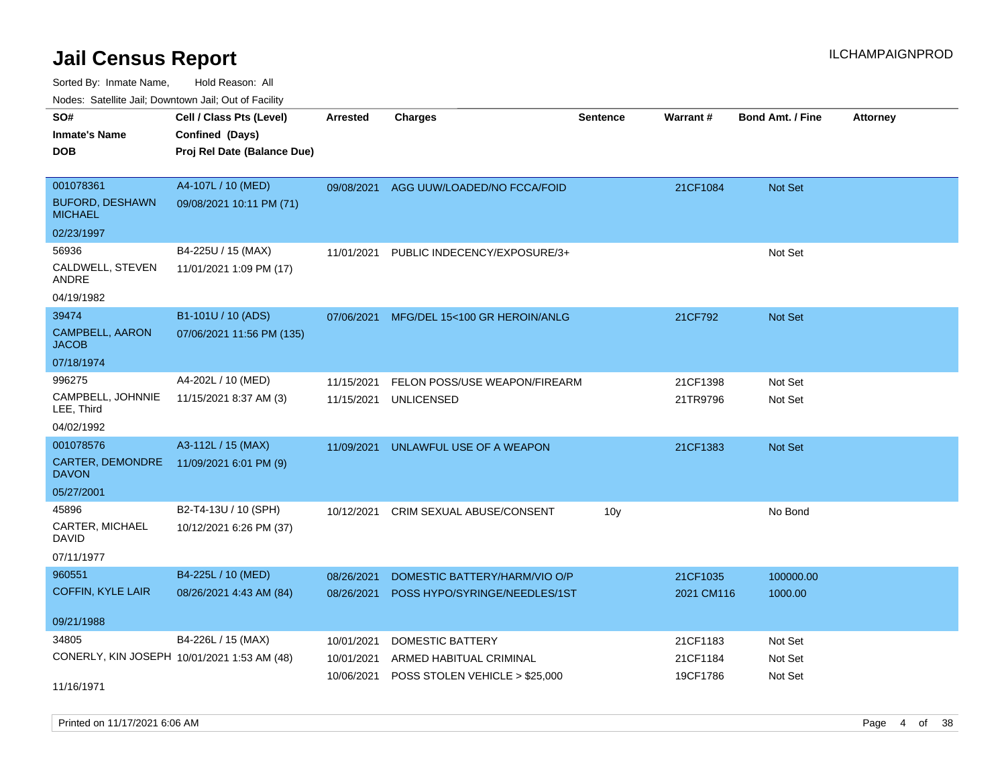Sorted By: Inmate Name, Hold Reason: All

Nodes: Satellite Jail; Downtown Jail; Out of Facility

| SO#<br><b>Inmate's Name</b><br><b>DOB</b>                          | Cell / Class Pts (Level)<br>Confined (Days)<br>Proj Rel Date (Balance Due) | <b>Arrested</b>                        | <b>Charges</b>                                                                       | <b>Sentence</b> | Warrant#                         | <b>Bond Amt. / Fine</b>       | <b>Attorney</b> |
|--------------------------------------------------------------------|----------------------------------------------------------------------------|----------------------------------------|--------------------------------------------------------------------------------------|-----------------|----------------------------------|-------------------------------|-----------------|
| 001078361<br><b>BUFORD, DESHAWN</b><br><b>MICHAEL</b>              | A4-107L / 10 (MED)<br>09/08/2021 10:11 PM (71)                             |                                        | 09/08/2021 AGG UUW/LOADED/NO FCCA/FOID                                               |                 | 21CF1084                         | Not Set                       |                 |
| 02/23/1997                                                         |                                                                            |                                        |                                                                                      |                 |                                  |                               |                 |
| 56936<br>CALDWELL, STEVEN<br><b>ANDRE</b>                          | B4-225U / 15 (MAX)<br>11/01/2021 1:09 PM (17)                              | 11/01/2021                             | PUBLIC INDECENCY/EXPOSURE/3+                                                         |                 |                                  | Not Set                       |                 |
| 04/19/1982                                                         |                                                                            |                                        |                                                                                      |                 |                                  |                               |                 |
| 39474<br><b>CAMPBELL, AARON</b><br><b>JACOB</b>                    | B1-101U / 10 (ADS)<br>07/06/2021 11:56 PM (135)                            | 07/06/2021                             | MFG/DEL 15<100 GR HEROIN/ANLG                                                        |                 | 21CF792                          | Not Set                       |                 |
| 07/18/1974                                                         |                                                                            |                                        |                                                                                      |                 |                                  |                               |                 |
| 996275<br>CAMPBELL, JOHNNIE<br>LEE, Third                          | A4-202L / 10 (MED)<br>11/15/2021 8:37 AM (3)                               | 11/15/2021<br>11/15/2021               | FELON POSS/USE WEAPON/FIREARM<br><b>UNLICENSED</b>                                   |                 | 21CF1398<br>21TR9796             | Not Set<br>Not Set            |                 |
| 04/02/1992<br>001078576                                            | A3-112L / 15 (MAX)                                                         |                                        |                                                                                      |                 |                                  |                               |                 |
| CARTER, DEMONDRE<br><b>DAVON</b>                                   | 11/09/2021 6:01 PM (9)                                                     | 11/09/2021                             | UNLAWFUL USE OF A WEAPON                                                             |                 | 21CF1383                         | Not Set                       |                 |
| 05/27/2001                                                         |                                                                            |                                        |                                                                                      |                 |                                  |                               |                 |
| 45896<br>CARTER, MICHAEL<br><b>DAVID</b><br>07/11/1977             | B2-T4-13U / 10 (SPH)<br>10/12/2021 6:26 PM (37)                            | 10/12/2021                             | CRIM SEXUAL ABUSE/CONSENT                                                            | 10 <sub>y</sub> |                                  | No Bond                       |                 |
| 960551                                                             | B4-225L / 10 (MED)                                                         | 08/26/2021                             | DOMESTIC BATTERY/HARM/VIO O/P                                                        |                 | 21CF1035                         | 100000.00                     |                 |
| <b>COFFIN, KYLE LAIR</b>                                           | 08/26/2021 4:43 AM (84)                                                    | 08/26/2021                             | POSS HYPO/SYRINGE/NEEDLES/1ST                                                        |                 | 2021 CM116                       | 1000.00                       |                 |
| 09/21/1988                                                         |                                                                            |                                        |                                                                                      |                 |                                  |                               |                 |
| 34805<br>CONERLY, KIN JOSEPH 10/01/2021 1:53 AM (48)<br>11/16/1971 | B4-226L / 15 (MAX)                                                         | 10/01/2021<br>10/01/2021<br>10/06/2021 | <b>DOMESTIC BATTERY</b><br>ARMED HABITUAL CRIMINAL<br>POSS STOLEN VEHICLE > \$25,000 |                 | 21CF1183<br>21CF1184<br>19CF1786 | Not Set<br>Not Set<br>Not Set |                 |
|                                                                    |                                                                            |                                        |                                                                                      |                 |                                  |                               |                 |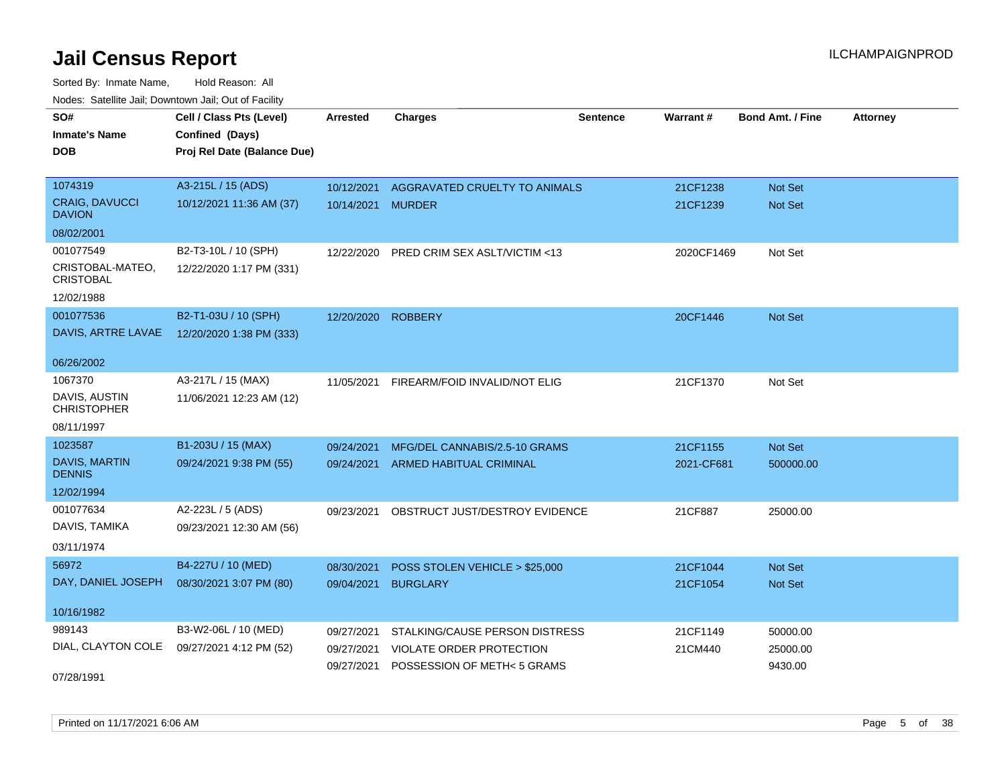| SO#                                    | Cell / Class Pts (Level)    | <b>Arrested</b> | <b>Charges</b>                 | <b>Sentence</b> | Warrant#   | <b>Bond Amt. / Fine</b> | <b>Attorney</b> |
|----------------------------------------|-----------------------------|-----------------|--------------------------------|-----------------|------------|-------------------------|-----------------|
| <b>Inmate's Name</b>                   | Confined (Days)             |                 |                                |                 |            |                         |                 |
| <b>DOB</b>                             | Proj Rel Date (Balance Due) |                 |                                |                 |            |                         |                 |
|                                        |                             |                 |                                |                 |            |                         |                 |
| 1074319                                | A3-215L / 15 (ADS)          | 10/12/2021      | AGGRAVATED CRUELTY TO ANIMALS  |                 | 21CF1238   | Not Set                 |                 |
| <b>CRAIG, DAVUCCI</b><br><b>DAVION</b> | 10/12/2021 11:36 AM (37)    | 10/14/2021      | <b>MURDER</b>                  |                 | 21CF1239   | Not Set                 |                 |
| 08/02/2001                             |                             |                 |                                |                 |            |                         |                 |
| 001077549                              | B2-T3-10L / 10 (SPH)        | 12/22/2020      | PRED CRIM SEX ASLT/VICTIM <13  |                 | 2020CF1469 | Not Set                 |                 |
| CRISTOBAL-MATEO,<br><b>CRISTOBAL</b>   | 12/22/2020 1:17 PM (331)    |                 |                                |                 |            |                         |                 |
| 12/02/1988                             |                             |                 |                                |                 |            |                         |                 |
| 001077536                              | B2-T1-03U / 10 (SPH)        | 12/20/2020      | <b>ROBBERY</b>                 |                 | 20CF1446   | Not Set                 |                 |
| DAVIS, ARTRE LAVAE                     | 12/20/2020 1:38 PM (333)    |                 |                                |                 |            |                         |                 |
|                                        |                             |                 |                                |                 |            |                         |                 |
| 06/26/2002                             |                             |                 |                                |                 |            |                         |                 |
| 1067370                                | A3-217L / 15 (MAX)          | 11/05/2021      | FIREARM/FOID INVALID/NOT ELIG  |                 | 21CF1370   | Not Set                 |                 |
| DAVIS, AUSTIN<br><b>CHRISTOPHER</b>    | 11/06/2021 12:23 AM (12)    |                 |                                |                 |            |                         |                 |
| 08/11/1997                             |                             |                 |                                |                 |            |                         |                 |
| 1023587                                | B1-203U / 15 (MAX)          | 09/24/2021      | MFG/DEL CANNABIS/2.5-10 GRAMS  |                 | 21CF1155   | Not Set                 |                 |
| <b>DAVIS, MARTIN</b><br><b>DENNIS</b>  | 09/24/2021 9:38 PM (55)     | 09/24/2021      | <b>ARMED HABITUAL CRIMINAL</b> |                 | 2021-CF681 | 500000.00               |                 |
| 12/02/1994                             |                             |                 |                                |                 |            |                         |                 |
| 001077634                              | A2-223L / 5 (ADS)           | 09/23/2021      | OBSTRUCT JUST/DESTROY EVIDENCE |                 | 21CF887    | 25000.00                |                 |
| DAVIS, TAMIKA                          | 09/23/2021 12:30 AM (56)    |                 |                                |                 |            |                         |                 |
| 03/11/1974                             |                             |                 |                                |                 |            |                         |                 |
| 56972                                  | B4-227U / 10 (MED)          | 08/30/2021      |                                |                 | 21CF1044   | <b>Not Set</b>          |                 |
| DAY, DANIEL JOSEPH                     | 08/30/2021 3:07 PM (80)     |                 | POSS STOLEN VEHICLE > \$25,000 |                 |            |                         |                 |
|                                        |                             | 09/04/2021      | <b>BURGLARY</b>                |                 | 21CF1054   | Not Set                 |                 |
| 10/16/1982                             |                             |                 |                                |                 |            |                         |                 |
| 989143                                 | B3-W2-06L / 10 (MED)        | 09/27/2021      | STALKING/CAUSE PERSON DISTRESS |                 | 21CF1149   | 50000.00                |                 |
| DIAL, CLAYTON COLE                     | 09/27/2021 4:12 PM (52)     | 09/27/2021      | VIOLATE ORDER PROTECTION       |                 | 21CM440    | 25000.00                |                 |
|                                        |                             | 09/27/2021      | POSSESSION OF METH< 5 GRAMS    |                 |            | 9430.00                 |                 |
| 07/28/1991                             |                             |                 |                                |                 |            |                         |                 |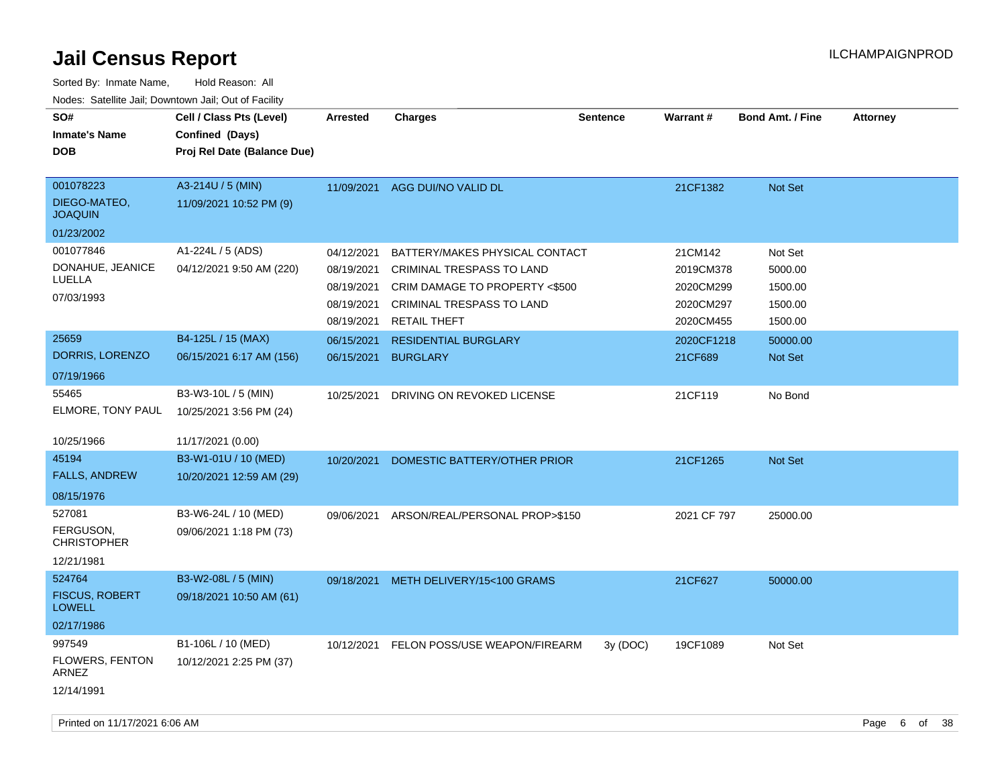| SO#<br><b>Inmate's Name</b><br><b>DOB</b>   | Cell / Class Pts (Level)<br>Confined (Days)<br>Proj Rel Date (Balance Due) | <b>Arrested</b> | <b>Charges</b>                 | <b>Sentence</b> | Warrant#    | <b>Bond Amt. / Fine</b> | <b>Attorney</b> |
|---------------------------------------------|----------------------------------------------------------------------------|-----------------|--------------------------------|-----------------|-------------|-------------------------|-----------------|
| 001078223<br>DIEGO-MATEO,<br><b>JOAQUIN</b> | A3-214U / 5 (MIN)<br>11/09/2021 10:52 PM (9)                               |                 | 11/09/2021 AGG DUI/NO VALID DL |                 | 21CF1382    | <b>Not Set</b>          |                 |
| 01/23/2002                                  |                                                                            |                 |                                |                 |             |                         |                 |
| 001077846                                   | A1-224L / 5 (ADS)                                                          | 04/12/2021      | BATTERY/MAKES PHYSICAL CONTACT |                 | 21CM142     | Not Set                 |                 |
| DONAHUE, JEANICE<br>LUELLA                  | 04/12/2021 9:50 AM (220)                                                   | 08/19/2021      | CRIMINAL TRESPASS TO LAND      |                 | 2019CM378   | 5000.00                 |                 |
| 07/03/1993                                  |                                                                            | 08/19/2021      | CRIM DAMAGE TO PROPERTY <\$500 |                 | 2020CM299   | 1500.00                 |                 |
|                                             |                                                                            | 08/19/2021      | CRIMINAL TRESPASS TO LAND      |                 | 2020CM297   | 1500.00                 |                 |
|                                             |                                                                            | 08/19/2021      | <b>RETAIL THEFT</b>            |                 | 2020CM455   | 1500.00                 |                 |
| 25659                                       | B4-125L / 15 (MAX)                                                         | 06/15/2021      | <b>RESIDENTIAL BURGLARY</b>    |                 | 2020CF1218  | 50000.00                |                 |
| DORRIS, LORENZO                             | 06/15/2021 6:17 AM (156)                                                   | 06/15/2021      | <b>BURGLARY</b>                |                 | 21CF689     | Not Set                 |                 |
| 07/19/1966                                  |                                                                            |                 |                                |                 |             |                         |                 |
| 55465                                       | B3-W3-10L / 5 (MIN)                                                        | 10/25/2021      | DRIVING ON REVOKED LICENSE     |                 | 21CF119     | No Bond                 |                 |
| ELMORE, TONY PAUL                           | 10/25/2021 3:56 PM (24)                                                    |                 |                                |                 |             |                         |                 |
| 10/25/1966                                  | 11/17/2021 (0.00)                                                          |                 |                                |                 |             |                         |                 |
| 45194                                       | B3-W1-01U / 10 (MED)                                                       | 10/20/2021      | DOMESTIC BATTERY/OTHER PRIOR   |                 | 21CF1265    | Not Set                 |                 |
| <b>FALLS, ANDREW</b>                        | 10/20/2021 12:59 AM (29)                                                   |                 |                                |                 |             |                         |                 |
| 08/15/1976                                  |                                                                            |                 |                                |                 |             |                         |                 |
| 527081                                      | B3-W6-24L / 10 (MED)                                                       | 09/06/2021      | ARSON/REAL/PERSONAL PROP>\$150 |                 | 2021 CF 797 | 25000.00                |                 |
| FERGUSON,<br><b>CHRISTOPHER</b>             | 09/06/2021 1:18 PM (73)                                                    |                 |                                |                 |             |                         |                 |
| 12/21/1981                                  |                                                                            |                 |                                |                 |             |                         |                 |
| 524764                                      | B3-W2-08L / 5 (MIN)                                                        | 09/18/2021      | METH DELIVERY/15<100 GRAMS     |                 | 21CF627     | 50000.00                |                 |
| <b>FISCUS, ROBERT</b><br><b>LOWELL</b>      | 09/18/2021 10:50 AM (61)                                                   |                 |                                |                 |             |                         |                 |
| 02/17/1986                                  |                                                                            |                 |                                |                 |             |                         |                 |
| 997549<br>FLOWERS, FENTON<br>ARNEZ          | B1-106L / 10 (MED)<br>10/12/2021 2:25 PM (37)                              | 10/12/2021      | FELON POSS/USE WEAPON/FIREARM  | 3y(DOC)         | 19CF1089    | Not Set                 |                 |
| 12/14/1991                                  |                                                                            |                 |                                |                 |             |                         |                 |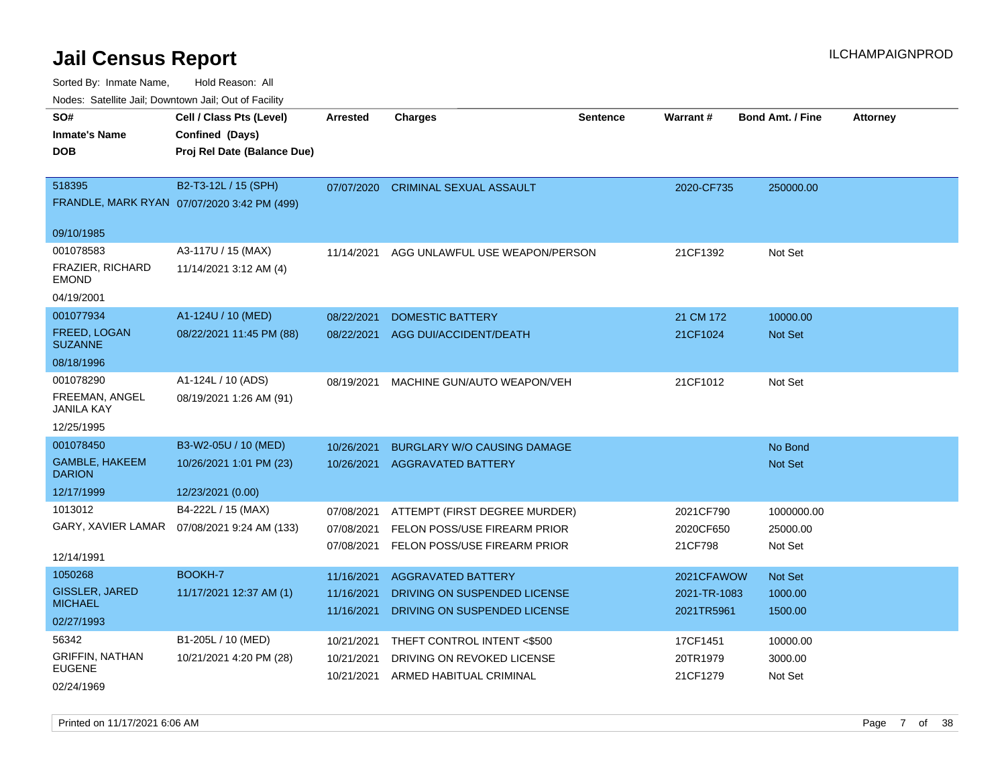| SO#<br>Cell / Class Pts (Level)<br><b>Charges</b><br>Warrant#<br><b>Bond Amt. / Fine</b><br>Arrested<br><b>Sentence</b><br><b>Inmate's Name</b><br>Confined (Days) | <b>Attorney</b> |
|--------------------------------------------------------------------------------------------------------------------------------------------------------------------|-----------------|
|                                                                                                                                                                    |                 |
|                                                                                                                                                                    |                 |
| <b>DOB</b><br>Proj Rel Date (Balance Due)                                                                                                                          |                 |
|                                                                                                                                                                    |                 |
| B2-T3-12L / 15 (SPH)<br>518395<br>07/07/2020<br><b>CRIMINAL SEXUAL ASSAULT</b><br>2020-CF735<br>250000.00                                                          |                 |
| FRANDLE, MARK RYAN 07/07/2020 3:42 PM (499)                                                                                                                        |                 |
|                                                                                                                                                                    |                 |
| 09/10/1985                                                                                                                                                         |                 |
| 001078583<br>A3-117U / 15 (MAX)<br>21CF1392<br>Not Set<br>11/14/2021<br>AGG UNLAWFUL USE WEAPON/PERSON                                                             |                 |
| <b>FRAZIER, RICHARD</b><br>11/14/2021 3:12 AM (4)<br><b>EMOND</b>                                                                                                  |                 |
| 04/19/2001                                                                                                                                                         |                 |
| 001077934<br>A1-124U / 10 (MED)<br>08/22/2021<br><b>DOMESTIC BATTERY</b><br>21 CM 172<br>10000.00                                                                  |                 |
| FREED, LOGAN<br>08/22/2021 11:45 PM (88)<br>08/22/2021<br>AGG DUI/ACCIDENT/DEATH<br>21CF1024<br>Not Set<br><b>SUZANNE</b>                                          |                 |
| 08/18/1996                                                                                                                                                         |                 |
| 001078290<br>A1-124L / 10 (ADS)<br>21CF1012<br>08/19/2021<br>MACHINE GUN/AUTO WEAPON/VEH<br>Not Set                                                                |                 |
| FREEMAN, ANGEL<br>08/19/2021 1:26 AM (91)<br><b>JANILA KAY</b>                                                                                                     |                 |
| 12/25/1995                                                                                                                                                         |                 |
| 001078450<br>B3-W2-05U / 10 (MED)<br>10/26/2021<br><b>BURGLARY W/O CAUSING DAMAGE</b><br>No Bond                                                                   |                 |
| <b>GAMBLE, HAKEEM</b><br>10/26/2021 1:01 PM (23)<br>10/26/2021 AGGRAVATED BATTERY<br>Not Set<br><b>DARION</b>                                                      |                 |
| 12/17/1999<br>12/23/2021 (0.00)                                                                                                                                    |                 |
| 1013012<br>B4-222L / 15 (MAX)<br>07/08/2021<br>ATTEMPT (FIRST DEGREE MURDER)<br>2021CF790<br>1000000.00                                                            |                 |
| GARY, XAVIER LAMAR<br>07/08/2021 9:24 AM (133)<br>07/08/2021<br>FELON POSS/USE FIREARM PRIOR<br>2020CF650<br>25000.00                                              |                 |
| 07/08/2021<br>FELON POSS/USE FIREARM PRIOR<br>21CF798<br>Not Set                                                                                                   |                 |
| 12/14/1991                                                                                                                                                         |                 |
| BOOKH-7<br>1050268<br>11/16/2021<br><b>AGGRAVATED BATTERY</b><br>2021CFAWOW<br>Not Set                                                                             |                 |
| <b>GISSLER, JARED</b><br>11/17/2021 12:37 AM (1)<br>11/16/2021<br>DRIVING ON SUSPENDED LICENSE<br>2021-TR-1083<br>1000.00                                          |                 |
| <b>MICHAEL</b><br>11/16/2021<br>DRIVING ON SUSPENDED LICENSE<br>2021TR5961<br>1500.00                                                                              |                 |
| 02/27/1993                                                                                                                                                         |                 |
| 56342<br>B1-205L / 10 (MED)<br>THEFT CONTROL INTENT <\$500<br>17CF1451<br>10/21/2021<br>10000.00                                                                   |                 |
| <b>GRIFFIN, NATHAN</b><br>10/21/2021 4:20 PM (28)<br>10/21/2021<br>DRIVING ON REVOKED LICENSE<br>20TR1979<br>3000.00<br><b>EUGENE</b>                              |                 |
| ARMED HABITUAL CRIMINAL<br>21CF1279<br>Not Set<br>10/21/2021<br>02/24/1969                                                                                         |                 |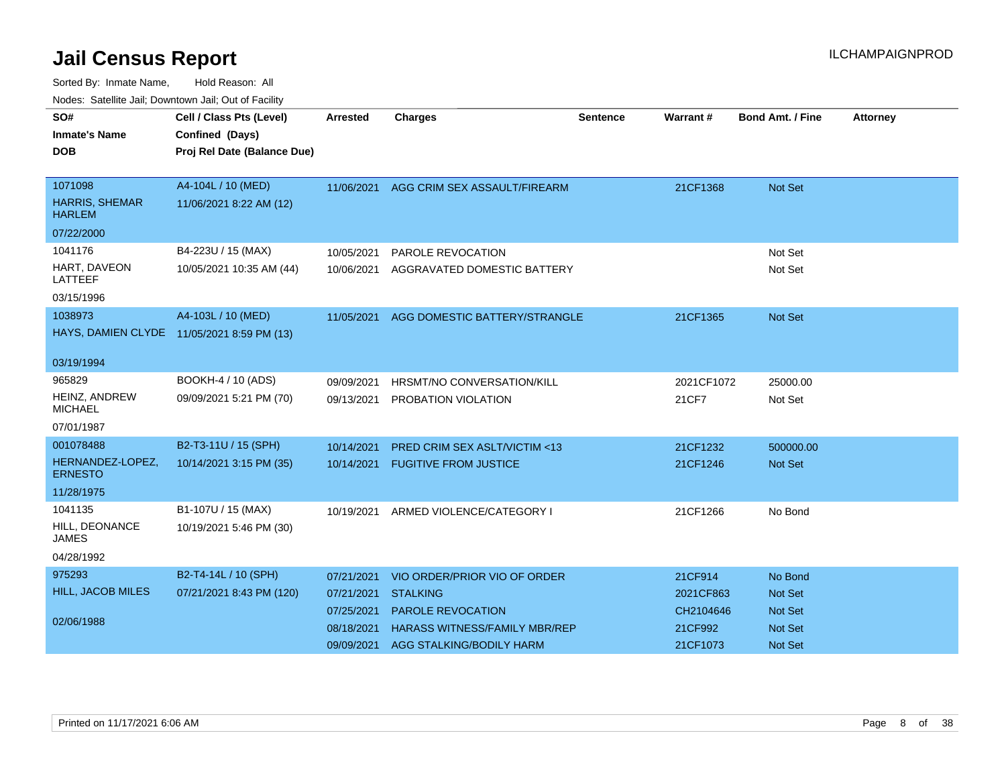| SO#<br><b>Inmate's Name</b><br><b>DOB</b> | Cell / Class Pts (Level)<br>Confined (Days)<br>Proj Rel Date (Balance Due) | <b>Arrested</b> | <b>Charges</b>                          | <b>Sentence</b> | Warrant#   | <b>Bond Amt. / Fine</b> | <b>Attorney</b> |
|-------------------------------------------|----------------------------------------------------------------------------|-----------------|-----------------------------------------|-----------------|------------|-------------------------|-----------------|
|                                           |                                                                            |                 |                                         |                 |            |                         |                 |
| 1071098                                   | A4-104L / 10 (MED)                                                         | 11/06/2021      | AGG CRIM SEX ASSAULT/FIREARM            |                 | 21CF1368   | Not Set                 |                 |
| HARRIS, SHEMAR<br><b>HARLEM</b>           | 11/06/2021 8:22 AM (12)                                                    |                 |                                         |                 |            |                         |                 |
| 07/22/2000                                |                                                                            |                 |                                         |                 |            |                         |                 |
| 1041176                                   | B4-223U / 15 (MAX)                                                         | 10/05/2021      | PAROLE REVOCATION                       |                 |            | Not Set                 |                 |
| HART, DAVEON<br>LATTEEF                   | 10/05/2021 10:35 AM (44)                                                   | 10/06/2021      | AGGRAVATED DOMESTIC BATTERY             |                 |            | Not Set                 |                 |
| 03/15/1996                                |                                                                            |                 |                                         |                 |            |                         |                 |
| 1038973                                   | A4-103L / 10 (MED)                                                         | 11/05/2021      | AGG DOMESTIC BATTERY/STRANGLE           |                 | 21CF1365   | Not Set                 |                 |
|                                           | HAYS, DAMIEN CLYDE 11/05/2021 8:59 PM (13)                                 |                 |                                         |                 |            |                         |                 |
| 03/19/1994                                |                                                                            |                 |                                         |                 |            |                         |                 |
| 965829                                    | BOOKH-4 / 10 (ADS)                                                         | 09/09/2021      | HRSMT/NO CONVERSATION/KILL              |                 | 2021CF1072 | 25000.00                |                 |
| HEINZ, ANDREW<br><b>MICHAEL</b>           | 09/09/2021 5:21 PM (70)                                                    | 09/13/2021      | PROBATION VIOLATION                     |                 | 21CF7      | Not Set                 |                 |
| 07/01/1987                                |                                                                            |                 |                                         |                 |            |                         |                 |
| 001078488                                 | B2-T3-11U / 15 (SPH)                                                       | 10/14/2021      | <b>PRED CRIM SEX ASLT/VICTIM &lt;13</b> |                 | 21CF1232   | 500000.00               |                 |
| HERNANDEZ-LOPEZ,<br><b>ERNESTO</b>        | 10/14/2021 3:15 PM (35)                                                    | 10/14/2021      | <b>FUGITIVE FROM JUSTICE</b>            |                 | 21CF1246   | <b>Not Set</b>          |                 |
| 11/28/1975                                |                                                                            |                 |                                         |                 |            |                         |                 |
| 1041135                                   | B1-107U / 15 (MAX)                                                         | 10/19/2021      | ARMED VIOLENCE/CATEGORY I               |                 | 21CF1266   | No Bond                 |                 |
| HILL, DEONANCE<br><b>JAMES</b>            | 10/19/2021 5:46 PM (30)                                                    |                 |                                         |                 |            |                         |                 |
| 04/28/1992                                |                                                                            |                 |                                         |                 |            |                         |                 |
| 975293                                    | B2-T4-14L / 10 (SPH)                                                       | 07/21/2021      | VIO ORDER/PRIOR VIO OF ORDER            |                 | 21CF914    | No Bond                 |                 |
| <b>HILL, JACOB MILES</b>                  | 07/21/2021 8:43 PM (120)                                                   | 07/21/2021      | <b>STALKING</b>                         |                 | 2021CF863  | <b>Not Set</b>          |                 |
|                                           |                                                                            | 07/25/2021      | PAROLE REVOCATION                       |                 | CH2104646  | Not Set                 |                 |
| 02/06/1988                                |                                                                            | 08/18/2021      | <b>HARASS WITNESS/FAMILY MBR/REP</b>    |                 | 21CF992    | Not Set                 |                 |
|                                           |                                                                            | 09/09/2021      | AGG STALKING/BODILY HARM                |                 | 21CF1073   | <b>Not Set</b>          |                 |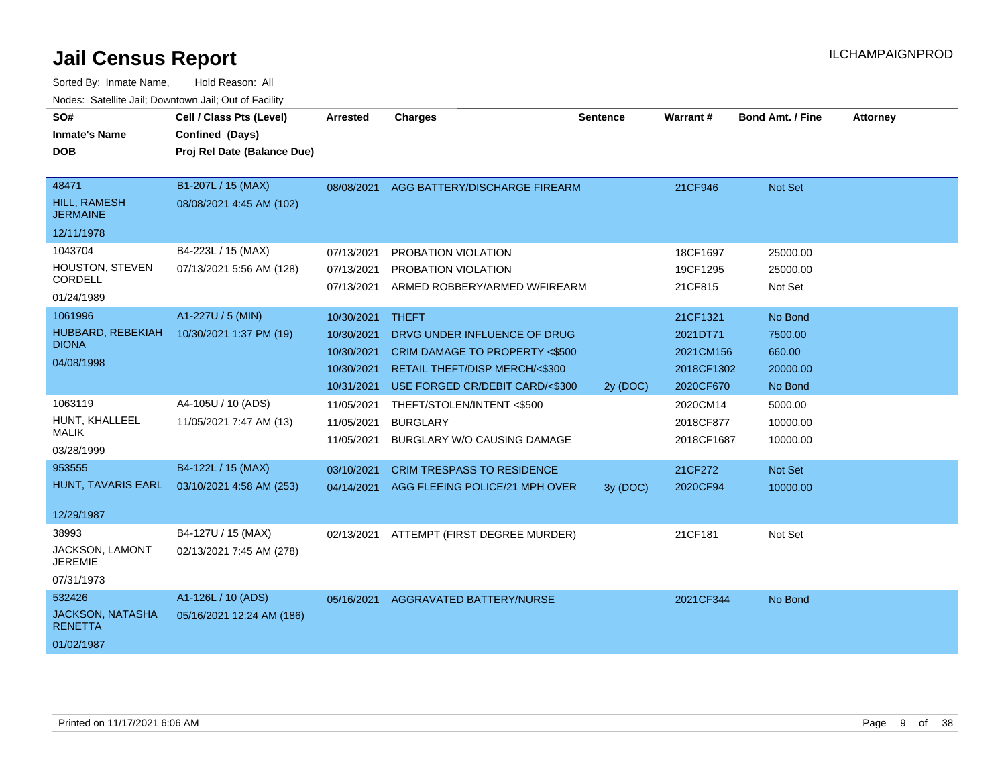| SO#<br><b>Inmate's Name</b><br><b>DOB</b>                         | Cell / Class Pts (Level)<br>Confined (Days)<br>Proj Rel Date (Balance Due) | Arrested                                                           | <b>Charges</b>                                                                                                                                      | <b>Sentence</b> | Warrant#                                                     | <b>Bond Amt. / Fine</b>                             | <b>Attorney</b> |
|-------------------------------------------------------------------|----------------------------------------------------------------------------|--------------------------------------------------------------------|-----------------------------------------------------------------------------------------------------------------------------------------------------|-----------------|--------------------------------------------------------------|-----------------------------------------------------|-----------------|
| 48471<br><b>HILL, RAMESH</b><br><b>JERMAINE</b><br>12/11/1978     | B1-207L / 15 (MAX)<br>08/08/2021 4:45 AM (102)                             | 08/08/2021                                                         | AGG BATTERY/DISCHARGE FIREARM                                                                                                                       |                 | 21CF946                                                      | Not Set                                             |                 |
| 1043704<br>HOUSTON, STEVEN<br><b>CORDELL</b><br>01/24/1989        | B4-223L / 15 (MAX)<br>07/13/2021 5:56 AM (128)                             | 07/13/2021<br>07/13/2021<br>07/13/2021                             | PROBATION VIOLATION<br>PROBATION VIOLATION<br>ARMED ROBBERY/ARMED W/FIREARM                                                                         |                 | 18CF1697<br>19CF1295<br>21CF815                              | 25000.00<br>25000.00<br>Not Set                     |                 |
| 1061996<br>HUBBARD, REBEKIAH<br><b>DIONA</b><br>04/08/1998        | A1-227U / 5 (MIN)<br>10/30/2021 1:37 PM (19)                               | 10/30/2021<br>10/30/2021<br>10/30/2021<br>10/30/2021<br>10/31/2021 | <b>THEFT</b><br>DRVG UNDER INFLUENCE OF DRUG<br>CRIM DAMAGE TO PROPERTY <\$500<br>RETAIL THEFT/DISP MERCH/<\$300<br>USE FORGED CR/DEBIT CARD/<\$300 | 2y (DOC)        | 21CF1321<br>2021DT71<br>2021CM156<br>2018CF1302<br>2020CF670 | No Bond<br>7500.00<br>660.00<br>20000.00<br>No Bond |                 |
| 1063119<br>HUNT, KHALLEEL<br><b>MALIK</b><br>03/28/1999           | A4-105U / 10 (ADS)<br>11/05/2021 7:47 AM (13)                              | 11/05/2021<br>11/05/2021<br>11/05/2021                             | THEFT/STOLEN/INTENT <\$500<br><b>BURGLARY</b><br>BURGLARY W/O CAUSING DAMAGE                                                                        |                 | 2020CM14<br>2018CF877<br>2018CF1687                          | 5000.00<br>10000.00<br>10000.00                     |                 |
| 953555<br>HUNT, TAVARIS EARL<br>12/29/1987                        | B4-122L / 15 (MAX)<br>03/10/2021 4:58 AM (253)                             | 03/10/2021<br>04/14/2021                                           | <b>CRIM TRESPASS TO RESIDENCE</b><br>AGG FLEEING POLICE/21 MPH OVER                                                                                 | 3y (DOC)        | 21CF272<br>2020CF94                                          | Not Set<br>10000.00                                 |                 |
| 38993<br>JACKSON, LAMONT<br><b>JEREMIE</b><br>07/31/1973          | B4-127U / 15 (MAX)<br>02/13/2021 7:45 AM (278)                             | 02/13/2021                                                         | ATTEMPT (FIRST DEGREE MURDER)                                                                                                                       |                 | 21CF181                                                      | Not Set                                             |                 |
| 532426<br><b>JACKSON, NATASHA</b><br><b>RENETTA</b><br>01/02/1987 | A1-126L / 10 (ADS)<br>05/16/2021 12:24 AM (186)                            | 05/16/2021                                                         | <b>AGGRAVATED BATTERY/NURSE</b>                                                                                                                     |                 | 2021CF344                                                    | No Bond                                             |                 |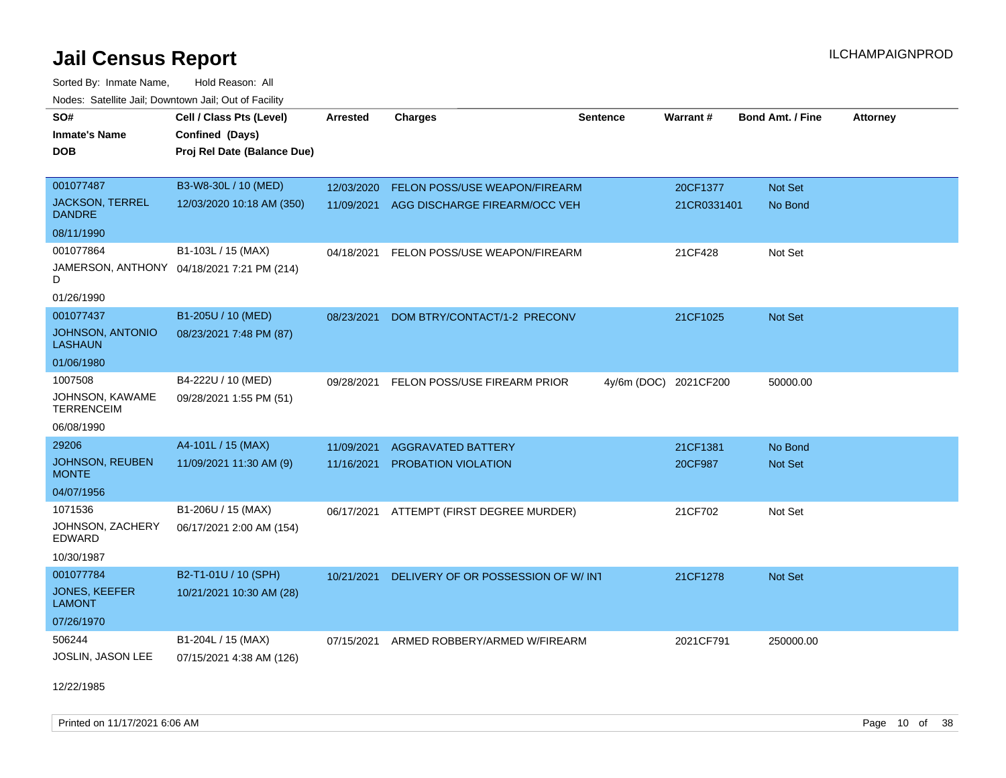Sorted By: Inmate Name, Hold Reason: All Nodes: Satellite Jail; Downtown Jail; Out of Facility

| SO#                                       | Cell / Class Pts (Level)                   | Arrested   | <b>Charges</b>                           | <b>Sentence</b> | Warrant#              | <b>Bond Amt. / Fine</b> | <b>Attorney</b> |
|-------------------------------------------|--------------------------------------------|------------|------------------------------------------|-----------------|-----------------------|-------------------------|-----------------|
| <b>Inmate's Name</b>                      | Confined (Days)                            |            |                                          |                 |                       |                         |                 |
| <b>DOB</b>                                | Proj Rel Date (Balance Due)                |            |                                          |                 |                       |                         |                 |
|                                           |                                            |            |                                          |                 |                       |                         |                 |
| 001077487                                 | B3-W8-30L / 10 (MED)                       | 12/03/2020 | FELON POSS/USE WEAPON/FIREARM            |                 | 20CF1377              | Not Set                 |                 |
| <b>JACKSON, TERREL</b><br><b>DANDRE</b>   | 12/03/2020 10:18 AM (350)                  | 11/09/2021 | AGG DISCHARGE FIREARM/OCC VEH            |                 | 21CR0331401           | No Bond                 |                 |
| 08/11/1990                                |                                            |            |                                          |                 |                       |                         |                 |
| 001077864                                 | B1-103L / 15 (MAX)                         | 04/18/2021 | FELON POSS/USE WEAPON/FIREARM            |                 | 21CF428               | Not Set                 |                 |
| D                                         | JAMERSON, ANTHONY 04/18/2021 7:21 PM (214) |            |                                          |                 |                       |                         |                 |
| 01/26/1990                                |                                            |            |                                          |                 |                       |                         |                 |
| 001077437                                 | B1-205U / 10 (MED)                         | 08/23/2021 | DOM BTRY/CONTACT/1-2 PRECONV             |                 | 21CF1025              | Not Set                 |                 |
| <b>JOHNSON, ANTONIO</b><br><b>LASHAUN</b> | 08/23/2021 7:48 PM (87)                    |            |                                          |                 |                       |                         |                 |
| 01/06/1980                                |                                            |            |                                          |                 |                       |                         |                 |
| 1007508                                   | B4-222U / 10 (MED)                         | 09/28/2021 | FELON POSS/USE FIREARM PRIOR             |                 | 4y/6m (DOC) 2021CF200 | 50000.00                |                 |
| JOHNSON, KAWAME<br><b>TERRENCEIM</b>      | 09/28/2021 1:55 PM (51)                    |            |                                          |                 |                       |                         |                 |
| 06/08/1990                                |                                            |            |                                          |                 |                       |                         |                 |
| 29206                                     | A4-101L / 15 (MAX)                         | 11/09/2021 | <b>AGGRAVATED BATTERY</b>                |                 | 21CF1381              | No Bond                 |                 |
| <b>JOHNSON, REUBEN</b><br><b>MONTE</b>    | 11/09/2021 11:30 AM (9)                    | 11/16/2021 | PROBATION VIOLATION                      |                 | 20CF987               | Not Set                 |                 |
| 04/07/1956                                |                                            |            |                                          |                 |                       |                         |                 |
| 1071536                                   | B1-206U / 15 (MAX)                         |            | 06/17/2021 ATTEMPT (FIRST DEGREE MURDER) |                 | 21CF702               | Not Set                 |                 |
| JOHNSON, ZACHERY<br>EDWARD                | 06/17/2021 2:00 AM (154)                   |            |                                          |                 |                       |                         |                 |
| 10/30/1987                                |                                            |            |                                          |                 |                       |                         |                 |
| 001077784                                 | B2-T1-01U / 10 (SPH)                       | 10/21/2021 | DELIVERY OF OR POSSESSION OF W/INT       |                 | 21CF1278              | Not Set                 |                 |
| <b>JONES, KEEFER</b><br><b>LAMONT</b>     | 10/21/2021 10:30 AM (28)                   |            |                                          |                 |                       |                         |                 |
| 07/26/1970                                |                                            |            |                                          |                 |                       |                         |                 |
| 506244                                    | B1-204L / 15 (MAX)                         | 07/15/2021 | ARMED ROBBERY/ARMED W/FIREARM            |                 | 2021CF791             | 250000.00               |                 |
| JOSLIN, JASON LEE                         | 07/15/2021 4:38 AM (126)                   |            |                                          |                 |                       |                         |                 |

12/22/1985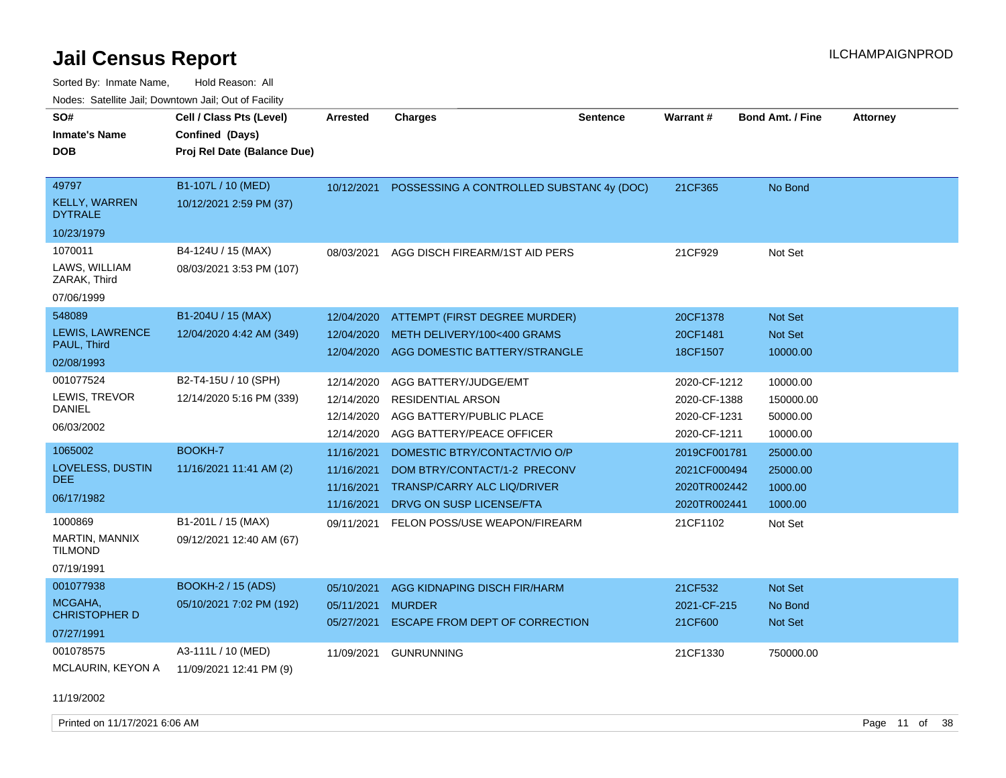Sorted By: Inmate Name, Hold Reason: All Nodes: Satellite Jail; Downtown Jail; Out of Facility

| rouce. Calcinic Jan, Downtown Jan, Out or Facility<br>SO# | Cell / Class Pts (Level)    | <b>Arrested</b> | <b>Charges</b>                           | <b>Sentence</b> | Warrant#     | <b>Bond Amt. / Fine</b> | <b>Attorney</b> |
|-----------------------------------------------------------|-----------------------------|-----------------|------------------------------------------|-----------------|--------------|-------------------------|-----------------|
| <b>Inmate's Name</b>                                      | Confined (Days)             |                 |                                          |                 |              |                         |                 |
| <b>DOB</b>                                                | Proj Rel Date (Balance Due) |                 |                                          |                 |              |                         |                 |
|                                                           |                             |                 |                                          |                 |              |                         |                 |
| 49797                                                     | B1-107L / 10 (MED)          | 10/12/2021      | POSSESSING A CONTROLLED SUBSTAN(4y (DOC) |                 | 21CF365      | No Bond                 |                 |
| <b>KELLY, WARREN</b><br><b>DYTRALE</b>                    | 10/12/2021 2:59 PM (37)     |                 |                                          |                 |              |                         |                 |
| 10/23/1979                                                |                             |                 |                                          |                 |              |                         |                 |
| 1070011                                                   | B4-124U / 15 (MAX)          | 08/03/2021      | AGG DISCH FIREARM/1ST AID PERS           |                 | 21CF929      | Not Set                 |                 |
| LAWS, WILLIAM<br>ZARAK, Third                             | 08/03/2021 3:53 PM (107)    |                 |                                          |                 |              |                         |                 |
| 07/06/1999                                                |                             |                 |                                          |                 |              |                         |                 |
| 548089                                                    | B1-204U / 15 (MAX)          | 12/04/2020      | ATTEMPT (FIRST DEGREE MURDER)            |                 | 20CF1378     | Not Set                 |                 |
| LEWIS, LAWRENCE                                           | 12/04/2020 4:42 AM (349)    | 12/04/2020      | METH DELIVERY/100<400 GRAMS              |                 | 20CF1481     | Not Set                 |                 |
| PAUL, Third                                               |                             | 12/04/2020      | AGG DOMESTIC BATTERY/STRANGLE            |                 | 18CF1507     | 10000.00                |                 |
| 02/08/1993                                                |                             |                 |                                          |                 |              |                         |                 |
| 001077524                                                 | B2-T4-15U / 10 (SPH)        | 12/14/2020      | AGG BATTERY/JUDGE/EMT                    |                 | 2020-CF-1212 | 10000.00                |                 |
| LEWIS, TREVOR                                             | 12/14/2020 5:16 PM (339)    | 12/14/2020      | <b>RESIDENTIAL ARSON</b>                 |                 | 2020-CF-1388 | 150000.00               |                 |
| <b>DANIEL</b>                                             |                             | 12/14/2020      | AGG BATTERY/PUBLIC PLACE                 |                 | 2020-CF-1231 | 50000.00                |                 |
| 06/03/2002                                                |                             | 12/14/2020      | AGG BATTERY/PEACE OFFICER                |                 | 2020-CF-1211 | 10000.00                |                 |
| 1065002                                                   | BOOKH-7                     | 11/16/2021      | DOMESTIC BTRY/CONTACT/VIO O/P            |                 | 2019CF001781 | 25000.00                |                 |
| LOVELESS, DUSTIN                                          | 11/16/2021 11:41 AM (2)     | 11/16/2021      | DOM BTRY/CONTACT/1-2 PRECONV             |                 | 2021CF000494 | 25000.00                |                 |
| DEE                                                       |                             | 11/16/2021      | <b>TRANSP/CARRY ALC LIQ/DRIVER</b>       |                 | 2020TR002442 | 1000.00                 |                 |
| 06/17/1982                                                |                             | 11/16/2021      | DRVG ON SUSP LICENSE/FTA                 |                 | 2020TR002441 | 1000.00                 |                 |
| 1000869                                                   | B1-201L / 15 (MAX)          | 09/11/2021      | FELON POSS/USE WEAPON/FIREARM            |                 | 21CF1102     | Not Set                 |                 |
| MARTIN, MANNIX<br><b>TILMOND</b>                          | 09/12/2021 12:40 AM (67)    |                 |                                          |                 |              |                         |                 |
| 07/19/1991                                                |                             |                 |                                          |                 |              |                         |                 |
| 001077938                                                 | <b>BOOKH-2 / 15 (ADS)</b>   | 05/10/2021      | AGG KIDNAPING DISCH FIR/HARM             |                 | 21CF532      | Not Set                 |                 |
| MCGAHA,                                                   | 05/10/2021 7:02 PM (192)    | 05/11/2021      | <b>MURDER</b>                            |                 | 2021-CF-215  | No Bond                 |                 |
| <b>CHRISTOPHER D</b>                                      |                             | 05/27/2021      | ESCAPE FROM DEPT OF CORRECTION           |                 | 21CF600      | Not Set                 |                 |
| 07/27/1991                                                |                             |                 |                                          |                 |              |                         |                 |
| 001078575                                                 | A3-111L / 10 (MED)          | 11/09/2021      | <b>GUNRUNNING</b>                        |                 | 21CF1330     | 750000.00               |                 |
| MCLAURIN, KEYON A                                         | 11/09/2021 12:41 PM (9)     |                 |                                          |                 |              |                         |                 |
|                                                           |                             |                 |                                          |                 |              |                         |                 |

11/19/2002

Printed on 11/17/2021 6:06 AM **Page 11 of 38**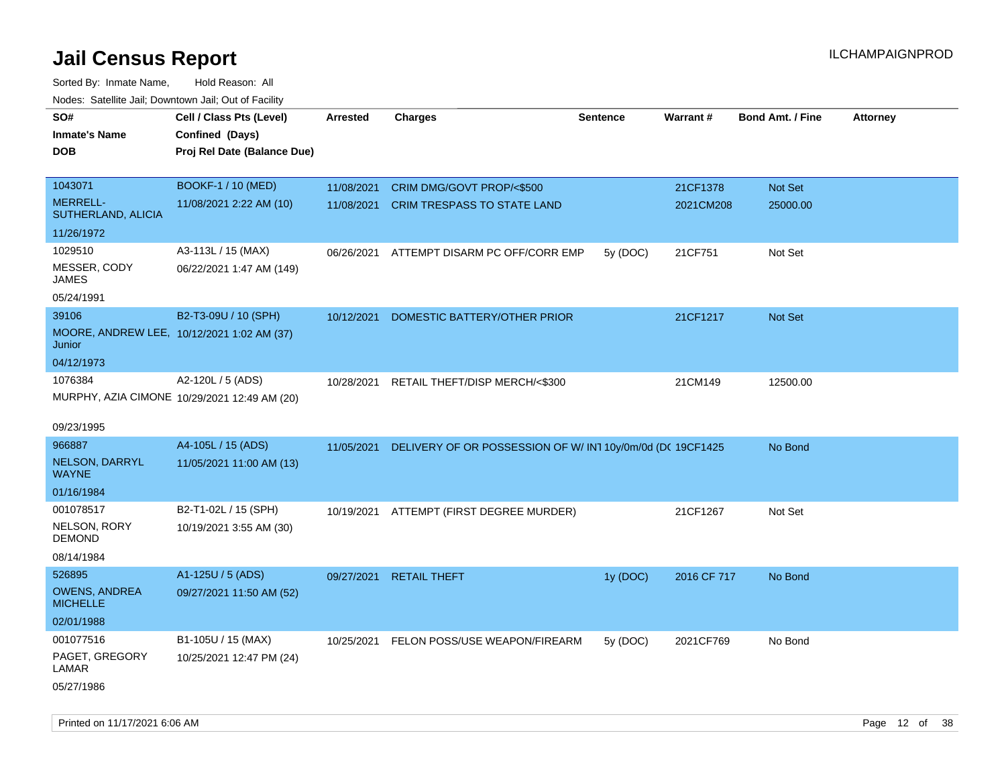| roacs. Catellite Jall, Downtown Jall, Out of Facility |                                              |                 |                                                            |                 |                 |                         |                 |
|-------------------------------------------------------|----------------------------------------------|-----------------|------------------------------------------------------------|-----------------|-----------------|-------------------------|-----------------|
| SO#                                                   | Cell / Class Pts (Level)                     | <b>Arrested</b> | <b>Charges</b>                                             | <b>Sentence</b> | <b>Warrant#</b> | <b>Bond Amt. / Fine</b> | <b>Attorney</b> |
| <b>Inmate's Name</b>                                  | Confined (Days)                              |                 |                                                            |                 |                 |                         |                 |
| <b>DOB</b>                                            | Proj Rel Date (Balance Due)                  |                 |                                                            |                 |                 |                         |                 |
|                                                       |                                              |                 |                                                            |                 |                 |                         |                 |
| 1043071                                               | <b>BOOKF-1 / 10 (MED)</b>                    | 11/08/2021      | CRIM DMG/GOVT PROP/<\$500                                  |                 | 21CF1378        | Not Set                 |                 |
| <b>MERRELL-</b><br>SUTHERLAND, ALICIA                 | 11/08/2021 2:22 AM (10)                      | 11/08/2021      | <b>CRIM TRESPASS TO STATE LAND</b>                         |                 | 2021CM208       | 25000.00                |                 |
| 11/26/1972                                            |                                              |                 |                                                            |                 |                 |                         |                 |
| 1029510                                               | A3-113L / 15 (MAX)                           | 06/26/2021      | ATTEMPT DISARM PC OFF/CORR EMP                             | 5y (DOC)        | 21CF751         | Not Set                 |                 |
| MESSER, CODY<br><b>JAMES</b>                          | 06/22/2021 1:47 AM (149)                     |                 |                                                            |                 |                 |                         |                 |
| 05/24/1991                                            |                                              |                 |                                                            |                 |                 |                         |                 |
| 39106                                                 | B2-T3-09U / 10 (SPH)                         | 10/12/2021      | DOMESTIC BATTERY/OTHER PRIOR                               |                 | 21CF1217        | <b>Not Set</b>          |                 |
| MOORE, ANDREW LEE, 10/12/2021 1:02 AM (37)<br>Junior  |                                              |                 |                                                            |                 |                 |                         |                 |
| 04/12/1973                                            |                                              |                 |                                                            |                 |                 |                         |                 |
| 1076384                                               | A2-120L / 5 (ADS)                            | 10/28/2021      | RETAIL THEFT/DISP MERCH/<\$300                             |                 | 21CM149         | 12500.00                |                 |
|                                                       | MURPHY, AZIA CIMONE 10/29/2021 12:49 AM (20) |                 |                                                            |                 |                 |                         |                 |
|                                                       |                                              |                 |                                                            |                 |                 |                         |                 |
| 09/23/1995                                            |                                              |                 |                                                            |                 |                 |                         |                 |
| 966887                                                | A4-105L / 15 (ADS)                           | 11/05/2021      | DELIVERY OF OR POSSESSION OF W/ IN1 10y/0m/0d (DC 19CF1425 |                 |                 | No Bond                 |                 |
| NELSON, DARRYL<br><b>WAYNE</b>                        | 11/05/2021 11:00 AM (13)                     |                 |                                                            |                 |                 |                         |                 |
| 01/16/1984                                            |                                              |                 |                                                            |                 |                 |                         |                 |
| 001078517                                             | B2-T1-02L / 15 (SPH)                         |                 | 10/19/2021 ATTEMPT (FIRST DEGREE MURDER)                   |                 | 21CF1267        | Not Set                 |                 |
| NELSON, RORY<br><b>DEMOND</b>                         | 10/19/2021 3:55 AM (30)                      |                 |                                                            |                 |                 |                         |                 |
| 08/14/1984                                            |                                              |                 |                                                            |                 |                 |                         |                 |
| 526895                                                | A1-125U / 5 (ADS)                            | 09/27/2021      | <b>RETAIL THEFT</b>                                        | 1y (DOC)        | 2016 CF 717     | No Bond                 |                 |
| <b>OWENS, ANDREA</b><br><b>MICHELLE</b>               | 09/27/2021 11:50 AM (52)                     |                 |                                                            |                 |                 |                         |                 |
| 02/01/1988                                            |                                              |                 |                                                            |                 |                 |                         |                 |
| 001077516                                             | B1-105U / 15 (MAX)                           | 10/25/2021      | FELON POSS/USE WEAPON/FIREARM                              | 5y (DOC)        | 2021CF769       | No Bond                 |                 |
| PAGET, GREGORY<br>LAMAR                               | 10/25/2021 12:47 PM (24)                     |                 |                                                            |                 |                 |                         |                 |
| 05/27/1986                                            |                                              |                 |                                                            |                 |                 |                         |                 |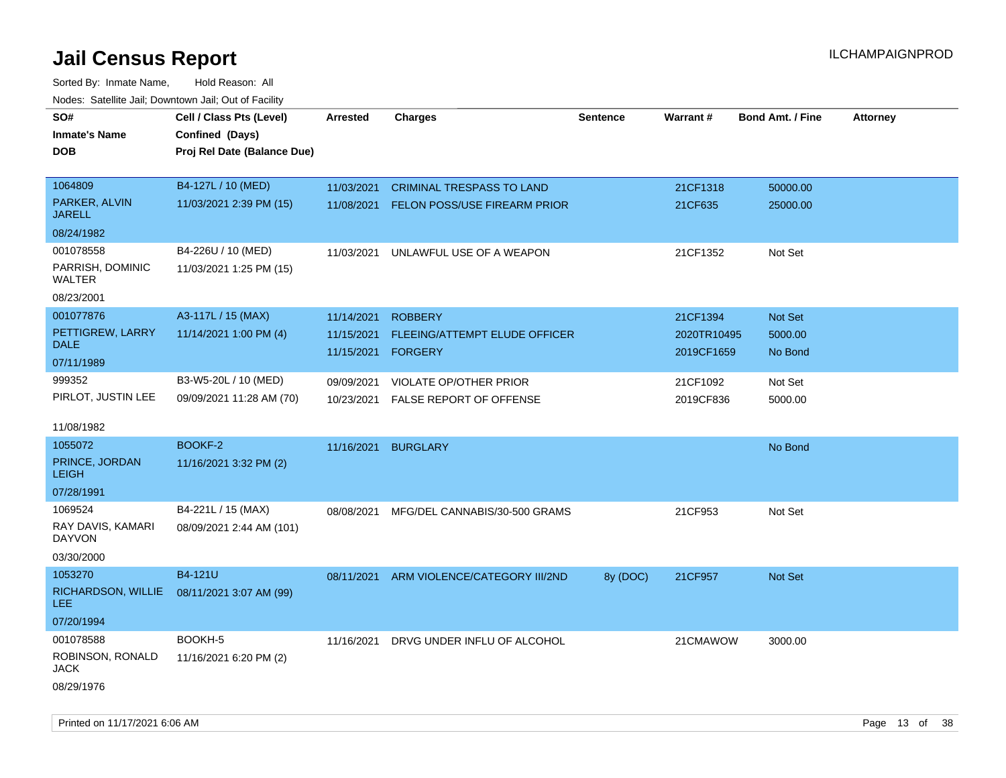Sorted By: Inmate Name, Hold Reason: All Nodes: Satellite Jail; Downtown Jail; Out of Facility

| Noues. Salemie Jan, Downtown Jan, Out of Facility |                             |                    |                                    |                 |             |                         |                 |
|---------------------------------------------------|-----------------------------|--------------------|------------------------------------|-----------------|-------------|-------------------------|-----------------|
| SO#                                               | Cell / Class Pts (Level)    | <b>Arrested</b>    | <b>Charges</b>                     | <b>Sentence</b> | Warrant#    | <b>Bond Amt. / Fine</b> | <b>Attorney</b> |
| <b>Inmate's Name</b>                              | Confined (Days)             |                    |                                    |                 |             |                         |                 |
| <b>DOB</b>                                        | Proj Rel Date (Balance Due) |                    |                                    |                 |             |                         |                 |
|                                                   |                             |                    |                                    |                 |             |                         |                 |
| 1064809                                           | B4-127L / 10 (MED)          | 11/03/2021         | <b>CRIMINAL TRESPASS TO LAND</b>   |                 | 21CF1318    | 50000.00                |                 |
| PARKER, ALVIN<br><b>JARELL</b>                    | 11/03/2021 2:39 PM (15)     | 11/08/2021         | FELON POSS/USE FIREARM PRIOR       |                 | 21CF635     | 25000.00                |                 |
| 08/24/1982                                        |                             |                    |                                    |                 |             |                         |                 |
| 001078558                                         | B4-226U / 10 (MED)          | 11/03/2021         | UNLAWFUL USE OF A WEAPON           |                 | 21CF1352    | Not Set                 |                 |
| PARRISH, DOMINIC<br>WALTER                        | 11/03/2021 1:25 PM (15)     |                    |                                    |                 |             |                         |                 |
| 08/23/2001                                        |                             |                    |                                    |                 |             |                         |                 |
| 001077876                                         | A3-117L / 15 (MAX)          | 11/14/2021         | <b>ROBBERY</b>                     |                 | 21CF1394    | Not Set                 |                 |
| PETTIGREW, LARRY                                  | 11/14/2021 1:00 PM (4)      | 11/15/2021         | FLEEING/ATTEMPT ELUDE OFFICER      |                 | 2020TR10495 | 5000.00                 |                 |
| <b>DALE</b>                                       |                             | 11/15/2021 FORGERY |                                    |                 | 2019CF1659  | No Bond                 |                 |
| 07/11/1989                                        |                             |                    |                                    |                 |             |                         |                 |
| 999352                                            | B3-W5-20L / 10 (MED)        | 09/09/2021         | VIOLATE OP/OTHER PRIOR             |                 | 21CF1092    | Not Set                 |                 |
| PIRLOT, JUSTIN LEE                                | 09/09/2021 11:28 AM (70)    |                    | 10/23/2021 FALSE REPORT OF OFFENSE |                 | 2019CF836   | 5000.00                 |                 |
|                                                   |                             |                    |                                    |                 |             |                         |                 |
| 11/08/1982                                        |                             |                    |                                    |                 |             |                         |                 |
| 1055072                                           | BOOKF-2                     | 11/16/2021         | <b>BURGLARY</b>                    |                 |             | No Bond                 |                 |
| PRINCE, JORDAN<br><b>LEIGH</b>                    | 11/16/2021 3:32 PM (2)      |                    |                                    |                 |             |                         |                 |
| 07/28/1991                                        |                             |                    |                                    |                 |             |                         |                 |
| 1069524                                           | B4-221L / 15 (MAX)          | 08/08/2021         | MFG/DEL CANNABIS/30-500 GRAMS      |                 | 21CF953     | Not Set                 |                 |
| RAY DAVIS, KAMARI<br><b>DAYVON</b>                | 08/09/2021 2:44 AM (101)    |                    |                                    |                 |             |                         |                 |
| 03/30/2000                                        |                             |                    |                                    |                 |             |                         |                 |
| 1053270                                           | B4-121U                     | 08/11/2021         | ARM VIOLENCE/CATEGORY III/2ND      | 8y (DOC)        | 21CF957     | <b>Not Set</b>          |                 |
| RICHARDSON, WILLIE<br><b>LEE</b>                  | 08/11/2021 3:07 AM (99)     |                    |                                    |                 |             |                         |                 |
| 07/20/1994                                        |                             |                    |                                    |                 |             |                         |                 |
| 001078588                                         | BOOKH-5                     | 11/16/2021         | DRVG UNDER INFLU OF ALCOHOL        |                 | 21CMAWOW    | 3000.00                 |                 |
| ROBINSON, RONALD<br>JACK                          | 11/16/2021 6:20 PM (2)      |                    |                                    |                 |             |                         |                 |
| 08/29/1976                                        |                             |                    |                                    |                 |             |                         |                 |

Printed on 11/17/2021 6:06 AM **Page 13** of 38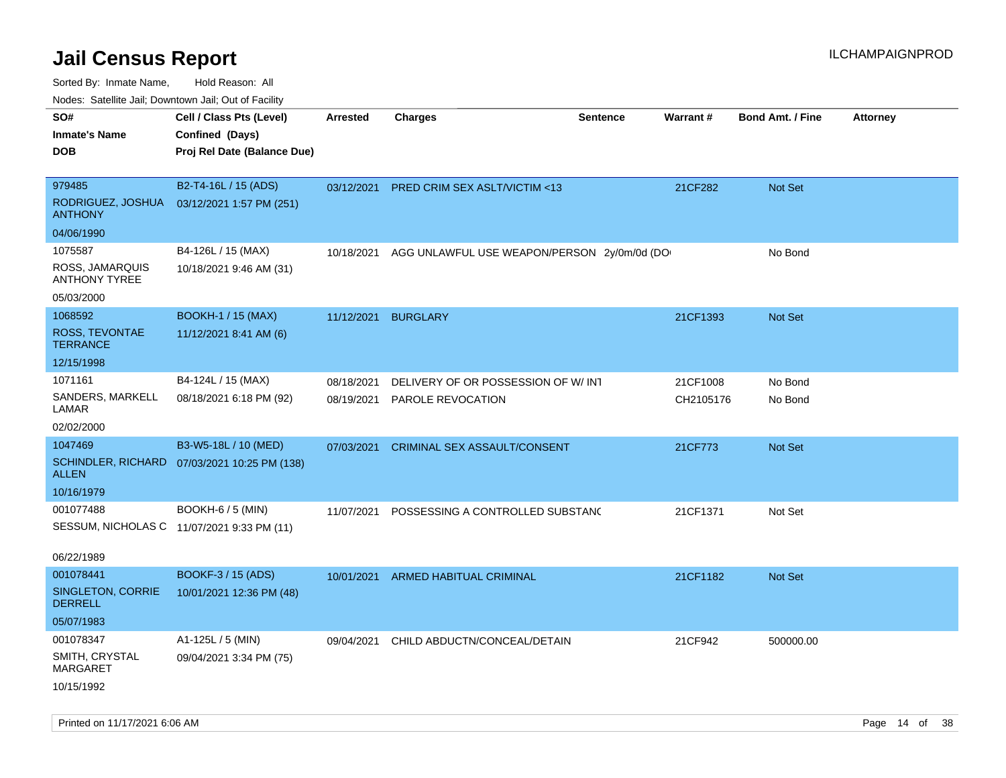| Noues. Sateme Jan, Downtown Jan, Out or Facility |                                              |                 |                                             |                 |           |                         |                 |
|--------------------------------------------------|----------------------------------------------|-----------------|---------------------------------------------|-----------------|-----------|-------------------------|-----------------|
| SO#                                              | Cell / Class Pts (Level)                     | <b>Arrested</b> | <b>Charges</b>                              | <b>Sentence</b> | Warrant#  | <b>Bond Amt. / Fine</b> | <b>Attorney</b> |
| <b>Inmate's Name</b>                             | Confined (Days)                              |                 |                                             |                 |           |                         |                 |
| <b>DOB</b>                                       | Proj Rel Date (Balance Due)                  |                 |                                             |                 |           |                         |                 |
|                                                  |                                              |                 |                                             |                 |           |                         |                 |
| 979485                                           | B2-T4-16L / 15 (ADS)                         | 03/12/2021      | PRED CRIM SEX ASLT/VICTIM <13               |                 | 21CF282   | Not Set                 |                 |
| RODRIGUEZ, JOSHUA<br><b>ANTHONY</b>              | 03/12/2021 1:57 PM (251)                     |                 |                                             |                 |           |                         |                 |
| 04/06/1990                                       |                                              |                 |                                             |                 |           |                         |                 |
| 1075587                                          | B4-126L / 15 (MAX)                           | 10/18/2021      | AGG UNLAWFUL USE WEAPON/PERSON 2y/0m/0d (DO |                 |           | No Bond                 |                 |
| ROSS, JAMARQUIS<br><b>ANTHONY TYREE</b>          | 10/18/2021 9:46 AM (31)                      |                 |                                             |                 |           |                         |                 |
| 05/03/2000                                       |                                              |                 |                                             |                 |           |                         |                 |
| 1068592                                          | <b>BOOKH-1 / 15 (MAX)</b>                    | 11/12/2021      | <b>BURGLARY</b>                             |                 | 21CF1393  | <b>Not Set</b>          |                 |
| ROSS, TEVONTAE<br><b>TERRANCE</b>                | 11/12/2021 8:41 AM (6)                       |                 |                                             |                 |           |                         |                 |
| 12/15/1998                                       |                                              |                 |                                             |                 |           |                         |                 |
| 1071161                                          | B4-124L / 15 (MAX)                           | 08/18/2021      | DELIVERY OF OR POSSESSION OF W/INT          |                 | 21CF1008  | No Bond                 |                 |
| SANDERS, MARKELL<br>LAMAR                        | 08/18/2021 6:18 PM (92)                      | 08/19/2021      | PAROLE REVOCATION                           |                 | CH2105176 | No Bond                 |                 |
| 02/02/2000                                       |                                              |                 |                                             |                 |           |                         |                 |
| 1047469                                          | B3-W5-18L / 10 (MED)                         | 07/03/2021      | <b>CRIMINAL SEX ASSAULT/CONSENT</b>         |                 | 21CF773   | Not Set                 |                 |
| <b>ALLEN</b>                                     | SCHINDLER, RICHARD 07/03/2021 10:25 PM (138) |                 |                                             |                 |           |                         |                 |
| 10/16/1979                                       |                                              |                 |                                             |                 |           |                         |                 |
| 001077488                                        | <b>BOOKH-6 / 5 (MIN)</b>                     | 11/07/2021      | POSSESSING A CONTROLLED SUBSTAND            |                 | 21CF1371  | Not Set                 |                 |
|                                                  | SESSUM, NICHOLAS C 11/07/2021 9:33 PM (11)   |                 |                                             |                 |           |                         |                 |
|                                                  |                                              |                 |                                             |                 |           |                         |                 |
| 06/22/1989                                       |                                              |                 |                                             |                 |           |                         |                 |
| 001078441                                        | BOOKF-3 / 15 (ADS)                           | 10/01/2021      | <b>ARMED HABITUAL CRIMINAL</b>              |                 | 21CF1182  | Not Set                 |                 |
| SINGLETON, CORRIE<br><b>DERRELL</b>              | 10/01/2021 12:36 PM (48)                     |                 |                                             |                 |           |                         |                 |
| 05/07/1983                                       |                                              |                 |                                             |                 |           |                         |                 |
| 001078347                                        | A1-125L / 5 (MIN)                            |                 | 09/04/2021 CHILD ABDUCTN/CONCEAL/DETAIN     |                 | 21CF942   | 500000.00               |                 |
| SMITH, CRYSTAL<br>MARGARET                       | 09/04/2021 3:34 PM (75)                      |                 |                                             |                 |           |                         |                 |
| 10/15/1992                                       |                                              |                 |                                             |                 |           |                         |                 |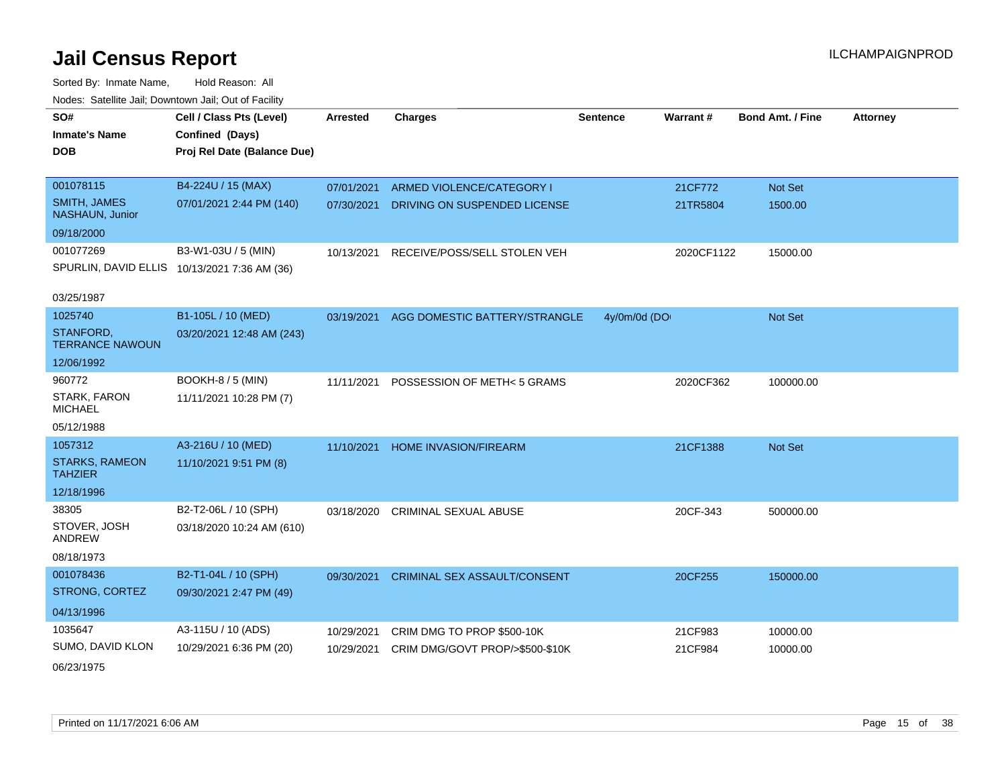| SO#                                     | Cell / Class Pts (Level)                     | <b>Arrested</b> | <b>Charges</b>                      | <b>Sentence</b> | Warrant#   | <b>Bond Amt. / Fine</b> | <b>Attorney</b> |
|-----------------------------------------|----------------------------------------------|-----------------|-------------------------------------|-----------------|------------|-------------------------|-----------------|
| <b>Inmate's Name</b>                    | Confined (Days)                              |                 |                                     |                 |            |                         |                 |
| <b>DOB</b>                              | Proj Rel Date (Balance Due)                  |                 |                                     |                 |            |                         |                 |
|                                         |                                              |                 |                                     |                 |            |                         |                 |
| 001078115                               | B4-224U / 15 (MAX)                           | 07/01/2021      | ARMED VIOLENCE/CATEGORY I           |                 | 21CF772    | Not Set                 |                 |
| <b>SMITH, JAMES</b><br>NASHAUN, Junior  | 07/01/2021 2:44 PM (140)                     | 07/30/2021      | DRIVING ON SUSPENDED LICENSE        |                 | 21TR5804   | 1500.00                 |                 |
| 09/18/2000                              |                                              |                 |                                     |                 |            |                         |                 |
| 001077269                               | B3-W1-03U / 5 (MIN)                          | 10/13/2021      | RECEIVE/POSS/SELL STOLEN VEH        |                 | 2020CF1122 | 15000.00                |                 |
|                                         | SPURLIN, DAVID ELLIS 10/13/2021 7:36 AM (36) |                 |                                     |                 |            |                         |                 |
|                                         |                                              |                 |                                     |                 |            |                         |                 |
| 03/25/1987                              |                                              |                 |                                     |                 |            |                         |                 |
| 1025740                                 | B1-105L / 10 (MED)                           | 03/19/2021      | AGG DOMESTIC BATTERY/STRANGLE       | 4y/0m/0d (DO    |            | Not Set                 |                 |
| STANFORD,<br><b>TERRANCE NAWOUN</b>     | 03/20/2021 12:48 AM (243)                    |                 |                                     |                 |            |                         |                 |
| 12/06/1992                              |                                              |                 |                                     |                 |            |                         |                 |
| 960772                                  | BOOKH-8 / 5 (MIN)                            | 11/11/2021      | POSSESSION OF METH< 5 GRAMS         |                 | 2020CF362  | 100000.00               |                 |
| <b>STARK, FARON</b><br><b>MICHAEL</b>   | 11/11/2021 10:28 PM (7)                      |                 |                                     |                 |            |                         |                 |
| 05/12/1988                              |                                              |                 |                                     |                 |            |                         |                 |
| 1057312                                 | A3-216U / 10 (MED)                           | 11/10/2021      | <b>HOME INVASION/FIREARM</b>        |                 | 21CF1388   | Not Set                 |                 |
| <b>STARKS, RAMEON</b><br><b>TAHZIER</b> | 11/10/2021 9:51 PM (8)                       |                 |                                     |                 |            |                         |                 |
| 12/18/1996                              |                                              |                 |                                     |                 |            |                         |                 |
| 38305                                   | B2-T2-06L / 10 (SPH)                         | 03/18/2020      | <b>CRIMINAL SEXUAL ABUSE</b>        |                 | 20CF-343   | 500000.00               |                 |
| STOVER, JOSH<br>ANDREW                  | 03/18/2020 10:24 AM (610)                    |                 |                                     |                 |            |                         |                 |
| 08/18/1973                              |                                              |                 |                                     |                 |            |                         |                 |
| 001078436                               | B2-T1-04L / 10 (SPH)                         | 09/30/2021      | <b>CRIMINAL SEX ASSAULT/CONSENT</b> |                 | 20CF255    | 150000.00               |                 |
| STRONG, CORTEZ                          | 09/30/2021 2:47 PM (49)                      |                 |                                     |                 |            |                         |                 |
| 04/13/1996                              |                                              |                 |                                     |                 |            |                         |                 |
| 1035647                                 | A3-115U / 10 (ADS)                           | 10/29/2021      | CRIM DMG TO PROP \$500-10K          |                 | 21CF983    | 10000.00                |                 |
| SUMO, DAVID KLON                        | 10/29/2021 6:36 PM (20)                      | 10/29/2021      | CRIM DMG/GOVT PROP/>\$500-\$10K     |                 | 21CF984    | 10000.00                |                 |
| 06/23/1975                              |                                              |                 |                                     |                 |            |                         |                 |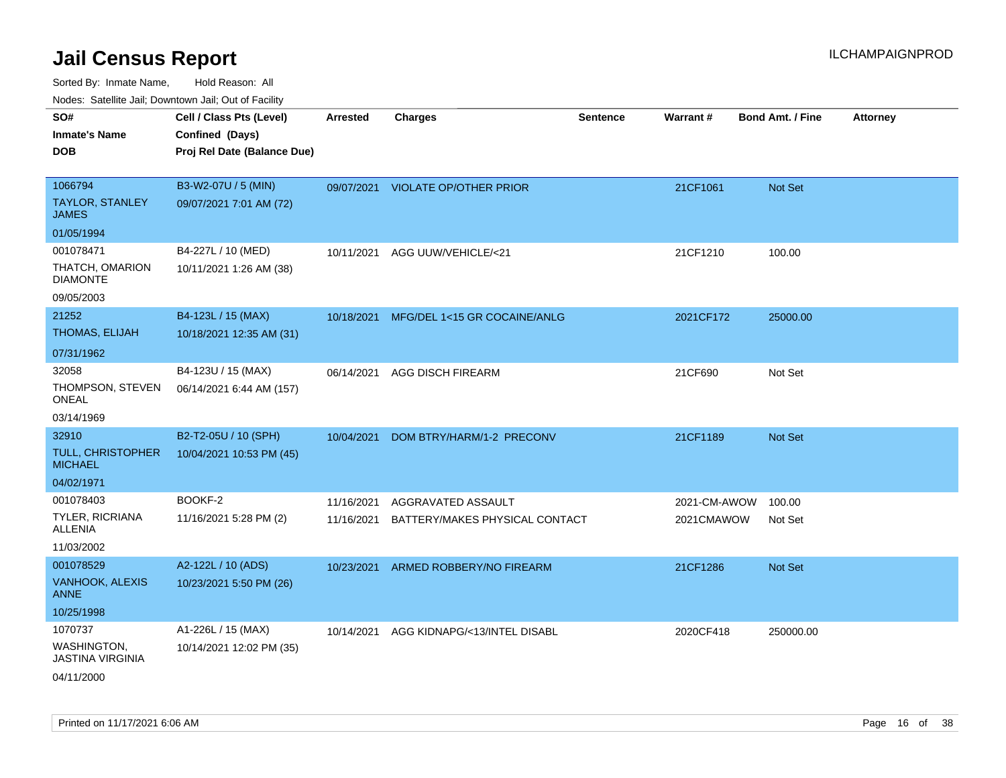| SO#                                    | Cell / Class Pts (Level)    | Arrested   | <b>Charges</b>                    | <b>Sentence</b> | <b>Warrant#</b> | <b>Bond Amt. / Fine</b> | <b>Attorney</b> |
|----------------------------------------|-----------------------------|------------|-----------------------------------|-----------------|-----------------|-------------------------|-----------------|
| <b>Inmate's Name</b>                   | Confined (Days)             |            |                                   |                 |                 |                         |                 |
| <b>DOB</b>                             | Proj Rel Date (Balance Due) |            |                                   |                 |                 |                         |                 |
|                                        |                             |            |                                   |                 |                 |                         |                 |
| 1066794                                | B3-W2-07U / 5 (MIN)         |            | 09/07/2021 VIOLATE OP/OTHER PRIOR |                 | 21CF1061        | Not Set                 |                 |
| TAYLOR, STANLEY<br><b>JAMES</b>        | 09/07/2021 7:01 AM (72)     |            |                                   |                 |                 |                         |                 |
| 01/05/1994                             |                             |            |                                   |                 |                 |                         |                 |
| 001078471                              | B4-227L / 10 (MED)          | 10/11/2021 | AGG UUW/VEHICLE/<21               |                 | 21CF1210        | 100.00                  |                 |
| THATCH, OMARION<br><b>DIAMONTE</b>     | 10/11/2021 1:26 AM (38)     |            |                                   |                 |                 |                         |                 |
| 09/05/2003                             |                             |            |                                   |                 |                 |                         |                 |
| 21252                                  | B4-123L / 15 (MAX)          | 10/18/2021 | MFG/DEL 1<15 GR COCAINE/ANLG      |                 | 2021CF172       | 25000.00                |                 |
| THOMAS, ELIJAH                         | 10/18/2021 12:35 AM (31)    |            |                                   |                 |                 |                         |                 |
| 07/31/1962                             |                             |            |                                   |                 |                 |                         |                 |
| 32058                                  | B4-123U / 15 (MAX)          | 06/14/2021 | <b>AGG DISCH FIREARM</b>          |                 | 21CF690         | Not Set                 |                 |
| THOMPSON, STEVEN<br><b>ONEAL</b>       | 06/14/2021 6:44 AM (157)    |            |                                   |                 |                 |                         |                 |
| 03/14/1969                             |                             |            |                                   |                 |                 |                         |                 |
| 32910                                  | B2-T2-05U / 10 (SPH)        | 10/04/2021 | DOM BTRY/HARM/1-2 PRECONV         |                 | 21CF1189        | Not Set                 |                 |
| TULL, CHRISTOPHER<br><b>MICHAEL</b>    | 10/04/2021 10:53 PM (45)    |            |                                   |                 |                 |                         |                 |
| 04/02/1971                             |                             |            |                                   |                 |                 |                         |                 |
| 001078403                              | BOOKF-2                     | 11/16/2021 | AGGRAVATED ASSAULT                |                 | 2021-CM-AWOW    | 100.00                  |                 |
| TYLER, RICRIANA<br>ALLENIA             | 11/16/2021 5:28 PM (2)      | 11/16/2021 | BATTERY/MAKES PHYSICAL CONTACT    |                 | 2021CMAWOW      | Not Set                 |                 |
| 11/03/2002                             |                             |            |                                   |                 |                 |                         |                 |
| 001078529                              | A2-122L / 10 (ADS)          | 10/23/2021 | ARMED ROBBERY/NO FIREARM          |                 | 21CF1286        | Not Set                 |                 |
| VANHOOK, ALEXIS<br><b>ANNE</b>         | 10/23/2021 5:50 PM (26)     |            |                                   |                 |                 |                         |                 |
| 10/25/1998                             |                             |            |                                   |                 |                 |                         |                 |
| 1070737                                | A1-226L / 15 (MAX)          | 10/14/2021 | AGG KIDNAPG/<13/INTEL DISABL      |                 | 2020CF418       | 250000.00               |                 |
| WASHINGTON,<br><b>JASTINA VIRGINIA</b> | 10/14/2021 12:02 PM (35)    |            |                                   |                 |                 |                         |                 |
| 04/11/2000                             |                             |            |                                   |                 |                 |                         |                 |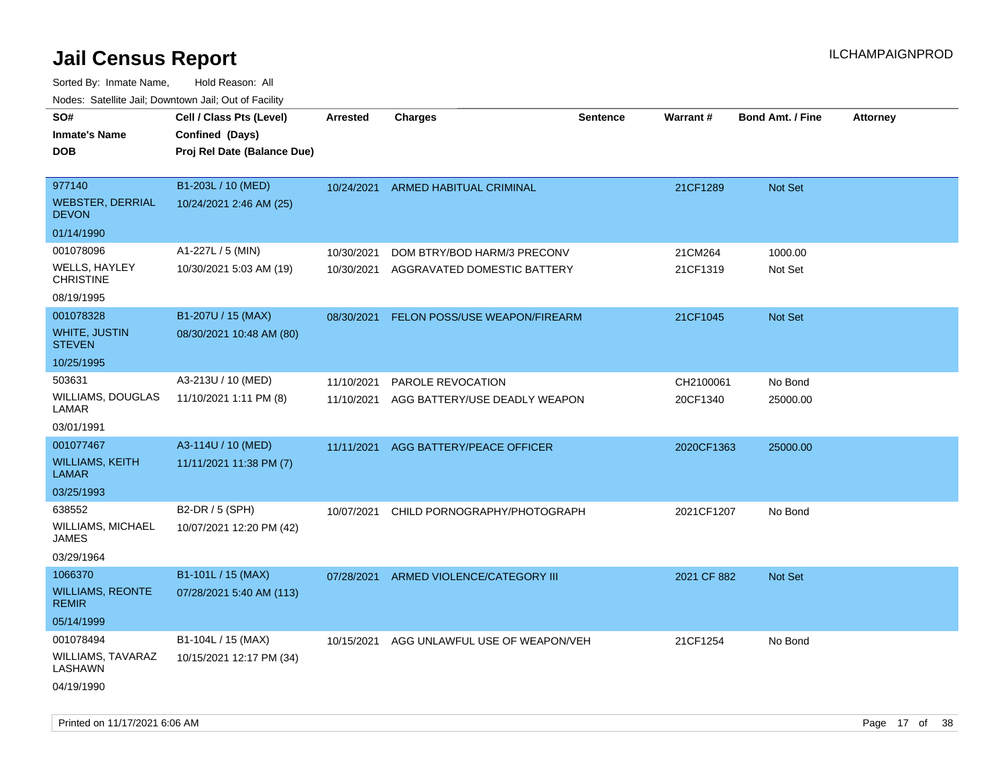| rougs. Calcing Jan, Downtown Jan, Out of Facility  |                                                                            |                 |                                    |          |             |                         |                 |
|----------------------------------------------------|----------------------------------------------------------------------------|-----------------|------------------------------------|----------|-------------|-------------------------|-----------------|
| SO#<br><b>Inmate's Name</b><br><b>DOB</b>          | Cell / Class Pts (Level)<br>Confined (Days)<br>Proj Rel Date (Balance Due) | <b>Arrested</b> | <b>Charges</b>                     | Sentence | Warrant#    | <b>Bond Amt. / Fine</b> | <b>Attorney</b> |
| 977140<br><b>WEBSTER, DERRIAL</b><br><b>DEVON</b>  | B1-203L / 10 (MED)<br>10/24/2021 2:46 AM (25)                              |                 | 10/24/2021 ARMED HABITUAL CRIMINAL |          | 21CF1289    | Not Set                 |                 |
| 01/14/1990                                         |                                                                            |                 |                                    |          |             |                         |                 |
| 001078096                                          | A1-227L / 5 (MIN)                                                          | 10/30/2021      | DOM BTRY/BOD HARM/3 PRECONV        |          | 21CM264     | 1000.00                 |                 |
| <b>WELLS, HAYLEY</b><br><b>CHRISTINE</b>           | 10/30/2021 5:03 AM (19)                                                    | 10/30/2021      | AGGRAVATED DOMESTIC BATTERY        |          | 21CF1319    | Not Set                 |                 |
| 08/19/1995                                         |                                                                            |                 |                                    |          |             |                         |                 |
| 001078328<br><b>WHITE, JUSTIN</b><br><b>STEVEN</b> | B1-207U / 15 (MAX)<br>08/30/2021 10:48 AM (80)                             | 08/30/2021      | FELON POSS/USE WEAPON/FIREARM      |          | 21CF1045    | <b>Not Set</b>          |                 |
| 10/25/1995                                         |                                                                            |                 |                                    |          |             |                         |                 |
| 503631                                             | A3-213U / 10 (MED)                                                         | 11/10/2021      | PAROLE REVOCATION                  |          | CH2100061   | No Bond                 |                 |
| WILLIAMS, DOUGLAS<br>LAMAR                         | 11/10/2021 1:11 PM (8)                                                     | 11/10/2021      | AGG BATTERY/USE DEADLY WEAPON      |          | 20CF1340    | 25000.00                |                 |
| 03/01/1991                                         |                                                                            |                 |                                    |          |             |                         |                 |
| 001077467                                          | A3-114U / 10 (MED)                                                         | 11/11/2021      | AGG BATTERY/PEACE OFFICER          |          | 2020CF1363  | 25000.00                |                 |
| <b>WILLIAMS, KEITH</b><br>LAMAR                    | 11/11/2021 11:38 PM (7)                                                    |                 |                                    |          |             |                         |                 |
| 03/25/1993                                         |                                                                            |                 |                                    |          |             |                         |                 |
| 638552                                             | B2-DR / 5 (SPH)                                                            | 10/07/2021      | CHILD PORNOGRAPHY/PHOTOGRAPH       |          | 2021CF1207  | No Bond                 |                 |
| WILLIAMS, MICHAEL<br>JAMES                         | 10/07/2021 12:20 PM (42)                                                   |                 |                                    |          |             |                         |                 |
| 03/29/1964                                         |                                                                            |                 |                                    |          |             |                         |                 |
| 1066370                                            | B1-101L / 15 (MAX)                                                         | 07/28/2021      | ARMED VIOLENCE/CATEGORY III        |          | 2021 CF 882 | <b>Not Set</b>          |                 |
| <b>WILLIAMS, REONTE</b><br><b>REMIR</b>            | 07/28/2021 5:40 AM (113)                                                   |                 |                                    |          |             |                         |                 |
| 05/14/1999                                         |                                                                            |                 |                                    |          |             |                         |                 |
| 001078494                                          | B1-104L / 15 (MAX)                                                         | 10/15/2021      | AGG UNLAWFUL USE OF WEAPON/VEH     |          | 21CF1254    | No Bond                 |                 |
| WILLIAMS, TAVARAZ<br>LASHAWN                       | 10/15/2021 12:17 PM (34)                                                   |                 |                                    |          |             |                         |                 |
| 04/19/1990                                         |                                                                            |                 |                                    |          |             |                         |                 |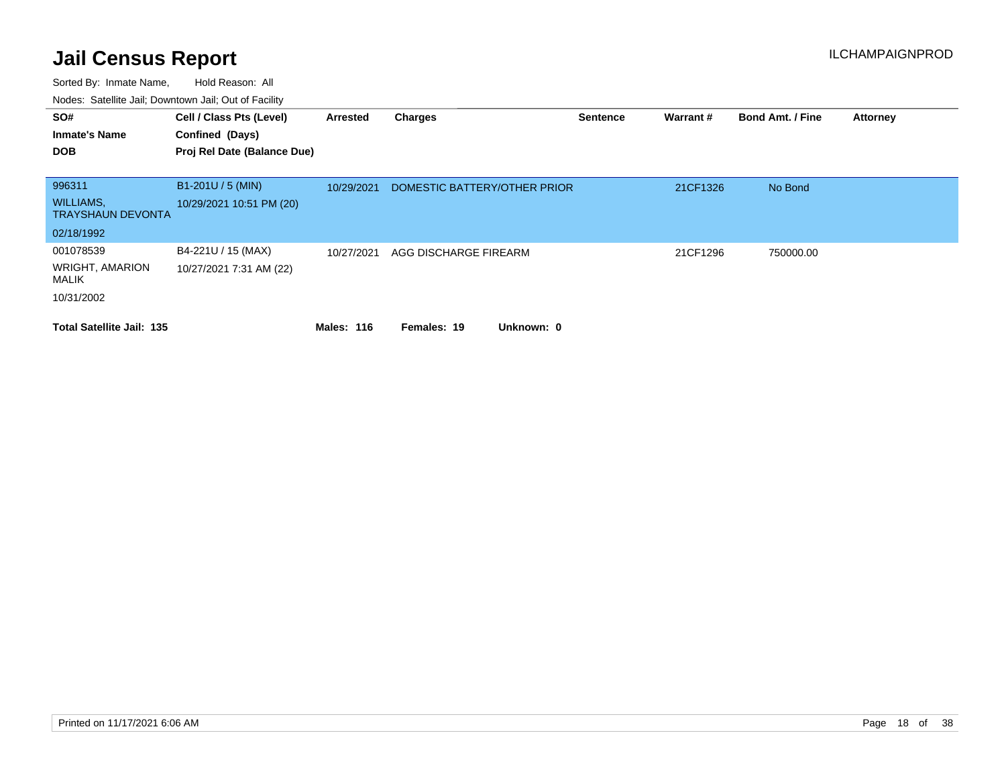| SO#<br><b>Inmate's Name</b><br><b>DOB</b>    | Cell / Class Pts (Level)<br>Confined (Days)<br>Proj Rel Date (Balance Due) | Arrested          | <b>Charges</b>               | <b>Sentence</b> | Warrant # | <b>Bond Amt. / Fine</b> | <b>Attorney</b> |
|----------------------------------------------|----------------------------------------------------------------------------|-------------------|------------------------------|-----------------|-----------|-------------------------|-----------------|
|                                              |                                                                            |                   |                              |                 |           |                         |                 |
| 996311                                       | B1-201U / 5 (MIN)                                                          | 10/29/2021        | DOMESTIC BATTERY/OTHER PRIOR |                 | 21CF1326  | No Bond                 |                 |
| <b>WILLIAMS,</b><br><b>TRAYSHAUN DEVONTA</b> | 10/29/2021 10:51 PM (20)                                                   |                   |                              |                 |           |                         |                 |
| 02/18/1992                                   |                                                                            |                   |                              |                 |           |                         |                 |
| 001078539                                    | B4-221U / 15 (MAX)                                                         | 10/27/2021        | AGG DISCHARGE FIREARM        |                 | 21CF1296  | 750000.00               |                 |
| <b>WRIGHT, AMARION</b><br>MALIK              | 10/27/2021 7:31 AM (22)                                                    |                   |                              |                 |           |                         |                 |
| 10/31/2002                                   |                                                                            |                   |                              |                 |           |                         |                 |
| <b>Total Satellite Jail: 135</b>             |                                                                            | <b>Males: 116</b> | Unknown: 0<br>Females: 19    |                 |           |                         |                 |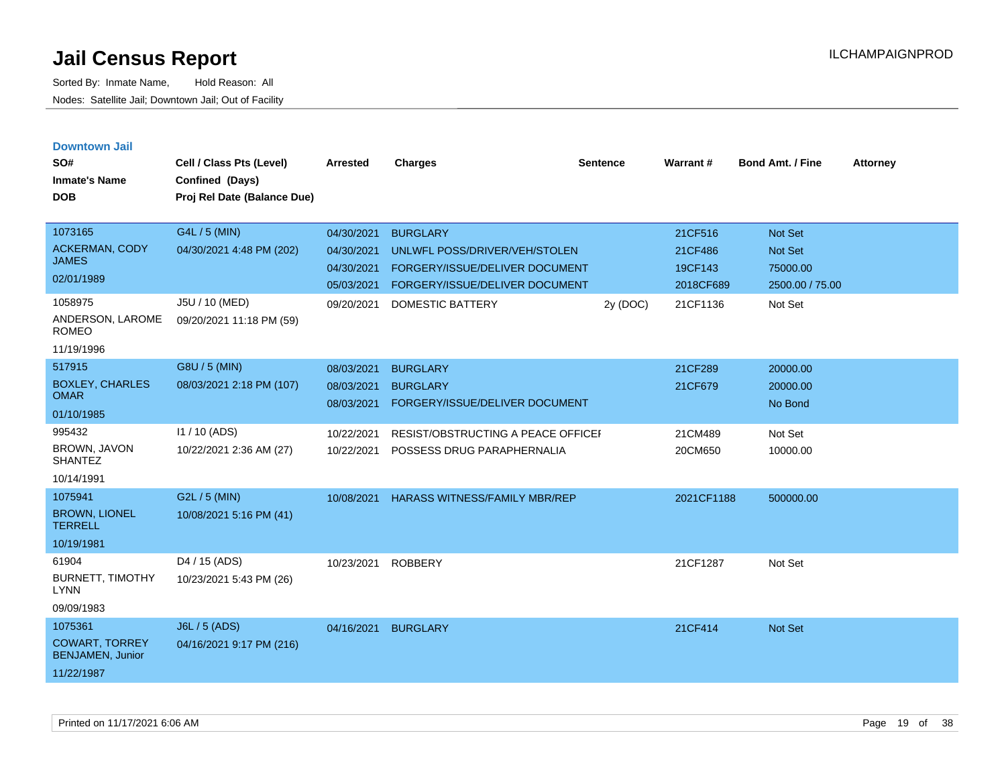| <b>Downtown Jail</b><br>SO#<br><b>Inmate's Name</b><br><b>DOB</b>         | Cell / Class Pts (Level)<br>Confined (Days)<br>Proj Rel Date (Balance Due) | Arrested                                             | <b>Charges</b>                                                                                                       | <b>Sentence</b> | Warrant#                                   | <b>Bond Amt. / Fine</b>                           | <b>Attorney</b> |
|---------------------------------------------------------------------------|----------------------------------------------------------------------------|------------------------------------------------------|----------------------------------------------------------------------------------------------------------------------|-----------------|--------------------------------------------|---------------------------------------------------|-----------------|
| 1073165<br><b>ACKERMAN, CODY</b><br><b>JAMES</b><br>02/01/1989            | G4L / 5 (MIN)<br>04/30/2021 4:48 PM (202)                                  | 04/30/2021<br>04/30/2021<br>04/30/2021<br>05/03/2021 | <b>BURGLARY</b><br>UNLWFL POSS/DRIVER/VEH/STOLEN<br>FORGERY/ISSUE/DELIVER DOCUMENT<br>FORGERY/ISSUE/DELIVER DOCUMENT |                 | 21CF516<br>21CF486<br>19CF143<br>2018CF689 | Not Set<br>Not Set<br>75000.00<br>2500.00 / 75.00 |                 |
| 1058975<br>ANDERSON, LAROME<br><b>ROMEO</b><br>11/19/1996                 | J5U / 10 (MED)<br>09/20/2021 11:18 PM (59)                                 | 09/20/2021                                           | <b>DOMESTIC BATTERY</b>                                                                                              | 2y (DOC)        | 21CF1136                                   | Not Set                                           |                 |
| 517915<br><b>BOXLEY, CHARLES</b><br><b>OMAR</b><br>01/10/1985             | G8U / 5 (MIN)<br>08/03/2021 2:18 PM (107)                                  | 08/03/2021<br>08/03/2021<br>08/03/2021               | <b>BURGLARY</b><br><b>BURGLARY</b><br>FORGERY/ISSUE/DELIVER DOCUMENT                                                 |                 | 21CF289<br>21CF679                         | 20000.00<br>20000.00<br>No Bond                   |                 |
| 995432<br><b>BROWN, JAVON</b><br><b>SHANTEZ</b><br>10/14/1991             | 11 / 10 (ADS)<br>10/22/2021 2:36 AM (27)                                   | 10/22/2021<br>10/22/2021                             | <b>RESIST/OBSTRUCTING A PEACE OFFICEF</b><br>POSSESS DRUG PARAPHERNALIA                                              |                 | 21CM489<br>20CM650                         | Not Set<br>10000.00                               |                 |
| 1075941<br><b>BROWN, LIONEL</b><br><b>TERRELL</b><br>10/19/1981           | G2L / 5 (MIN)<br>10/08/2021 5:16 PM (41)                                   | 10/08/2021                                           | <b>HARASS WITNESS/FAMILY MBR/REP</b>                                                                                 |                 | 2021CF1188                                 | 500000.00                                         |                 |
| 61904<br><b>BURNETT, TIMOTHY</b><br><b>LYNN</b><br>09/09/1983             | D4 / 15 (ADS)<br>10/23/2021 5:43 PM (26)                                   | 10/23/2021                                           | <b>ROBBERY</b>                                                                                                       |                 | 21CF1287                                   | Not Set                                           |                 |
| 1075361<br><b>COWART, TORREY</b><br><b>BENJAMEN, Junior</b><br>11/22/1987 | J6L / 5 (ADS)<br>04/16/2021 9:17 PM (216)                                  | 04/16/2021                                           | <b>BURGLARY</b>                                                                                                      |                 | 21CF414                                    | Not Set                                           |                 |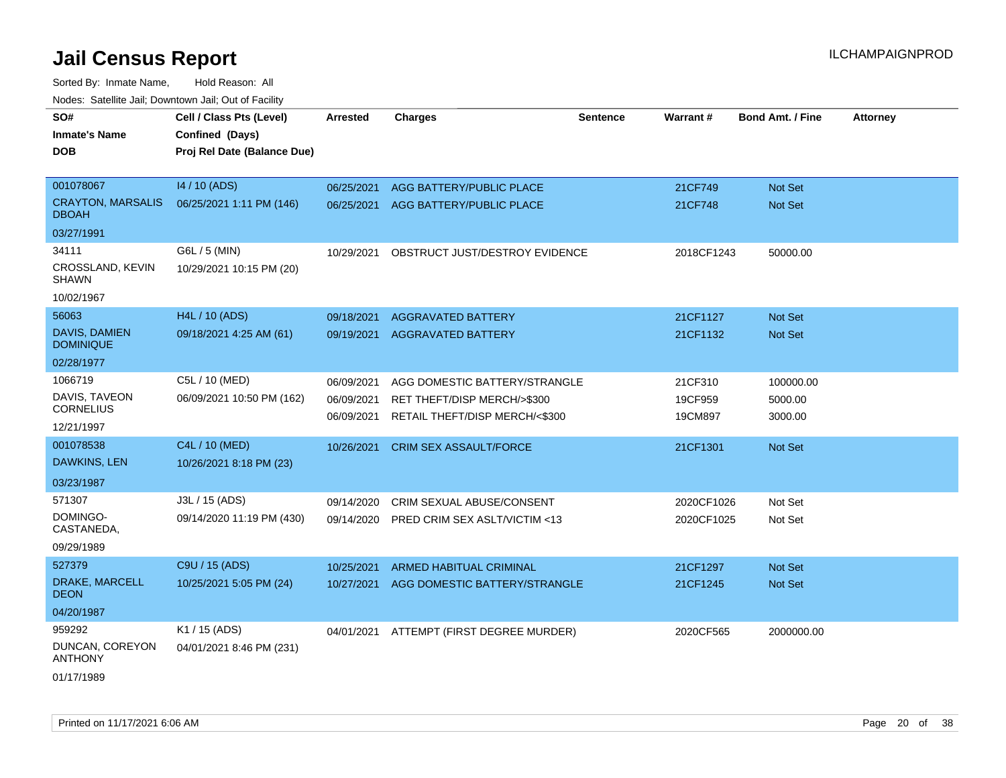Sorted By: Inmate Name, Hold Reason: All

| Nodes: Satellite Jail; Downtown Jail; Out of Facility |  |
|-------------------------------------------------------|--|
|                                                       |  |

| 001078067<br>14 / 10 (ADS)<br>06/25/2021<br>AGG BATTERY/PUBLIC PLACE<br>Not Set<br>21CF749<br><b>CRAYTON, MARSALIS</b><br>06/25/2021 1:11 PM (146)<br>06/25/2021<br>21CF748<br>Not Set<br>AGG BATTERY/PUBLIC PLACE<br><b>DBOAH</b><br>03/27/1991<br>34111<br>G6L / 5 (MIN)<br>50000.00<br>10/29/2021<br>OBSTRUCT JUST/DESTROY EVIDENCE<br>2018CF1243<br>CROSSLAND, KEVIN<br>10/29/2021 10:15 PM (20)<br><b>SHAWN</b><br>10/02/1967<br>56063<br>H4L / 10 (ADS)<br>09/18/2021<br>21CF1127<br>Not Set<br><b>AGGRAVATED BATTERY</b><br>DAVIS, DAMIEN | SO#<br><b>Inmate's Name</b><br><b>DOB</b> | Cell / Class Pts (Level)<br>Confined (Days)<br>Proj Rel Date (Balance Due) | <b>Arrested</b> | <b>Charges</b>            | <b>Sentence</b> | Warrant# | <b>Bond Amt. / Fine</b> | <b>Attorney</b> |
|--------------------------------------------------------------------------------------------------------------------------------------------------------------------------------------------------------------------------------------------------------------------------------------------------------------------------------------------------------------------------------------------------------------------------------------------------------------------------------------------------------------------------------------------------|-------------------------------------------|----------------------------------------------------------------------------|-----------------|---------------------------|-----------------|----------|-------------------------|-----------------|
|                                                                                                                                                                                                                                                                                                                                                                                                                                                                                                                                                  |                                           |                                                                            |                 |                           |                 |          |                         |                 |
|                                                                                                                                                                                                                                                                                                                                                                                                                                                                                                                                                  |                                           |                                                                            |                 |                           |                 |          |                         |                 |
|                                                                                                                                                                                                                                                                                                                                                                                                                                                                                                                                                  |                                           |                                                                            |                 |                           |                 |          |                         |                 |
|                                                                                                                                                                                                                                                                                                                                                                                                                                                                                                                                                  |                                           |                                                                            |                 |                           |                 |          |                         |                 |
|                                                                                                                                                                                                                                                                                                                                                                                                                                                                                                                                                  |                                           |                                                                            |                 |                           |                 |          |                         |                 |
|                                                                                                                                                                                                                                                                                                                                                                                                                                                                                                                                                  |                                           |                                                                            |                 |                           |                 |          |                         |                 |
|                                                                                                                                                                                                                                                                                                                                                                                                                                                                                                                                                  |                                           |                                                                            |                 |                           |                 |          |                         |                 |
| <b>DOMINIQUE</b>                                                                                                                                                                                                                                                                                                                                                                                                                                                                                                                                 |                                           | 09/18/2021 4:25 AM (61)                                                    | 09/19/2021      | <b>AGGRAVATED BATTERY</b> |                 | 21CF1132 | Not Set                 |                 |
| 02/28/1977                                                                                                                                                                                                                                                                                                                                                                                                                                                                                                                                       |                                           |                                                                            |                 |                           |                 |          |                         |                 |
| 1066719<br>C5L / 10 (MED)<br>06/09/2021<br>AGG DOMESTIC BATTERY/STRANGLE<br>21CF310<br>100000.00                                                                                                                                                                                                                                                                                                                                                                                                                                                 |                                           |                                                                            |                 |                           |                 |          |                         |                 |
| DAVIS, TAVEON<br>06/09/2021 10:50 PM (162)<br>19CF959<br>5000.00<br>06/09/2021<br>RET THEFT/DISP MERCH/>\$300<br><b>CORNELIUS</b>                                                                                                                                                                                                                                                                                                                                                                                                                |                                           |                                                                            |                 |                           |                 |          |                         |                 |
| RETAIL THEFT/DISP MERCH/<\$300<br>06/09/2021<br>19CM897<br>3000.00<br>12/21/1997                                                                                                                                                                                                                                                                                                                                                                                                                                                                 |                                           |                                                                            |                 |                           |                 |          |                         |                 |
| 001078538<br>C4L / 10 (MED)<br><b>CRIM SEX ASSAULT/FORCE</b><br>10/26/2021<br>21CF1301<br>Not Set                                                                                                                                                                                                                                                                                                                                                                                                                                                |                                           |                                                                            |                 |                           |                 |          |                         |                 |
| DAWKINS, LEN<br>10/26/2021 8:18 PM (23)                                                                                                                                                                                                                                                                                                                                                                                                                                                                                                          |                                           |                                                                            |                 |                           |                 |          |                         |                 |
| 03/23/1987                                                                                                                                                                                                                                                                                                                                                                                                                                                                                                                                       |                                           |                                                                            |                 |                           |                 |          |                         |                 |
| 571307<br>J3L / 15 (ADS)<br>09/14/2020<br>CRIM SEXUAL ABUSE/CONSENT<br>2020CF1026<br>Not Set                                                                                                                                                                                                                                                                                                                                                                                                                                                     |                                           |                                                                            |                 |                           |                 |          |                         |                 |
| DOMINGO-<br>09/14/2020 11:19 PM (430)<br>PRED CRIM SEX ASLT/VICTIM <13<br>Not Set<br>09/14/2020<br>2020CF1025<br>CASTANEDA,                                                                                                                                                                                                                                                                                                                                                                                                                      |                                           |                                                                            |                 |                           |                 |          |                         |                 |
| 09/29/1989                                                                                                                                                                                                                                                                                                                                                                                                                                                                                                                                       |                                           |                                                                            |                 |                           |                 |          |                         |                 |
| 527379<br>C9U / 15 (ADS)<br>Not Set<br>10/25/2021<br><b>ARMED HABITUAL CRIMINAL</b><br>21CF1297                                                                                                                                                                                                                                                                                                                                                                                                                                                  |                                           |                                                                            |                 |                           |                 |          |                         |                 |
| <b>DRAKE, MARCELL</b><br>10/25/2021 5:05 PM (24)<br>10/27/2021<br>AGG DOMESTIC BATTERY/STRANGLE<br>Not Set<br>21CF1245<br><b>DEON</b>                                                                                                                                                                                                                                                                                                                                                                                                            |                                           |                                                                            |                 |                           |                 |          |                         |                 |
| 04/20/1987                                                                                                                                                                                                                                                                                                                                                                                                                                                                                                                                       |                                           |                                                                            |                 |                           |                 |          |                         |                 |
| 959292<br>K1 / 15 (ADS)<br>ATTEMPT (FIRST DEGREE MURDER)<br>04/01/2021<br>2020CF565<br>2000000.00<br>DUNCAN, COREYON<br>04/01/2021 8:46 PM (231)<br><b>ANTHONY</b>                                                                                                                                                                                                                                                                                                                                                                               |                                           |                                                                            |                 |                           |                 |          |                         |                 |

01/17/1989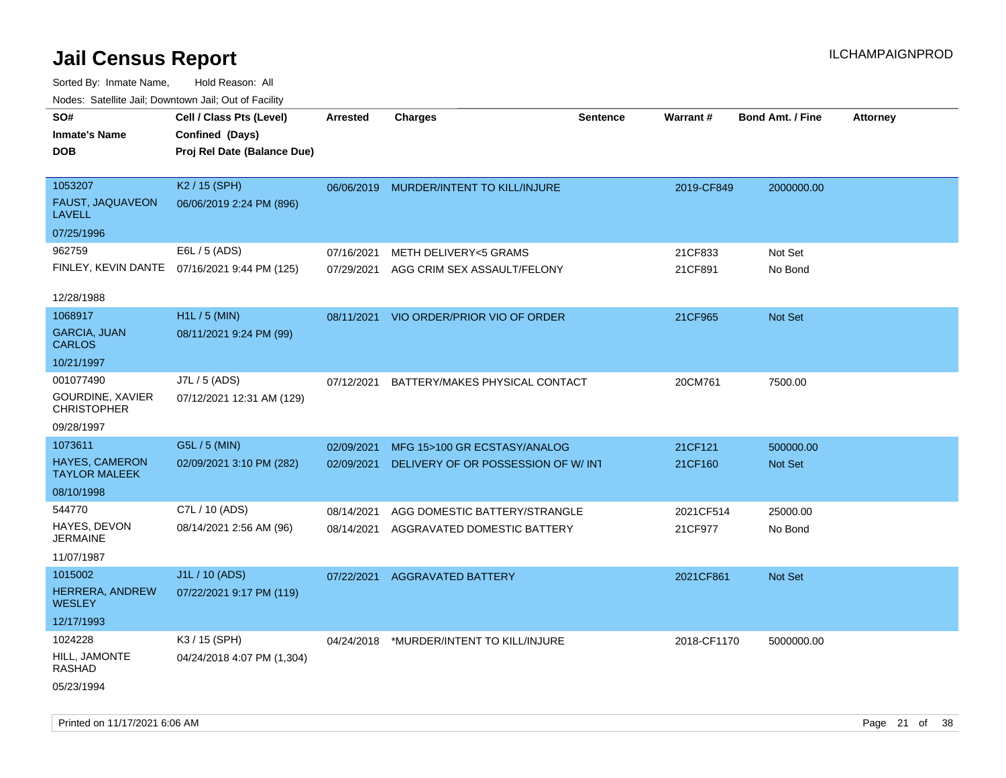| roaco. Oatomto dan, Downtown dan, Oat or Fability |                                              |                 |                                         |                 |             |                         |                 |
|---------------------------------------------------|----------------------------------------------|-----------------|-----------------------------------------|-----------------|-------------|-------------------------|-----------------|
| SO#                                               | Cell / Class Pts (Level)                     | <b>Arrested</b> | <b>Charges</b>                          | <b>Sentence</b> | Warrant#    | <b>Bond Amt. / Fine</b> | <b>Attorney</b> |
| <b>Inmate's Name</b>                              | Confined (Days)                              |                 |                                         |                 |             |                         |                 |
| <b>DOB</b>                                        | Proj Rel Date (Balance Due)                  |                 |                                         |                 |             |                         |                 |
|                                                   |                                              |                 |                                         |                 |             |                         |                 |
| 1053207                                           | K <sub>2</sub> / 15 (SPH)                    |                 | 06/06/2019 MURDER/INTENT TO KILL/INJURE |                 | 2019-CF849  | 2000000.00              |                 |
| FAUST, JAQUAVEON<br><b>LAVELL</b>                 | 06/06/2019 2:24 PM (896)                     |                 |                                         |                 |             |                         |                 |
| 07/25/1996                                        |                                              |                 |                                         |                 |             |                         |                 |
| 962759                                            | E6L / 5 (ADS)                                | 07/16/2021      | <b>METH DELIVERY&lt;5 GRAMS</b>         |                 | 21CF833     | Not Set                 |                 |
|                                                   | FINLEY, KEVIN DANTE 07/16/2021 9:44 PM (125) | 07/29/2021      | AGG CRIM SEX ASSAULT/FELONY             |                 | 21CF891     | No Bond                 |                 |
| 12/28/1988                                        |                                              |                 |                                         |                 |             |                         |                 |
| 1068917                                           | $H1L / 5$ (MIN)                              |                 | 08/11/2021 VIO ORDER/PRIOR VIO OF ORDER |                 | 21CF965     | Not Set                 |                 |
| <b>GARCIA, JUAN</b><br><b>CARLOS</b>              | 08/11/2021 9:24 PM (99)                      |                 |                                         |                 |             |                         |                 |
| 10/21/1997                                        |                                              |                 |                                         |                 |             |                         |                 |
| 001077490                                         | J7L / 5 (ADS)                                | 07/12/2021      | BATTERY/MAKES PHYSICAL CONTACT          |                 | 20CM761     | 7500.00                 |                 |
| GOURDINE, XAVIER<br><b>CHRISTOPHER</b>            | 07/12/2021 12:31 AM (129)                    |                 |                                         |                 |             |                         |                 |
| 09/28/1997                                        |                                              |                 |                                         |                 |             |                         |                 |
| 1073611                                           | G5L / 5 (MIN)                                | 02/09/2021      | MFG 15>100 GR ECSTASY/ANALOG            |                 | 21CF121     | 500000.00               |                 |
| <b>HAYES, CAMERON</b><br><b>TAYLOR MALEEK</b>     | 02/09/2021 3:10 PM (282)                     | 02/09/2021      | DELIVERY OF OR POSSESSION OF W/INT      |                 | 21CF160     | Not Set                 |                 |
| 08/10/1998                                        |                                              |                 |                                         |                 |             |                         |                 |
| 544770                                            | C7L / 10 (ADS)                               | 08/14/2021      | AGG DOMESTIC BATTERY/STRANGLE           |                 | 2021CF514   | 25000.00                |                 |
| HAYES, DEVON<br><b>JERMAINE</b>                   | 08/14/2021 2:56 AM (96)                      | 08/14/2021      | AGGRAVATED DOMESTIC BATTERY             |                 | 21CF977     | No Bond                 |                 |
| 11/07/1987                                        |                                              |                 |                                         |                 |             |                         |                 |
| 1015002                                           | J1L / 10 (ADS)                               | 07/22/2021      | <b>AGGRAVATED BATTERY</b>               |                 | 2021CF861   | Not Set                 |                 |
| HERRERA, ANDREW<br><b>WESLEY</b>                  | 07/22/2021 9:17 PM (119)                     |                 |                                         |                 |             |                         |                 |
| 12/17/1993                                        |                                              |                 |                                         |                 |             |                         |                 |
| 1024228                                           | K3 / 15 (SPH)                                | 04/24/2018      | *MURDER/INTENT TO KILL/INJURE           |                 | 2018-CF1170 | 5000000.00              |                 |
| HILL, JAMONTE<br><b>RASHAD</b>                    | 04/24/2018 4:07 PM (1,304)                   |                 |                                         |                 |             |                         |                 |
| 05/23/1994                                        |                                              |                 |                                         |                 |             |                         |                 |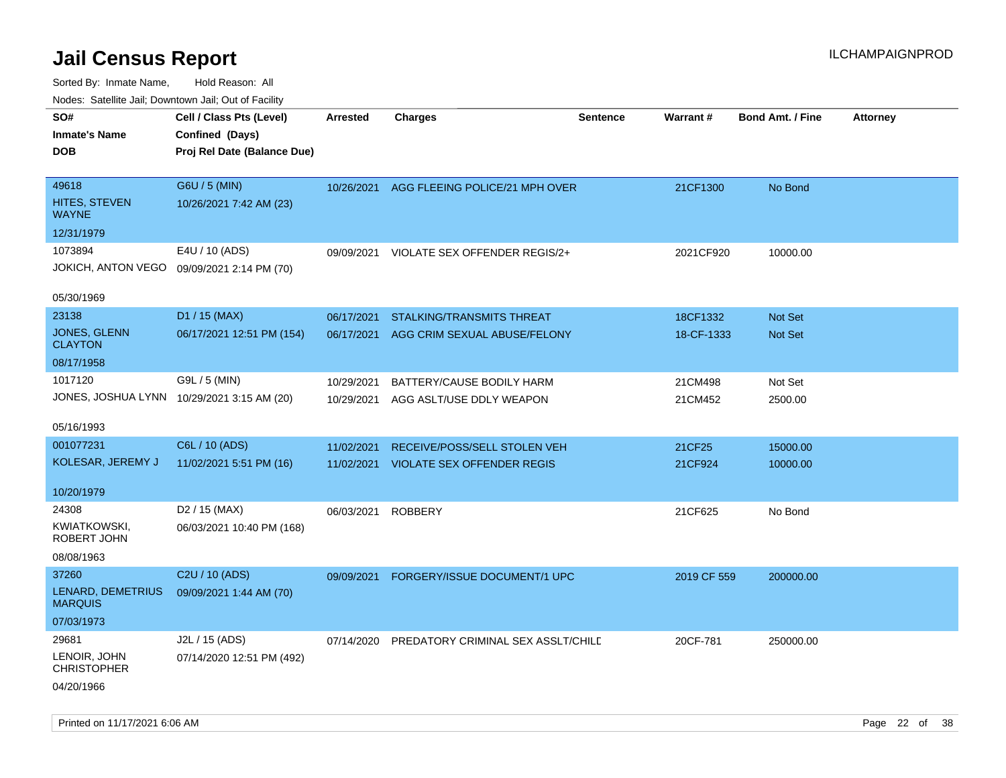Sorted By: Inmate Name, Hold Reason: All

| Nodes: Satellite Jail; Downtown Jail; Out of Facility |                                            |                 |                                           |                 |             |                         |                 |
|-------------------------------------------------------|--------------------------------------------|-----------------|-------------------------------------------|-----------------|-------------|-------------------------|-----------------|
| SO#                                                   | Cell / Class Pts (Level)                   | <b>Arrested</b> | <b>Charges</b>                            | <b>Sentence</b> | Warrant#    | <b>Bond Amt. / Fine</b> | <b>Attorney</b> |
| <b>Inmate's Name</b>                                  | Confined (Days)                            |                 |                                           |                 |             |                         |                 |
| <b>DOB</b>                                            | Proj Rel Date (Balance Due)                |                 |                                           |                 |             |                         |                 |
|                                                       |                                            |                 |                                           |                 |             |                         |                 |
| 49618                                                 | G6U / 5 (MIN)                              |                 | 10/26/2021 AGG FLEEING POLICE/21 MPH OVER |                 | 21CF1300    | No Bond                 |                 |
| HITES, STEVEN<br><b>WAYNE</b>                         | 10/26/2021 7:42 AM (23)                    |                 |                                           |                 |             |                         |                 |
| 12/31/1979                                            |                                            |                 |                                           |                 |             |                         |                 |
| 1073894                                               | E4U / 10 (ADS)                             | 09/09/2021      | VIOLATE SEX OFFENDER REGIS/2+             |                 | 2021CF920   | 10000.00                |                 |
| JOKICH, ANTON VEGO                                    | 09/09/2021 2:14 PM (70)                    |                 |                                           |                 |             |                         |                 |
|                                                       |                                            |                 |                                           |                 |             |                         |                 |
| 05/30/1969                                            |                                            |                 |                                           |                 |             |                         |                 |
| 23138                                                 | D1 / 15 (MAX)                              | 06/17/2021      | <b>STALKING/TRANSMITS THREAT</b>          |                 | 18CF1332    | Not Set                 |                 |
| JONES, GLENN<br><b>CLAYTON</b>                        | 06/17/2021 12:51 PM (154)                  | 06/17/2021      | AGG CRIM SEXUAL ABUSE/FELONY              |                 | 18-CF-1333  | <b>Not Set</b>          |                 |
| 08/17/1958                                            |                                            |                 |                                           |                 |             |                         |                 |
| 1017120                                               | G9L / 5 (MIN)                              | 10/29/2021      | BATTERY/CAUSE BODILY HARM                 |                 | 21CM498     | Not Set                 |                 |
|                                                       | JONES, JOSHUA LYNN 10/29/2021 3:15 AM (20) | 10/29/2021      | AGG ASLT/USE DDLY WEAPON                  |                 | 21CM452     | 2500.00                 |                 |
|                                                       |                                            |                 |                                           |                 |             |                         |                 |
| 05/16/1993                                            |                                            |                 |                                           |                 |             |                         |                 |
| 001077231                                             | C6L / 10 (ADS)                             | 11/02/2021      | RECEIVE/POSS/SELL STOLEN VEH              |                 | 21CF25      | 15000.00                |                 |
| KOLESAR, JEREMY J                                     | 11/02/2021 5:51 PM (16)                    |                 | 11/02/2021 VIOLATE SEX OFFENDER REGIS     |                 | 21CF924     | 10000.00                |                 |
|                                                       |                                            |                 |                                           |                 |             |                         |                 |
| 10/20/1979                                            |                                            |                 |                                           |                 |             |                         |                 |
| 24308                                                 | D <sub>2</sub> / 15 (MAX)                  | 06/03/2021      | <b>ROBBERY</b>                            |                 | 21CF625     | No Bond                 |                 |
| <b>KWIATKOWSKI,</b><br>ROBERT JOHN                    | 06/03/2021 10:40 PM (168)                  |                 |                                           |                 |             |                         |                 |
| 08/08/1963                                            |                                            |                 |                                           |                 |             |                         |                 |
| 37260                                                 | C2U / 10 (ADS)                             |                 |                                           |                 |             |                         |                 |
| LENARD, DEMETRIUS                                     |                                            | 09/09/2021      | FORGERY/ISSUE DOCUMENT/1 UPC              |                 | 2019 CF 559 | 200000.00               |                 |
| <b>MARQUIS</b>                                        | 09/09/2021 1:44 AM (70)                    |                 |                                           |                 |             |                         |                 |
| 07/03/1973                                            |                                            |                 |                                           |                 |             |                         |                 |
| 29681                                                 | J2L / 15 (ADS)                             | 07/14/2020      | PREDATORY CRIMINAL SEX ASSLT/CHILE        |                 | 20CF-781    | 250000.00               |                 |
| LENOIR, JOHN<br><b>CHRISTOPHER</b>                    | 07/14/2020 12:51 PM (492)                  |                 |                                           |                 |             |                         |                 |
| 04/20/1966                                            |                                            |                 |                                           |                 |             |                         |                 |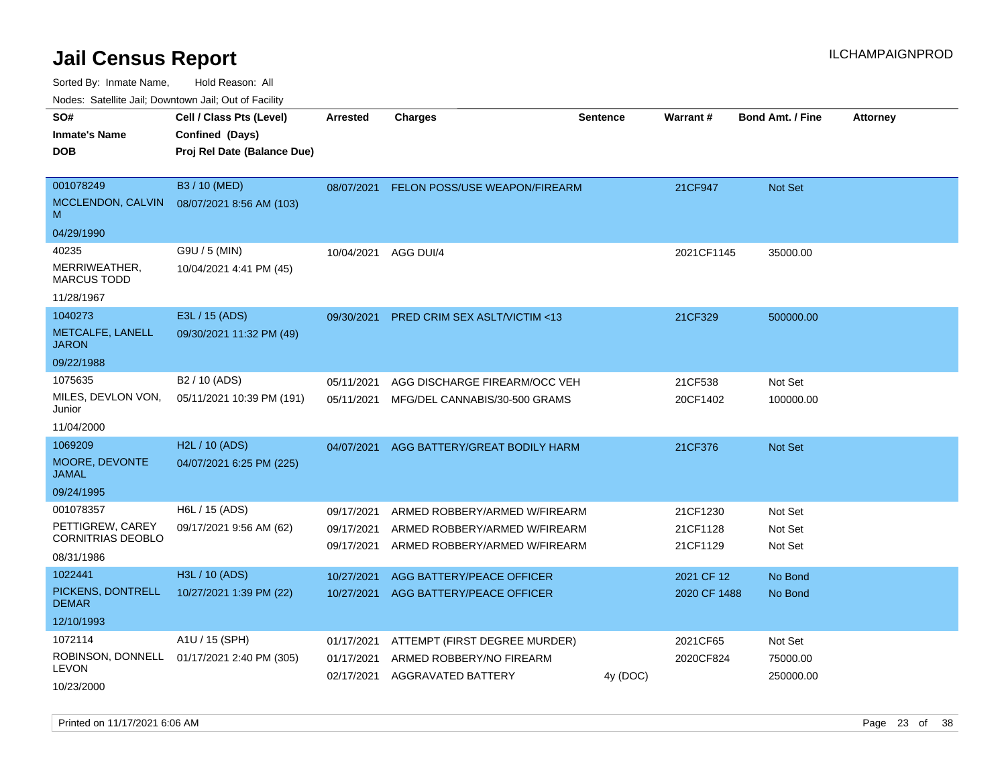Sorted By: Inmate Name, Hold Reason: All

Nodes: Satellite Jail; Downtown Jail; Out of Facility

| SO#<br><b>Inmate's Name</b><br><b>DOB</b>                               | Cell / Class Pts (Level)<br>Confined (Days)<br>Proj Rel Date (Balance Due) | <b>Arrested</b>                        | <b>Charges</b>                                                                                  | <b>Sentence</b> | <b>Warrant#</b>                  | <b>Bond Amt. / Fine</b>          | <b>Attorney</b> |
|-------------------------------------------------------------------------|----------------------------------------------------------------------------|----------------------------------------|-------------------------------------------------------------------------------------------------|-----------------|----------------------------------|----------------------------------|-----------------|
| 001078249<br>MCCLENDON, CALVIN<br>M<br>04/29/1990                       | B3 / 10 (MED)<br>08/07/2021 8:56 AM (103)                                  | 08/07/2021                             | FELON POSS/USE WEAPON/FIREARM                                                                   |                 | 21CF947                          | <b>Not Set</b>                   |                 |
| 40235<br>MERRIWEATHER,<br><b>MARCUS TODD</b><br>11/28/1967              | G9U / 5 (MIN)<br>10/04/2021 4:41 PM (45)                                   | 10/04/2021                             | AGG DUI/4                                                                                       |                 | 2021CF1145                       | 35000.00                         |                 |
| 1040273<br>METCALFE, LANELL<br><b>JARON</b><br>09/22/1988               | E3L / 15 (ADS)<br>09/30/2021 11:32 PM (49)                                 | 09/30/2021                             | PRED CRIM SEX ASLT/VICTIM <13                                                                   |                 | 21CF329                          | 500000.00                        |                 |
| 1075635<br>MILES, DEVLON VON,<br>Junior<br>11/04/2000                   | B <sub>2</sub> / 10 (ADS)<br>05/11/2021 10:39 PM (191)                     | 05/11/2021<br>05/11/2021               | AGG DISCHARGE FIREARM/OCC VEH<br>MFG/DEL CANNABIS/30-500 GRAMS                                  |                 | 21CF538<br>20CF1402              | Not Set<br>100000.00             |                 |
| 1069209<br>MOORE, DEVONTE<br><b>JAMAL</b><br>09/24/1995                 | H2L / 10 (ADS)<br>04/07/2021 6:25 PM (225)                                 | 04/07/2021                             | AGG BATTERY/GREAT BODILY HARM                                                                   |                 | 21CF376                          | Not Set                          |                 |
| 001078357<br>PETTIGREW, CAREY<br><b>CORNITRIAS DEOBLO</b><br>08/31/1986 | H6L / 15 (ADS)<br>09/17/2021 9:56 AM (62)                                  | 09/17/2021<br>09/17/2021<br>09/17/2021 | ARMED ROBBERY/ARMED W/FIREARM<br>ARMED ROBBERY/ARMED W/FIREARM<br>ARMED ROBBERY/ARMED W/FIREARM |                 | 21CF1230<br>21CF1128<br>21CF1129 | Not Set<br>Not Set<br>Not Set    |                 |
| 1022441<br>PICKENS, DONTRELL<br><b>DEMAR</b><br>12/10/1993              | H3L / 10 (ADS)<br>10/27/2021 1:39 PM (22)                                  | 10/27/2021<br>10/27/2021               | AGG BATTERY/PEACE OFFICER<br>AGG BATTERY/PEACE OFFICER                                          |                 | 2021 CF 12<br>2020 CF 1488       | No Bond<br>No Bond               |                 |
| 1072114<br>ROBINSON, DONNELL<br><b>LEVON</b><br>10/23/2000              | A1U / 15 (SPH)<br>01/17/2021 2:40 PM (305)                                 | 01/17/2021<br>01/17/2021<br>02/17/2021 | ATTEMPT (FIRST DEGREE MURDER)<br>ARMED ROBBERY/NO FIREARM<br>AGGRAVATED BATTERY                 | 4y (DOC)        | 2021CF65<br>2020CF824            | Not Set<br>75000.00<br>250000.00 |                 |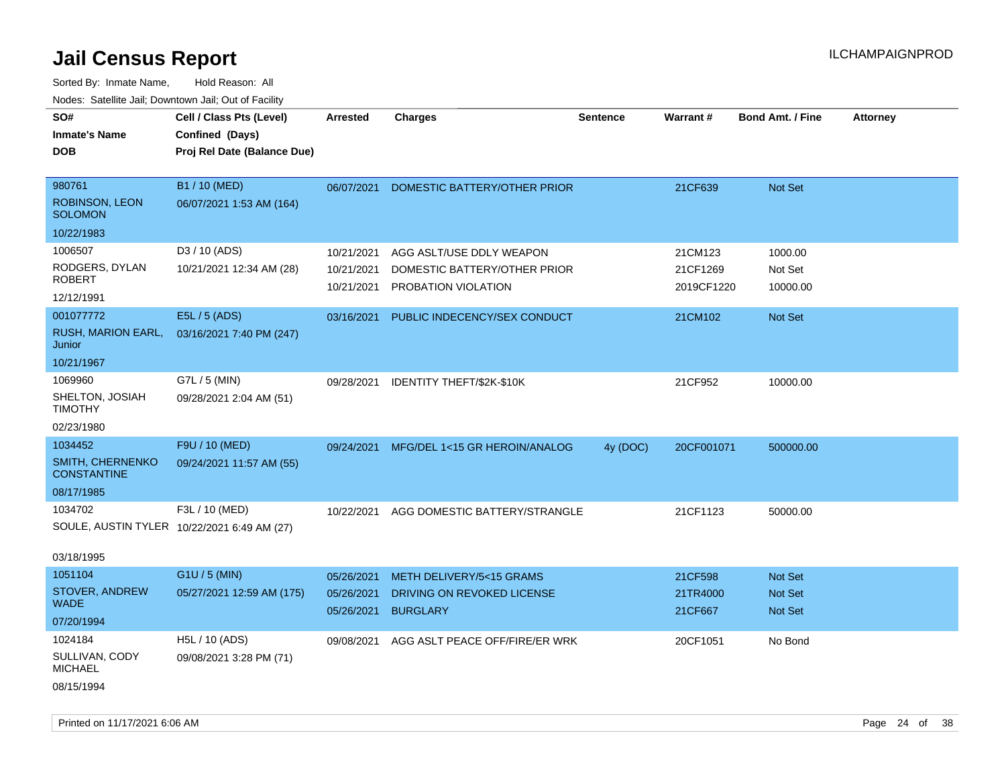| roaco. Catolino cali, Downtown cali, Out of Facility |                             |                          |                                               |                 |                     |                           |                 |
|------------------------------------------------------|-----------------------------|--------------------------|-----------------------------------------------|-----------------|---------------------|---------------------------|-----------------|
| SO#                                                  | Cell / Class Pts (Level)    | <b>Arrested</b>          | <b>Charges</b>                                | <b>Sentence</b> | Warrant#            | <b>Bond Amt. / Fine</b>   | <b>Attorney</b> |
| Inmate's Name                                        | Confined (Days)             |                          |                                               |                 |                     |                           |                 |
| DOB                                                  | Proj Rel Date (Balance Due) |                          |                                               |                 |                     |                           |                 |
|                                                      |                             |                          |                                               |                 |                     |                           |                 |
| 980761                                               | B1 / 10 (MED)               | 06/07/2021               | DOMESTIC BATTERY/OTHER PRIOR                  |                 | 21CF639             | Not Set                   |                 |
| <b>ROBINSON, LEON</b><br><b>SOLOMON</b>              | 06/07/2021 1:53 AM (164)    |                          |                                               |                 |                     |                           |                 |
| 10/22/1983                                           |                             |                          |                                               |                 |                     |                           |                 |
| 1006507                                              | D3 / 10 (ADS)               | 10/21/2021               | AGG ASLT/USE DDLY WEAPON                      |                 | 21CM123             | 1000.00                   |                 |
| RODGERS, DYLAN                                       | 10/21/2021 12:34 AM (28)    | 10/21/2021               | DOMESTIC BATTERY/OTHER PRIOR                  |                 | 21CF1269            | Not Set                   |                 |
| <b>ROBERT</b>                                        |                             | 10/21/2021               | PROBATION VIOLATION                           |                 | 2019CF1220          | 10000.00                  |                 |
| 12/12/1991                                           |                             |                          |                                               |                 |                     |                           |                 |
| 001077772                                            | E5L / 5 (ADS)               | 03/16/2021               | PUBLIC INDECENCY/SEX CONDUCT                  |                 | 21CM102             | Not Set                   |                 |
| RUSH, MARION EARL,<br>Junior                         | 03/16/2021 7:40 PM (247)    |                          |                                               |                 |                     |                           |                 |
| 10/21/1967                                           |                             |                          |                                               |                 |                     |                           |                 |
| 1069960                                              | G7L / 5 (MIN)               | 09/28/2021               | IDENTITY THEFT/\$2K-\$10K                     |                 | 21CF952             | 10000.00                  |                 |
| SHELTON, JOSIAH<br><b>TIMOTHY</b>                    | 09/28/2021 2:04 AM (51)     |                          |                                               |                 |                     |                           |                 |
| 02/23/1980                                           |                             |                          |                                               |                 |                     |                           |                 |
| 1034452                                              | F9U / 10 (MED)              | 09/24/2021               | MFG/DEL 1<15 GR HEROIN/ANALOG                 | 4y (DOC)        | 20CF001071          | 500000.00                 |                 |
| SMITH, CHERNENKO<br><b>CONSTANTINE</b>               | 09/24/2021 11:57 AM (55)    |                          |                                               |                 |                     |                           |                 |
| 08/17/1985                                           |                             |                          |                                               |                 |                     |                           |                 |
| 1034702                                              | F3L / 10 (MED)              | 10/22/2021               | AGG DOMESTIC BATTERY/STRANGLE                 |                 | 21CF1123            | 50000.00                  |                 |
| SOULE, AUSTIN TYLER 10/22/2021 6:49 AM (27)          |                             |                          |                                               |                 |                     |                           |                 |
| 03/18/1995                                           |                             |                          |                                               |                 |                     |                           |                 |
| 1051104                                              | G1U / 5 (MIN)               | 05/26/2021               | METH DELIVERY/5<15 GRAMS                      |                 | 21CF598             | <b>Not Set</b>            |                 |
| <b>STOVER, ANDREW</b><br><b>WADE</b>                 | 05/27/2021 12:59 AM (175)   | 05/26/2021<br>05/26/2021 | DRIVING ON REVOKED LICENSE<br><b>BURGLARY</b> |                 | 21TR4000<br>21CF667 | <b>Not Set</b><br>Not Set |                 |
| 07/20/1994                                           |                             |                          |                                               |                 |                     |                           |                 |
| 1024184                                              | H5L / 10 (ADS)              | 09/08/2021               | AGG ASLT PEACE OFF/FIRE/ER WRK                |                 | 20CF1051            | No Bond                   |                 |
| SULLIVAN, CODY<br><b>MICHAEL</b>                     | 09/08/2021 3:28 PM (71)     |                          |                                               |                 |                     |                           |                 |
| 08/15/1994                                           |                             |                          |                                               |                 |                     |                           |                 |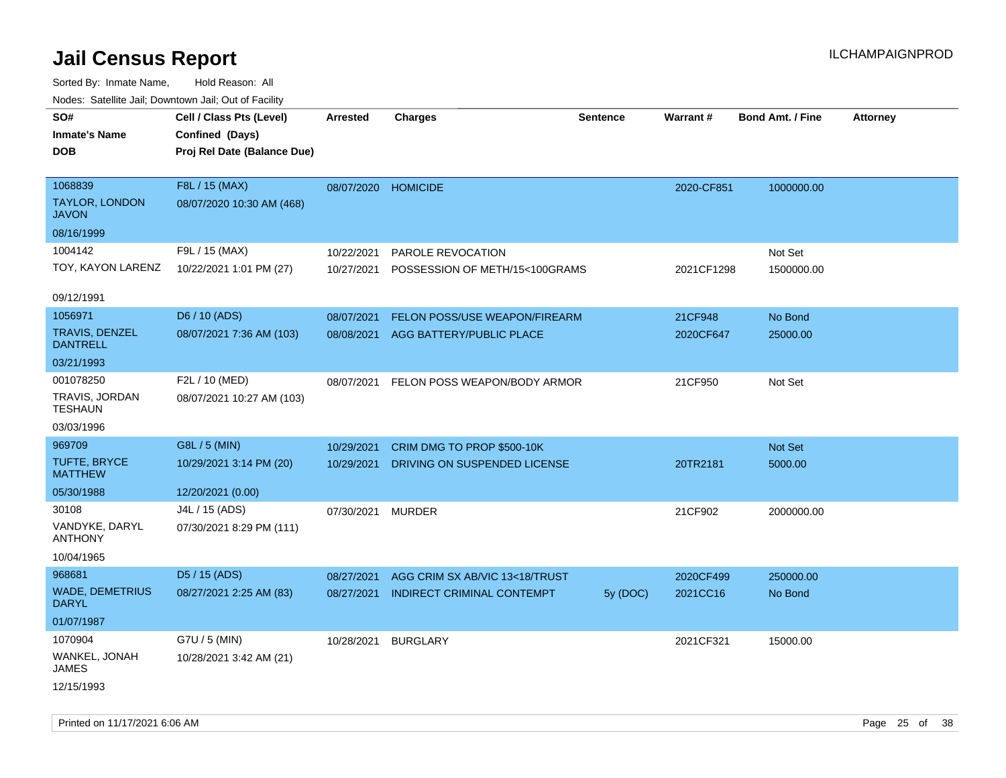| rouco. Calcillo Jali, Downtown Jali, Out of Facility |                             |                     |                                   |          |            |                         |                 |
|------------------------------------------------------|-----------------------------|---------------------|-----------------------------------|----------|------------|-------------------------|-----------------|
| SO#                                                  | Cell / Class Pts (Level)    | <b>Arrested</b>     | <b>Charges</b>                    | Sentence | Warrant#   | <b>Bond Amt. / Fine</b> | <b>Attorney</b> |
| <b>Inmate's Name</b>                                 | Confined (Days)             |                     |                                   |          |            |                         |                 |
| <b>DOB</b>                                           | Proj Rel Date (Balance Due) |                     |                                   |          |            |                         |                 |
|                                                      |                             |                     |                                   |          |            |                         |                 |
| 1068839                                              | F8L / 15 (MAX)              | 08/07/2020 HOMICIDE |                                   |          | 2020-CF851 | 1000000.00              |                 |
| <b>TAYLOR, LONDON</b><br><b>JAVON</b>                | 08/07/2020 10:30 AM (468)   |                     |                                   |          |            |                         |                 |
| 08/16/1999                                           |                             |                     |                                   |          |            |                         |                 |
| 1004142                                              | F9L / 15 (MAX)              | 10/22/2021          | PAROLE REVOCATION                 |          |            | Not Set                 |                 |
| TOY, KAYON LARENZ                                    | 10/22/2021 1:01 PM (27)     | 10/27/2021          | POSSESSION OF METH/15<100GRAMS    |          | 2021CF1298 | 1500000.00              |                 |
| 09/12/1991                                           |                             |                     |                                   |          |            |                         |                 |
| 1056971                                              | D6 / 10 (ADS)               | 08/07/2021          | FELON POSS/USE WEAPON/FIREARM     |          | 21CF948    | No Bond                 |                 |
| TRAVIS, DENZEL<br><b>DANTRELL</b>                    | 08/07/2021 7:36 AM (103)    | 08/08/2021          | AGG BATTERY/PUBLIC PLACE          |          | 2020CF647  | 25000.00                |                 |
| 03/21/1993                                           |                             |                     |                                   |          |            |                         |                 |
| 001078250                                            | F2L / 10 (MED)              | 08/07/2021          | FELON POSS WEAPON/BODY ARMOR      |          | 21CF950    | Not Set                 |                 |
| TRAVIS, JORDAN<br><b>TESHAUN</b>                     | 08/07/2021 10:27 AM (103)   |                     |                                   |          |            |                         |                 |
| 03/03/1996                                           |                             |                     |                                   |          |            |                         |                 |
| 969709                                               | G8L / 5 (MIN)               | 10/29/2021          | CRIM DMG TO PROP \$500-10K        |          |            | Not Set                 |                 |
| TUFTE, BRYCE<br><b>MATTHEW</b>                       | 10/29/2021 3:14 PM (20)     | 10/29/2021          | DRIVING ON SUSPENDED LICENSE      |          | 20TR2181   | 5000.00                 |                 |
| 05/30/1988                                           | 12/20/2021 (0.00)           |                     |                                   |          |            |                         |                 |
| 30108                                                | J4L / 15 (ADS)              | 07/30/2021          | <b>MURDER</b>                     |          | 21CF902    | 2000000.00              |                 |
| VANDYKE, DARYL<br><b>ANTHONY</b>                     | 07/30/2021 8:29 PM (111)    |                     |                                   |          |            |                         |                 |
| 10/04/1965                                           |                             |                     |                                   |          |            |                         |                 |
| 968681                                               | D5 / 15 (ADS)               | 08/27/2021          | AGG CRIM SX AB/VIC 13<18/TRUST    |          | 2020CF499  | 250000.00               |                 |
| <b>WADE, DEMETRIUS</b><br><b>DARYL</b>               | 08/27/2021 2:25 AM (83)     | 08/27/2021          | <b>INDIRECT CRIMINAL CONTEMPT</b> | 5y (DOC) | 2021CC16   | No Bond                 |                 |
| 01/07/1987                                           |                             |                     |                                   |          |            |                         |                 |
| 1070904                                              | G7U / 5 (MIN)               | 10/28/2021          | <b>BURGLARY</b>                   |          | 2021CF321  | 15000.00                |                 |
| WANKEL, JONAH<br><b>JAMES</b>                        | 10/28/2021 3:42 AM (21)     |                     |                                   |          |            |                         |                 |
| 12/15/1993                                           |                             |                     |                                   |          |            |                         |                 |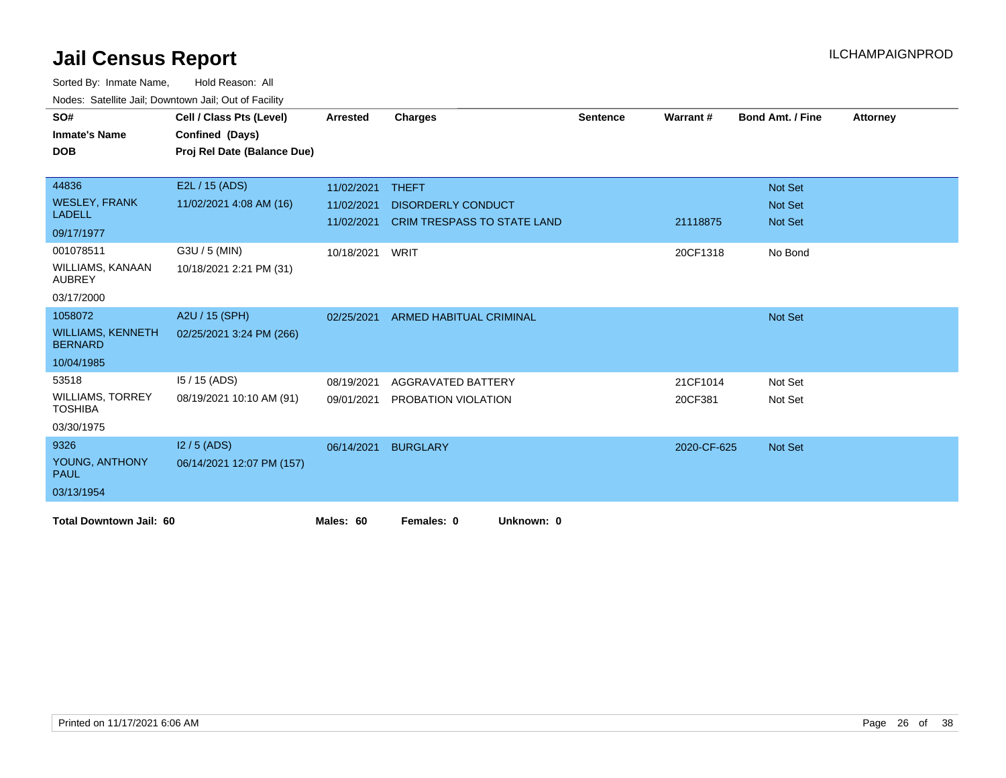| SO#                                        |                             |                 |                                | <b>Sentence</b> | Warrant#    | <b>Bond Amt. / Fine</b> |                 |
|--------------------------------------------|-----------------------------|-----------------|--------------------------------|-----------------|-------------|-------------------------|-----------------|
|                                            | Cell / Class Pts (Level)    | <b>Arrested</b> | <b>Charges</b>                 |                 |             |                         | <b>Attorney</b> |
| <b>Inmate's Name</b>                       | Confined (Days)             |                 |                                |                 |             |                         |                 |
| <b>DOB</b>                                 | Proj Rel Date (Balance Due) |                 |                                |                 |             |                         |                 |
|                                            |                             |                 |                                |                 |             |                         |                 |
| 44836                                      | E2L / 15 (ADS)              | 11/02/2021      | <b>THEFT</b>                   |                 |             | Not Set                 |                 |
| <b>WESLEY, FRANK</b>                       | 11/02/2021 4:08 AM (16)     | 11/02/2021      | <b>DISORDERLY CONDUCT</b>      |                 |             | Not Set                 |                 |
| <b>LADELL</b>                              |                             | 11/02/2021      | CRIM TRESPASS TO STATE LAND    |                 | 21118875    | <b>Not Set</b>          |                 |
| 09/17/1977                                 |                             |                 |                                |                 |             |                         |                 |
| 001078511                                  | G3U / 5 (MIN)               | 10/18/2021      | WRIT                           |                 | 20CF1318    | No Bond                 |                 |
| <b>WILLIAMS, KANAAN</b><br><b>AUBREY</b>   | 10/18/2021 2:21 PM (31)     |                 |                                |                 |             |                         |                 |
| 03/17/2000                                 |                             |                 |                                |                 |             |                         |                 |
| 1058072                                    | A2U / 15 (SPH)              | 02/25/2021      | <b>ARMED HABITUAL CRIMINAL</b> |                 |             | Not Set                 |                 |
| <b>WILLIAMS, KENNETH</b><br><b>BERNARD</b> | 02/25/2021 3:24 PM (266)    |                 |                                |                 |             |                         |                 |
| 10/04/1985                                 |                             |                 |                                |                 |             |                         |                 |
| 53518                                      | $15/15$ (ADS)               | 08/19/2021      | AGGRAVATED BATTERY             |                 | 21CF1014    | Not Set                 |                 |
| <b>WILLIAMS, TORREY</b><br><b>TOSHIBA</b>  | 08/19/2021 10:10 AM (91)    | 09/01/2021      | PROBATION VIOLATION            |                 | 20CF381     | Not Set                 |                 |
| 03/30/1975                                 |                             |                 |                                |                 |             |                         |                 |
| 9326                                       | $12/5$ (ADS)                | 06/14/2021      | <b>BURGLARY</b>                |                 | 2020-CF-625 | Not Set                 |                 |
| YOUNG, ANTHONY<br><b>PAUL</b>              | 06/14/2021 12:07 PM (157)   |                 |                                |                 |             |                         |                 |
| 03/13/1954                                 |                             |                 |                                |                 |             |                         |                 |
| <b>Total Downtown Jail: 60</b>             |                             | Males: 60       | Females: 0<br>Unknown: 0       |                 |             |                         |                 |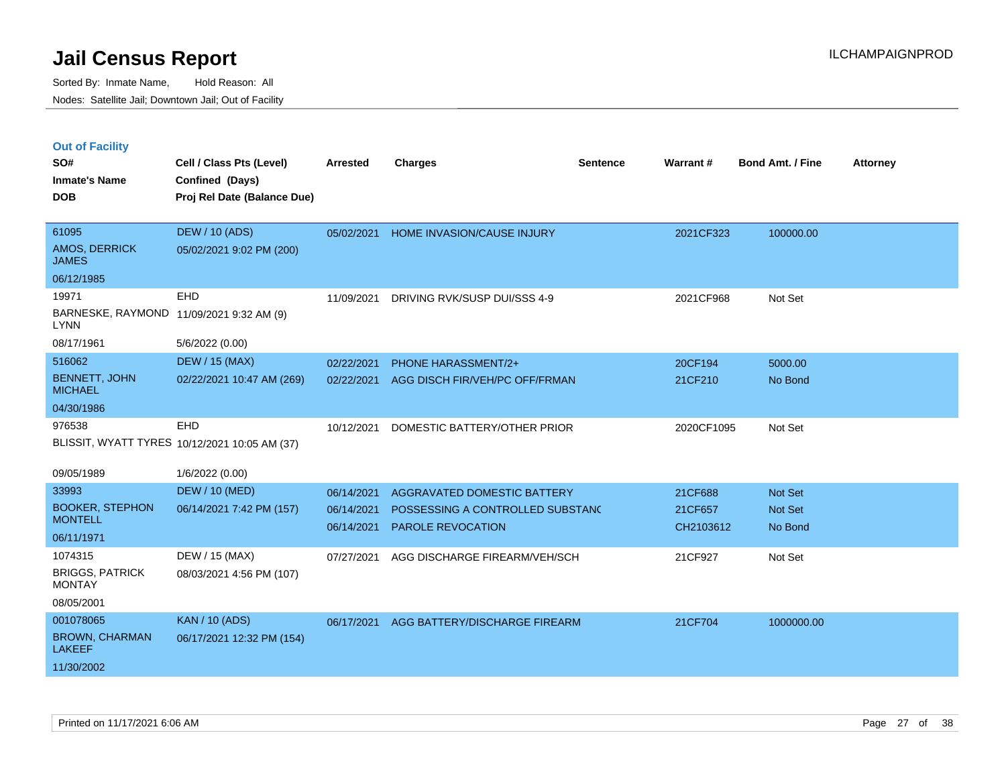|  | <b>Out of Facility</b> |  |
|--|------------------------|--|
|  |                        |  |

| SO#<br><b>Inmate's Name</b><br><b>DOB</b>               | Cell / Class Pts (Level)<br>Confined (Days)<br>Proj Rel Date (Balance Due) | <b>Arrested</b> | <b>Charges</b>                   | <b>Sentence</b> | <b>Warrant#</b> | <b>Bond Amt. / Fine</b> | <b>Attorney</b> |
|---------------------------------------------------------|----------------------------------------------------------------------------|-----------------|----------------------------------|-----------------|-----------------|-------------------------|-----------------|
| 61095<br><b>AMOS, DERRICK</b><br><b>JAMES</b>           | <b>DEW / 10 (ADS)</b><br>05/02/2021 9:02 PM (200)                          | 05/02/2021      | HOME INVASION/CAUSE INJURY       |                 | 2021CF323       | 100000.00               |                 |
| 06/12/1985                                              |                                                                            |                 |                                  |                 |                 |                         |                 |
| 19971                                                   | EHD                                                                        | 11/09/2021      | DRIVING RVK/SUSP DUI/SSS 4-9     |                 | 2021CF968       | Not Set                 |                 |
| BARNESKE, RAYMOND 11/09/2021 9:32 AM (9)<br><b>LYNN</b> |                                                                            |                 |                                  |                 |                 |                         |                 |
| 08/17/1961                                              | 5/6/2022 (0.00)                                                            |                 |                                  |                 |                 |                         |                 |
| 516062                                                  | <b>DEW / 15 (MAX)</b>                                                      | 02/22/2021      | <b>PHONE HARASSMENT/2+</b>       |                 | 20CF194         | 5000.00                 |                 |
| <b>BENNETT, JOHN</b><br><b>MICHAEL</b>                  | 02/22/2021 10:47 AM (269)                                                  | 02/22/2021      | AGG DISCH FIR/VEH/PC OFF/FRMAN   |                 | 21CF210         | No Bond                 |                 |
| 04/30/1986                                              |                                                                            |                 |                                  |                 |                 |                         |                 |
| 976538                                                  | EHD                                                                        | 10/12/2021      | DOMESTIC BATTERY/OTHER PRIOR     |                 | 2020CF1095      | Not Set                 |                 |
|                                                         | BLISSIT, WYATT TYRES 10/12/2021 10:05 AM (37)                              |                 |                                  |                 |                 |                         |                 |
| 09/05/1989                                              | 1/6/2022 (0.00)                                                            |                 |                                  |                 |                 |                         |                 |
| 33993                                                   | <b>DEW / 10 (MED)</b>                                                      | 06/14/2021      | AGGRAVATED DOMESTIC BATTERY      |                 | 21CF688         | Not Set                 |                 |
| <b>BOOKER, STEPHON</b>                                  | 06/14/2021 7:42 PM (157)                                                   | 06/14/2021      | POSSESSING A CONTROLLED SUBSTAND |                 | 21CF657         | Not Set                 |                 |
| <b>MONTELL</b>                                          |                                                                            | 06/14/2021      | PAROLE REVOCATION                |                 | CH2103612       | No Bond                 |                 |
| 06/11/1971<br>1074315                                   |                                                                            |                 |                                  |                 |                 |                         |                 |
| <b>BRIGGS, PATRICK</b>                                  | DEW / 15 (MAX)                                                             | 07/27/2021      | AGG DISCHARGE FIREARM/VEH/SCH    |                 | 21CF927         | Not Set                 |                 |
| <b>MONTAY</b>                                           | 08/03/2021 4:56 PM (107)                                                   |                 |                                  |                 |                 |                         |                 |
| 08/05/2001                                              |                                                                            |                 |                                  |                 |                 |                         |                 |
| 001078065                                               | <b>KAN / 10 (ADS)</b>                                                      | 06/17/2021      | AGG BATTERY/DISCHARGE FIREARM    |                 | 21CF704         | 1000000.00              |                 |
| <b>BROWN, CHARMAN</b><br><b>LAKEEF</b>                  | 06/17/2021 12:32 PM (154)                                                  |                 |                                  |                 |                 |                         |                 |
| 11/30/2002                                              |                                                                            |                 |                                  |                 |                 |                         |                 |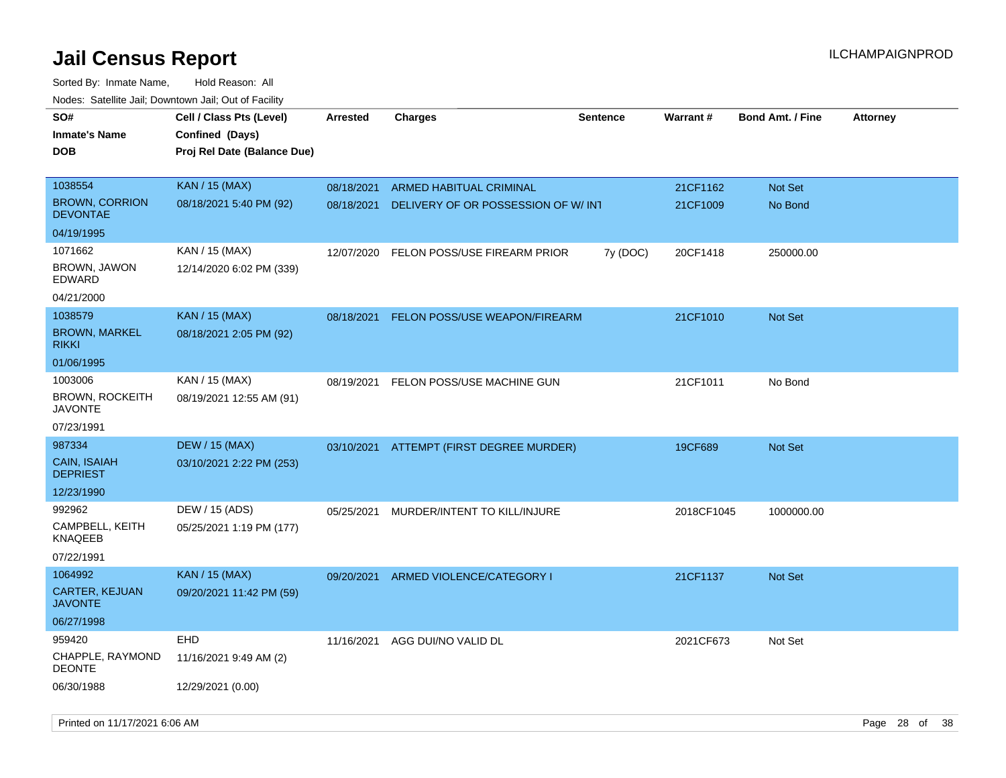| <b>NOULD:</b> Cutomto buil, Downtown buil, Out of Fability |                                                                            |                 |                                          |                 |            |                         |                 |
|------------------------------------------------------------|----------------------------------------------------------------------------|-----------------|------------------------------------------|-----------------|------------|-------------------------|-----------------|
| SO#<br><b>Inmate's Name</b><br><b>DOB</b>                  | Cell / Class Pts (Level)<br>Confined (Days)<br>Proj Rel Date (Balance Due) | <b>Arrested</b> | <b>Charges</b>                           | <b>Sentence</b> | Warrant#   | <b>Bond Amt. / Fine</b> | <b>Attorney</b> |
|                                                            |                                                                            |                 |                                          |                 |            |                         |                 |
| 1038554                                                    | <b>KAN / 15 (MAX)</b>                                                      | 08/18/2021      | <b>ARMED HABITUAL CRIMINAL</b>           |                 | 21CF1162   | Not Set                 |                 |
| <b>BROWN, CORRION</b><br><b>DEVONTAE</b>                   | 08/18/2021 5:40 PM (92)                                                    | 08/18/2021      | DELIVERY OF OR POSSESSION OF W/ INT      |                 | 21CF1009   | No Bond                 |                 |
| 04/19/1995                                                 |                                                                            |                 |                                          |                 |            |                         |                 |
| 1071662                                                    | KAN / 15 (MAX)                                                             | 12/07/2020      | FELON POSS/USE FIREARM PRIOR             | 7y (DOC)        | 20CF1418   | 250000.00               |                 |
| BROWN, JAWON<br>EDWARD                                     | 12/14/2020 6:02 PM (339)                                                   |                 |                                          |                 |            |                         |                 |
| 04/21/2000                                                 |                                                                            |                 |                                          |                 |            |                         |                 |
| 1038579                                                    | <b>KAN / 15 (MAX)</b>                                                      | 08/18/2021      | FELON POSS/USE WEAPON/FIREARM            |                 | 21CF1010   | Not Set                 |                 |
| <b>BROWN, MARKEL</b><br><b>RIKKI</b>                       | 08/18/2021 2:05 PM (92)                                                    |                 |                                          |                 |            |                         |                 |
| 01/06/1995                                                 |                                                                            |                 |                                          |                 |            |                         |                 |
| 1003006                                                    | KAN / 15 (MAX)                                                             | 08/19/2021      | FELON POSS/USE MACHINE GUN               |                 | 21CF1011   | No Bond                 |                 |
| <b>BROWN, ROCKEITH</b><br><b>JAVONTE</b>                   | 08/19/2021 12:55 AM (91)                                                   |                 |                                          |                 |            |                         |                 |
| 07/23/1991                                                 |                                                                            |                 |                                          |                 |            |                         |                 |
| 987334                                                     | <b>DEW / 15 (MAX)</b>                                                      |                 | 03/10/2021 ATTEMPT (FIRST DEGREE MURDER) |                 | 19CF689    | Not Set                 |                 |
| <b>CAIN, ISAIAH</b><br><b>DEPRIEST</b>                     | 03/10/2021 2:22 PM (253)                                                   |                 |                                          |                 |            |                         |                 |
| 12/23/1990                                                 |                                                                            |                 |                                          |                 |            |                         |                 |
| 992962                                                     | DEW / 15 (ADS)                                                             | 05/25/2021      | MURDER/INTENT TO KILL/INJURE             |                 | 2018CF1045 | 1000000.00              |                 |
| CAMPBELL, KEITH<br><b>KNAQEEB</b>                          | 05/25/2021 1:19 PM (177)                                                   |                 |                                          |                 |            |                         |                 |
| 07/22/1991                                                 |                                                                            |                 |                                          |                 |            |                         |                 |
| 1064992                                                    | <b>KAN / 15 (MAX)</b>                                                      | 09/20/2021      | ARMED VIOLENCE/CATEGORY I                |                 | 21CF1137   | Not Set                 |                 |
| <b>CARTER, KEJUAN</b><br><b>JAVONTE</b>                    | 09/20/2021 11:42 PM (59)                                                   |                 |                                          |                 |            |                         |                 |
| 06/27/1998                                                 |                                                                            |                 |                                          |                 |            |                         |                 |
| 959420                                                     | EHD                                                                        | 11/16/2021      | AGG DUI/NO VALID DL                      |                 | 2021CF673  | Not Set                 |                 |
| <b>CHAPPLE, RAYMOND</b><br><b>DEONTE</b>                   | 11/16/2021 9:49 AM (2)                                                     |                 |                                          |                 |            |                         |                 |
| 06/30/1988                                                 | 12/29/2021 (0.00)                                                          |                 |                                          |                 |            |                         |                 |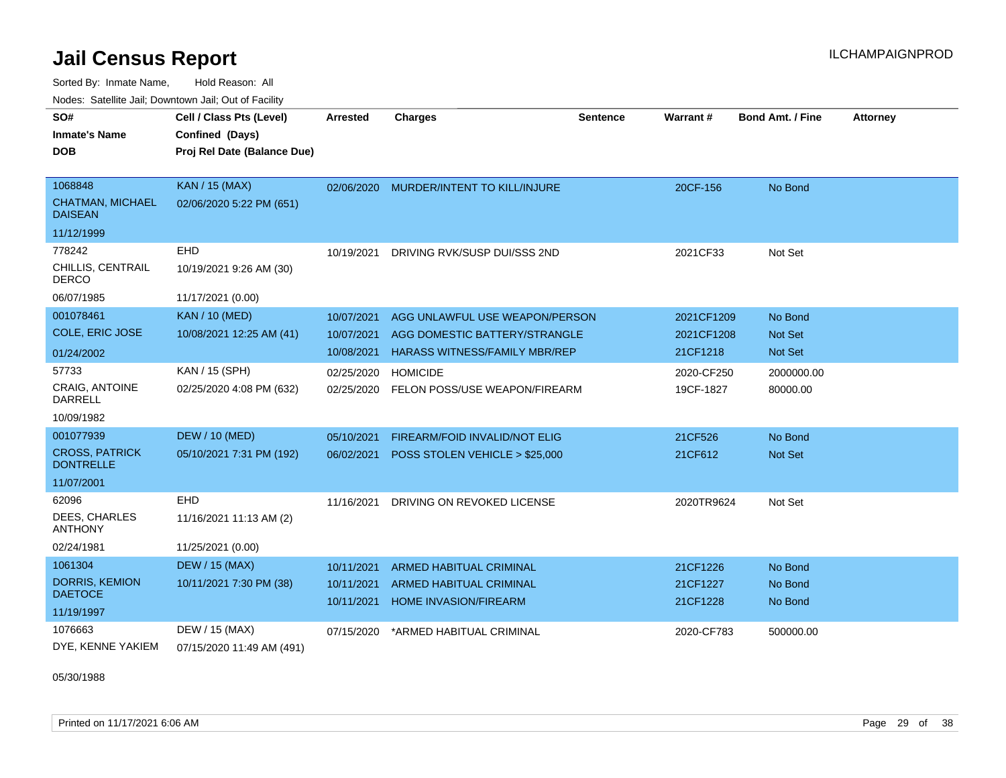Sorted By: Inmate Name, Hold Reason: All Nodes: Satellite Jail; Downtown Jail; Out of Facility

| SO#                                       | Cell / Class Pts (Level)    | Arrested   | <b>Charges</b>                       | Sentence | Warrant#   | <b>Bond Amt. / Fine</b> | <b>Attorney</b> |
|-------------------------------------------|-----------------------------|------------|--------------------------------------|----------|------------|-------------------------|-----------------|
| <b>Inmate's Name</b>                      | Confined (Days)             |            |                                      |          |            |                         |                 |
| <b>DOB</b>                                | Proj Rel Date (Balance Due) |            |                                      |          |            |                         |                 |
|                                           |                             |            |                                      |          |            |                         |                 |
| 1068848                                   | <b>KAN / 15 (MAX)</b>       | 02/06/2020 | MURDER/INTENT TO KILL/INJURE         |          | 20CF-156   | No Bond                 |                 |
| <b>CHATMAN, MICHAEL</b><br><b>DAISEAN</b> | 02/06/2020 5:22 PM (651)    |            |                                      |          |            |                         |                 |
| 11/12/1999                                |                             |            |                                      |          |            |                         |                 |
| 778242                                    | <b>EHD</b>                  | 10/19/2021 | DRIVING RVK/SUSP DUI/SSS 2ND         |          | 2021CF33   | Not Set                 |                 |
| CHILLIS, CENTRAIL<br><b>DERCO</b>         | 10/19/2021 9:26 AM (30)     |            |                                      |          |            |                         |                 |
| 06/07/1985                                | 11/17/2021 (0.00)           |            |                                      |          |            |                         |                 |
| 001078461                                 | <b>KAN / 10 (MED)</b>       | 10/07/2021 | AGG UNLAWFUL USE WEAPON/PERSON       |          | 2021CF1209 | No Bond                 |                 |
| <b>COLE, ERIC JOSE</b>                    | 10/08/2021 12:25 AM (41)    | 10/07/2021 | AGG DOMESTIC BATTERY/STRANGLE        |          | 2021CF1208 | <b>Not Set</b>          |                 |
| 01/24/2002                                |                             | 10/08/2021 | <b>HARASS WITNESS/FAMILY MBR/REP</b> |          | 21CF1218   | Not Set                 |                 |
| 57733                                     | KAN / 15 (SPH)              | 02/25/2020 | <b>HOMICIDE</b>                      |          | 2020-CF250 | 2000000.00              |                 |
| <b>CRAIG, ANTOINE</b><br><b>DARRELL</b>   | 02/25/2020 4:08 PM (632)    | 02/25/2020 | FELON POSS/USE WEAPON/FIREARM        |          | 19CF-1827  | 80000.00                |                 |
| 10/09/1982                                |                             |            |                                      |          |            |                         |                 |
| 001077939                                 | <b>DEW / 10 (MED)</b>       | 05/10/2021 | <b>FIREARM/FOID INVALID/NOT ELIG</b> |          | 21CF526    | No Bond                 |                 |
| <b>CROSS, PATRICK</b><br><b>DONTRELLE</b> | 05/10/2021 7:31 PM (192)    | 06/02/2021 | POSS STOLEN VEHICLE > \$25,000       |          | 21CF612    | Not Set                 |                 |
| 11/07/2001                                |                             |            |                                      |          |            |                         |                 |
| 62096                                     | <b>EHD</b>                  | 11/16/2021 | DRIVING ON REVOKED LICENSE           |          | 2020TR9624 | Not Set                 |                 |
| <b>DEES, CHARLES</b><br><b>ANTHONY</b>    | 11/16/2021 11:13 AM (2)     |            |                                      |          |            |                         |                 |
| 02/24/1981                                | 11/25/2021 (0.00)           |            |                                      |          |            |                         |                 |
| 1061304                                   | <b>DEW / 15 (MAX)</b>       | 10/11/2021 | <b>ARMED HABITUAL CRIMINAL</b>       |          | 21CF1226   | No Bond                 |                 |
| <b>DORRIS, KEMION</b>                     | 10/11/2021 7:30 PM (38)     | 10/11/2021 | <b>ARMED HABITUAL CRIMINAL</b>       |          | 21CF1227   | No Bond                 |                 |
| <b>DAETOCE</b>                            |                             | 10/11/2021 | <b>HOME INVASION/FIREARM</b>         |          | 21CF1228   | No Bond                 |                 |
| 11/19/1997                                |                             |            |                                      |          |            |                         |                 |
| 1076663                                   | DEW / 15 (MAX)              | 07/15/2020 | *ARMED HABITUAL CRIMINAL             |          | 2020-CF783 | 500000.00               |                 |
| DYE, KENNE YAKIEM                         | 07/15/2020 11:49 AM (491)   |            |                                      |          |            |                         |                 |

05/30/1988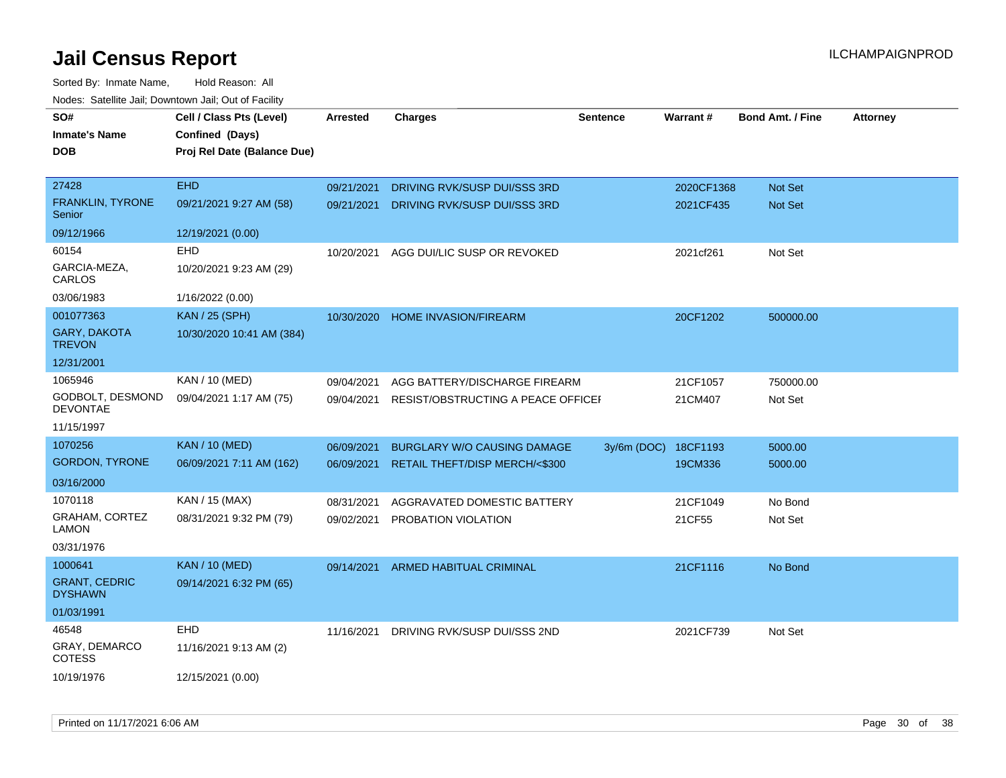| SO#                                    | Cell / Class Pts (Level)    | <b>Arrested</b> | <b>Charges</b>                     | <b>Sentence</b> | Warrant#   | <b>Bond Amt. / Fine</b> | <b>Attorney</b> |
|----------------------------------------|-----------------------------|-----------------|------------------------------------|-----------------|------------|-------------------------|-----------------|
| <b>Inmate's Name</b>                   | Confined (Days)             |                 |                                    |                 |            |                         |                 |
| <b>DOB</b>                             | Proj Rel Date (Balance Due) |                 |                                    |                 |            |                         |                 |
|                                        |                             |                 |                                    |                 |            |                         |                 |
| 27428                                  | <b>EHD</b>                  | 09/21/2021      | DRIVING RVK/SUSP DUI/SSS 3RD       |                 | 2020CF1368 | Not Set                 |                 |
| <b>FRANKLIN, TYRONE</b><br>Senior      | 09/21/2021 9:27 AM (58)     | 09/21/2021      | DRIVING RVK/SUSP DUI/SSS 3RD       |                 | 2021CF435  | <b>Not Set</b>          |                 |
| 09/12/1966                             | 12/19/2021 (0.00)           |                 |                                    |                 |            |                         |                 |
| 60154                                  | EHD                         | 10/20/2021      | AGG DUI/LIC SUSP OR REVOKED        |                 | 2021cf261  | Not Set                 |                 |
| GARCIA-MEZA,<br>CARLOS                 | 10/20/2021 9:23 AM (29)     |                 |                                    |                 |            |                         |                 |
| 03/06/1983                             | 1/16/2022 (0.00)            |                 |                                    |                 |            |                         |                 |
| 001077363                              | <b>KAN / 25 (SPH)</b>       | 10/30/2020      | <b>HOME INVASION/FIREARM</b>       |                 | 20CF1202   | 500000.00               |                 |
| <b>GARY, DAKOTA</b><br><b>TREVON</b>   | 10/30/2020 10:41 AM (384)   |                 |                                    |                 |            |                         |                 |
| 12/31/2001                             |                             |                 |                                    |                 |            |                         |                 |
| 1065946                                | KAN / 10 (MED)              | 09/04/2021      | AGG BATTERY/DISCHARGE FIREARM      |                 | 21CF1057   | 750000.00               |                 |
| GODBOLT, DESMOND<br><b>DEVONTAE</b>    | 09/04/2021 1:17 AM (75)     | 09/04/2021      | RESIST/OBSTRUCTING A PEACE OFFICEI |                 | 21CM407    | Not Set                 |                 |
| 11/15/1997                             |                             |                 |                                    |                 |            |                         |                 |
| 1070256                                | <b>KAN / 10 (MED)</b>       | 06/09/2021      | <b>BURGLARY W/O CAUSING DAMAGE</b> | $3y/6m$ (DOC)   | 18CF1193   | 5000.00                 |                 |
| <b>GORDON, TYRONE</b>                  | 06/09/2021 7:11 AM (162)    | 06/09/2021      | RETAIL THEFT/DISP MERCH/<\$300     |                 | 19CM336    | 5000.00                 |                 |
| 03/16/2000                             |                             |                 |                                    |                 |            |                         |                 |
| 1070118                                | KAN / 15 (MAX)              | 08/31/2021      | AGGRAVATED DOMESTIC BATTERY        |                 | 21CF1049   | No Bond                 |                 |
| GRAHAM, CORTEZ<br><b>LAMON</b>         | 08/31/2021 9:32 PM (79)     | 09/02/2021      | PROBATION VIOLATION                |                 | 21CF55     | Not Set                 |                 |
| 03/31/1976                             |                             |                 |                                    |                 |            |                         |                 |
| 1000641                                | <b>KAN / 10 (MED)</b>       | 09/14/2021      | <b>ARMED HABITUAL CRIMINAL</b>     |                 | 21CF1116   | No Bond                 |                 |
| <b>GRANT, CEDRIC</b><br><b>DYSHAWN</b> | 09/14/2021 6:32 PM (65)     |                 |                                    |                 |            |                         |                 |
| 01/03/1991                             |                             |                 |                                    |                 |            |                         |                 |
| 46548                                  | <b>EHD</b>                  | 11/16/2021      | DRIVING RVK/SUSP DUI/SSS 2ND       |                 | 2021CF739  | Not Set                 |                 |
| <b>GRAY, DEMARCO</b><br><b>COTESS</b>  | 11/16/2021 9:13 AM (2)      |                 |                                    |                 |            |                         |                 |
| 10/19/1976                             | 12/15/2021 (0.00)           |                 |                                    |                 |            |                         |                 |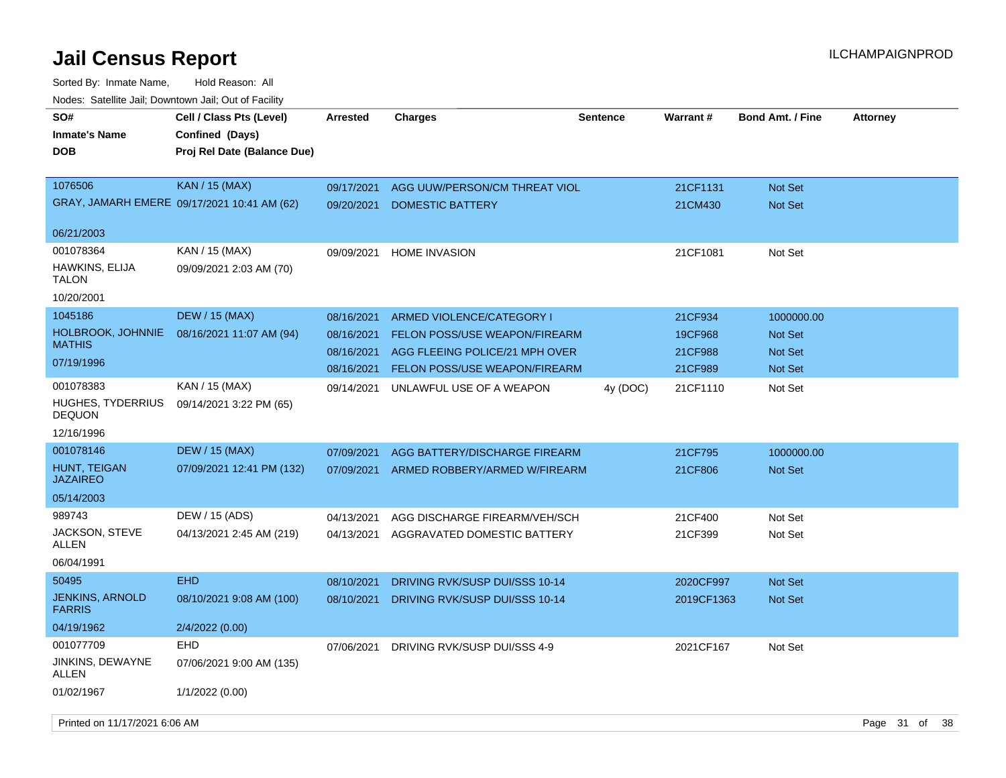| SO#<br><b>Inmate's Name</b><br><b>DOB</b> | Cell / Class Pts (Level)<br>Confined (Days)<br>Proj Rel Date (Balance Due) | <b>Arrested</b>          | <b>Charges</b>                                           | <b>Sentence</b> | <b>Warrant#</b>     | <b>Bond Amt. / Fine</b> | <b>Attorney</b>    |
|-------------------------------------------|----------------------------------------------------------------------------|--------------------------|----------------------------------------------------------|-----------------|---------------------|-------------------------|--------------------|
| 1076506                                   | <b>KAN</b> / 15 (MAX)<br>GRAY, JAMARH EMERE 09/17/2021 10:41 AM (62)       | 09/17/2021<br>09/20/2021 | AGG UUW/PERSON/CM THREAT VIOL<br><b>DOMESTIC BATTERY</b> |                 | 21CF1131<br>21CM430 | Not Set<br>Not Set      |                    |
| 06/21/2003                                |                                                                            |                          |                                                          |                 |                     |                         |                    |
| 001078364                                 | KAN / 15 (MAX)                                                             | 09/09/2021               | <b>HOME INVASION</b>                                     |                 | 21CF1081            | Not Set                 |                    |
| HAWKINS, ELIJA<br><b>TALON</b>            | 09/09/2021 2:03 AM (70)                                                    |                          |                                                          |                 |                     |                         |                    |
| 10/20/2001                                |                                                                            |                          |                                                          |                 |                     |                         |                    |
| 1045186                                   | <b>DEW / 15 (MAX)</b>                                                      | 08/16/2021               | ARMED VIOLENCE/CATEGORY I                                |                 | 21CF934             | 1000000.00              |                    |
| HOLBROOK, JOHNNIE                         | 08/16/2021 11:07 AM (94)                                                   | 08/16/2021               | FELON POSS/USE WEAPON/FIREARM                            |                 | 19CF968             | Not Set                 |                    |
| <b>MATHIS</b>                             |                                                                            | 08/16/2021               | AGG FLEEING POLICE/21 MPH OVER                           |                 | 21CF988             | Not Set                 |                    |
| 07/19/1996                                |                                                                            | 08/16/2021               | FELON POSS/USE WEAPON/FIREARM                            |                 | 21CF989             | <b>Not Set</b>          |                    |
| 001078383                                 | KAN / 15 (MAX)                                                             | 09/14/2021               | UNLAWFUL USE OF A WEAPON                                 | 4y (DOC)        | 21CF1110            | Not Set                 |                    |
| <b>HUGHES, TYDERRIUS</b><br><b>DEQUON</b> | 09/14/2021 3:22 PM (65)                                                    |                          |                                                          |                 |                     |                         |                    |
| 12/16/1996                                |                                                                            |                          |                                                          |                 |                     |                         |                    |
| 001078146                                 | <b>DEW / 15 (MAX)</b>                                                      | 07/09/2021               | AGG BATTERY/DISCHARGE FIREARM                            |                 | 21CF795             | 1000000.00              |                    |
| HUNT, TEIGAN<br><b>JAZAIREO</b>           | 07/09/2021 12:41 PM (132)                                                  | 07/09/2021               | ARMED ROBBERY/ARMED W/FIREARM                            |                 | 21CF806             | <b>Not Set</b>          |                    |
| 05/14/2003                                |                                                                            |                          |                                                          |                 |                     |                         |                    |
| 989743                                    | DEW / 15 (ADS)                                                             | 04/13/2021               | AGG DISCHARGE FIREARM/VEH/SCH                            |                 | 21CF400             | Not Set                 |                    |
| <b>JACKSON, STEVE</b><br>ALLEN            | 04/13/2021 2:45 AM (219)                                                   | 04/13/2021               | AGGRAVATED DOMESTIC BATTERY                              |                 | 21CF399             | Not Set                 |                    |
| 06/04/1991                                |                                                                            |                          |                                                          |                 |                     |                         |                    |
| 50495                                     | <b>EHD</b>                                                                 | 08/10/2021               | DRIVING RVK/SUSP DUI/SSS 10-14                           |                 | 2020CF997           | <b>Not Set</b>          |                    |
| <b>JENKINS, ARNOLD</b><br><b>FARRIS</b>   | 08/10/2021 9:08 AM (100)                                                   | 08/10/2021               | DRIVING RVK/SUSP DUI/SSS 10-14                           |                 | 2019CF1363          | <b>Not Set</b>          |                    |
| 04/19/1962                                | 2/4/2022 (0.00)                                                            |                          |                                                          |                 |                     |                         |                    |
| 001077709                                 | <b>EHD</b>                                                                 | 07/06/2021               | DRIVING RVK/SUSP DUI/SSS 4-9                             |                 | 2021CF167           | Not Set                 |                    |
| JINKINS, DEWAYNE<br><b>ALLEN</b>          | 07/06/2021 9:00 AM (135)                                                   |                          |                                                          |                 |                     |                         |                    |
| 01/02/1967                                | 1/1/2022 (0.00)                                                            |                          |                                                          |                 |                     |                         |                    |
| Printed on 11/17/2021 6:06 AM             |                                                                            |                          |                                                          |                 |                     |                         | Page 31 of<br>- 38 |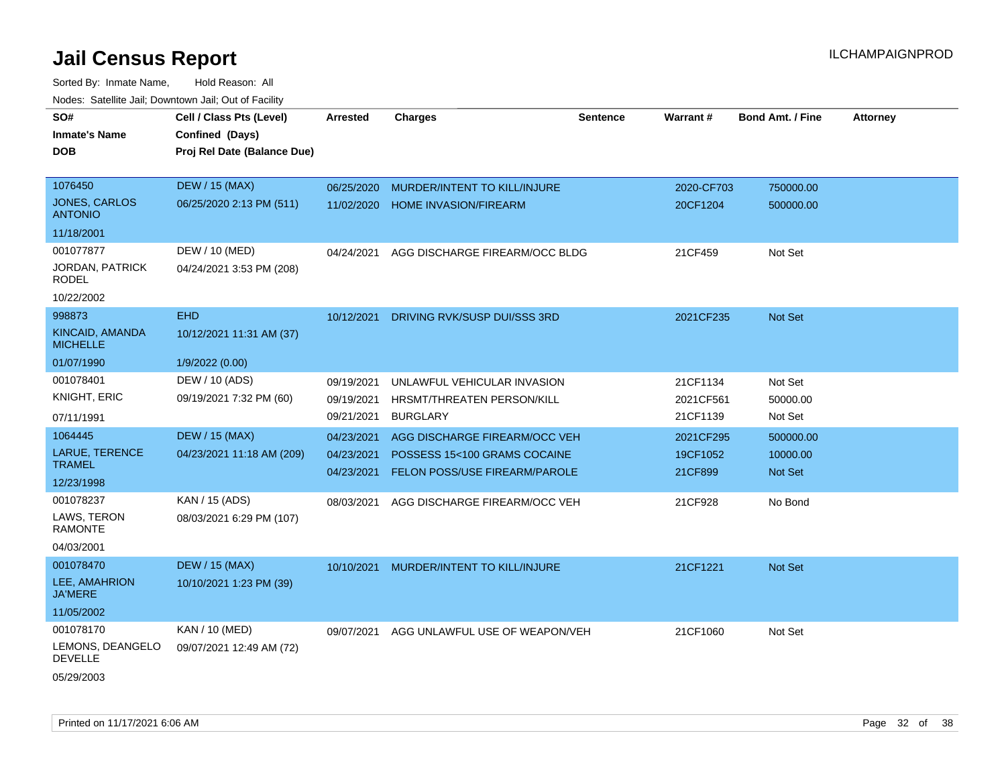| SO#<br><b>Inmate's Name</b>            | Cell / Class Pts (Level)<br>Confined (Days) | <b>Arrested</b>          | <b>Charges</b>                                                       | <b>Sentence</b> | Warrant#            | <b>Bond Amt. / Fine</b> | <b>Attorney</b> |
|----------------------------------------|---------------------------------------------|--------------------------|----------------------------------------------------------------------|-----------------|---------------------|-------------------------|-----------------|
| DOB                                    | Proj Rel Date (Balance Due)                 |                          |                                                                      |                 |                     |                         |                 |
| 1076450                                | <b>DEW / 15 (MAX)</b>                       | 06/25/2020               | MURDER/INTENT TO KILL/INJURE                                         |                 | 2020-CF703          | 750000.00               |                 |
| JONES, CARLOS<br><b>ANTONIO</b>        | 06/25/2020 2:13 PM (511)                    | 11/02/2020               | <b>HOME INVASION/FIREARM</b>                                         |                 | 20CF1204            | 500000.00               |                 |
| 11/18/2001                             |                                             |                          |                                                                      |                 |                     |                         |                 |
| 001077877                              | DEW / 10 (MED)                              | 04/24/2021               | AGG DISCHARGE FIREARM/OCC BLDG                                       |                 | 21CF459             | Not Set                 |                 |
| <b>JORDAN, PATRICK</b><br><b>RODEL</b> | 04/24/2021 3:53 PM (208)                    |                          |                                                                      |                 |                     |                         |                 |
| 10/22/2002                             |                                             |                          |                                                                      |                 |                     |                         |                 |
| 998873                                 | <b>EHD</b>                                  | 10/12/2021               | DRIVING RVK/SUSP DUI/SSS 3RD                                         |                 | 2021CF235           | Not Set                 |                 |
| KINCAID, AMANDA<br><b>MICHELLE</b>     | 10/12/2021 11:31 AM (37)                    |                          |                                                                      |                 |                     |                         |                 |
| 01/07/1990                             | 1/9/2022 (0.00)                             |                          |                                                                      |                 |                     |                         |                 |
| 001078401                              | DEW / 10 (ADS)                              | 09/19/2021               | UNLAWFUL VEHICULAR INVASION                                          |                 | 21CF1134            | Not Set                 |                 |
| KNIGHT, ERIC                           | 09/19/2021 7:32 PM (60)                     | 09/19/2021               | HRSMT/THREATEN PERSON/KILL                                           |                 | 2021CF561           | 50000.00                |                 |
| 07/11/1991                             |                                             | 09/21/2021               | <b>BURGLARY</b>                                                      |                 | 21CF1139            | Not Set                 |                 |
| 1064445                                | <b>DEW / 15 (MAX)</b>                       | 04/23/2021               | AGG DISCHARGE FIREARM/OCC VEH                                        |                 | 2021CF295           | 500000.00               |                 |
| <b>LARUE, TERENCE</b><br><b>TRAMEL</b> | 04/23/2021 11:18 AM (209)                   | 04/23/2021<br>04/23/2021 | POSSESS 15<100 GRAMS COCAINE<br><b>FELON POSS/USE FIREARM/PAROLE</b> |                 | 19CF1052<br>21CF899 | 10000.00<br>Not Set     |                 |
| 12/23/1998                             |                                             |                          |                                                                      |                 |                     |                         |                 |
| 001078237                              | KAN / 15 (ADS)                              | 08/03/2021               | AGG DISCHARGE FIREARM/OCC VEH                                        |                 | 21CF928             | No Bond                 |                 |
| LAWS, TERON<br><b>RAMONTE</b>          | 08/03/2021 6:29 PM (107)                    |                          |                                                                      |                 |                     |                         |                 |
| 04/03/2001                             |                                             |                          |                                                                      |                 |                     |                         |                 |
| 001078470                              | <b>DEW / 15 (MAX)</b>                       | 10/10/2021               | MURDER/INTENT TO KILL/INJURE                                         |                 | 21CF1221            | Not Set                 |                 |
| LEE, AMAHRION<br><b>JA'MERE</b>        | 10/10/2021 1:23 PM (39)                     |                          |                                                                      |                 |                     |                         |                 |
| 11/05/2002                             |                                             |                          |                                                                      |                 |                     |                         |                 |
| 001078170                              | KAN / 10 (MED)                              | 09/07/2021               | AGG UNLAWFUL USE OF WEAPON/VEH                                       |                 | 21CF1060            | Not Set                 |                 |
| LEMONS, DEANGELO<br><b>DEVELLE</b>     | 09/07/2021 12:49 AM (72)                    |                          |                                                                      |                 |                     |                         |                 |
| 05/29/2003                             |                                             |                          |                                                                      |                 |                     |                         |                 |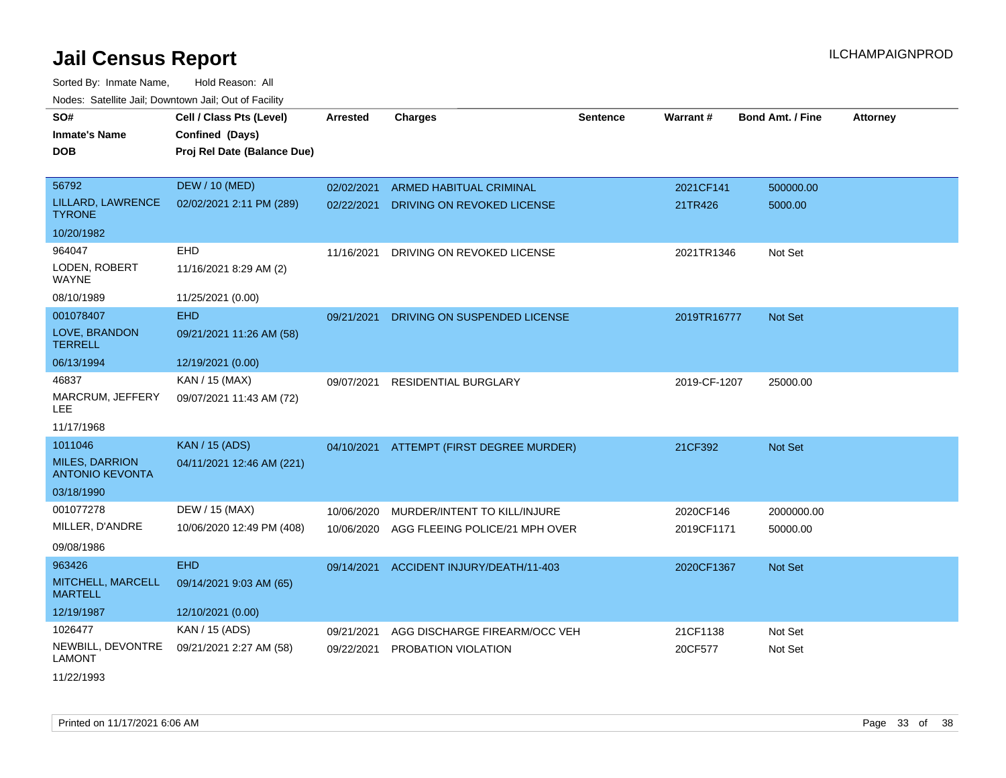Sorted By: Inmate Name, Hold Reason: All Nodes: Satellite Jail; Downtown Jail; Out of Facility

| SO#<br><b>Inmate's Name</b><br><b>DOB</b>       | Cell / Class Pts (Level)<br>Confined (Days)<br>Proj Rel Date (Balance Due) | Arrested   | <b>Charges</b>                 | <b>Sentence</b> | Warrant#     | <b>Bond Amt. / Fine</b> | <b>Attorney</b> |
|-------------------------------------------------|----------------------------------------------------------------------------|------------|--------------------------------|-----------------|--------------|-------------------------|-----------------|
|                                                 |                                                                            |            |                                |                 |              |                         |                 |
| 56792                                           | <b>DEW / 10 (MED)</b>                                                      | 02/02/2021 | ARMED HABITUAL CRIMINAL        |                 | 2021CF141    | 500000.00               |                 |
| LILLARD, LAWRENCE<br><b>TYRONE</b>              | 02/02/2021 2:11 PM (289)                                                   | 02/22/2021 | DRIVING ON REVOKED LICENSE     |                 | 21TR426      | 5000.00                 |                 |
| 10/20/1982                                      |                                                                            |            |                                |                 |              |                         |                 |
| 964047                                          | EHD                                                                        | 11/16/2021 | DRIVING ON REVOKED LICENSE     |                 | 2021TR1346   | Not Set                 |                 |
| LODEN, ROBERT<br><b>WAYNE</b>                   | 11/16/2021 8:29 AM (2)                                                     |            |                                |                 |              |                         |                 |
| 08/10/1989                                      | 11/25/2021 (0.00)                                                          |            |                                |                 |              |                         |                 |
| 001078407                                       | <b>EHD</b>                                                                 | 09/21/2021 | DRIVING ON SUSPENDED LICENSE   |                 | 2019TR16777  | <b>Not Set</b>          |                 |
| LOVE, BRANDON<br><b>TERRELL</b>                 | 09/21/2021 11:26 AM (58)                                                   |            |                                |                 |              |                         |                 |
| 06/13/1994                                      | 12/19/2021 (0.00)                                                          |            |                                |                 |              |                         |                 |
| 46837                                           | KAN / 15 (MAX)                                                             | 09/07/2021 | <b>RESIDENTIAL BURGLARY</b>    |                 | 2019-CF-1207 | 25000.00                |                 |
| MARCRUM, JEFFERY<br>LEE                         | 09/07/2021 11:43 AM (72)                                                   |            |                                |                 |              |                         |                 |
| 11/17/1968                                      |                                                                            |            |                                |                 |              |                         |                 |
| 1011046                                         | <b>KAN / 15 (ADS)</b>                                                      | 04/10/2021 | ATTEMPT (FIRST DEGREE MURDER)  |                 | 21CF392      | <b>Not Set</b>          |                 |
| <b>MILES, DARRION</b><br><b>ANTONIO KEVONTA</b> | 04/11/2021 12:46 AM (221)                                                  |            |                                |                 |              |                         |                 |
| 03/18/1990                                      |                                                                            |            |                                |                 |              |                         |                 |
| 001077278                                       | DEW / 15 (MAX)                                                             | 10/06/2020 | MURDER/INTENT TO KILL/INJURE   |                 | 2020CF146    | 2000000.00              |                 |
| MILLER, D'ANDRE                                 | 10/06/2020 12:49 PM (408)                                                  | 10/06/2020 | AGG FLEEING POLICE/21 MPH OVER |                 | 2019CF1171   | 50000.00                |                 |
| 09/08/1986                                      |                                                                            |            |                                |                 |              |                         |                 |
| 963426                                          | <b>EHD</b>                                                                 | 09/14/2021 | ACCIDENT INJURY/DEATH/11-403   |                 | 2020CF1367   | <b>Not Set</b>          |                 |
| MITCHELL, MARCELL<br><b>MARTELL</b>             | 09/14/2021 9:03 AM (65)                                                    |            |                                |                 |              |                         |                 |
| 12/19/1987                                      | 12/10/2021 (0.00)                                                          |            |                                |                 |              |                         |                 |
| 1026477                                         | KAN / 15 (ADS)                                                             | 09/21/2021 | AGG DISCHARGE FIREARM/OCC VEH  |                 | 21CF1138     | Not Set                 |                 |
| NEWBILL, DEVONTRE<br><b>LAMONT</b>              | 09/21/2021 2:27 AM (58)                                                    | 09/22/2021 | PROBATION VIOLATION            |                 | 20CF577      | Not Set                 |                 |

11/22/1993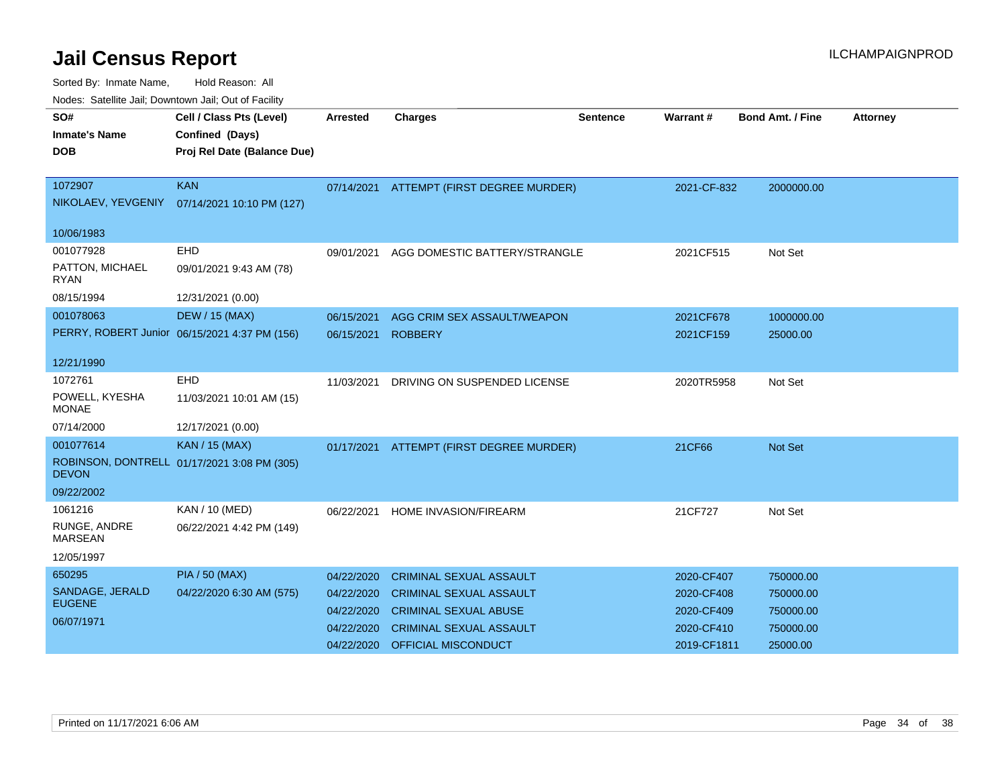Sorted By: Inmate Name, Hold Reason: All

|  | Nodes: Satellite Jail; Downtown Jail; Out of Facility |  |  |
|--|-------------------------------------------------------|--|--|
|  |                                                       |  |  |

| SO#                            | Cell / Class Pts (Level)                      | Arrested   | Charges                        | <b>Sentence</b> | Warrant#    | <b>Bond Amt. / Fine</b> | <b>Attorney</b> |
|--------------------------------|-----------------------------------------------|------------|--------------------------------|-----------------|-------------|-------------------------|-----------------|
| <b>Inmate's Name</b>           | Confined (Days)                               |            |                                |                 |             |                         |                 |
| <b>DOB</b>                     | Proj Rel Date (Balance Due)                   |            |                                |                 |             |                         |                 |
|                                |                                               |            |                                |                 |             |                         |                 |
| 1072907                        | <b>KAN</b>                                    | 07/14/2021 | ATTEMPT (FIRST DEGREE MURDER)  |                 | 2021-CF-832 | 2000000.00              |                 |
| NIKOLAEV, YEVGENIY             | 07/14/2021 10:10 PM (127)                     |            |                                |                 |             |                         |                 |
| 10/06/1983                     |                                               |            |                                |                 |             |                         |                 |
| 001077928                      | EHD                                           | 09/01/2021 | AGG DOMESTIC BATTERY/STRANGLE  |                 | 2021CF515   | Not Set                 |                 |
| PATTON, MICHAEL<br><b>RYAN</b> | 09/01/2021 9:43 AM (78)                       |            |                                |                 |             |                         |                 |
| 08/15/1994                     | 12/31/2021 (0.00)                             |            |                                |                 |             |                         |                 |
| 001078063                      | <b>DEW / 15 (MAX)</b>                         | 06/15/2021 | AGG CRIM SEX ASSAULT/WEAPON    |                 | 2021CF678   | 1000000.00              |                 |
|                                | PERRY, ROBERT Junior 06/15/2021 4:37 PM (156) | 06/15/2021 | <b>ROBBERY</b>                 |                 | 2021CF159   | 25000.00                |                 |
|                                |                                               |            |                                |                 |             |                         |                 |
| 12/21/1990                     |                                               |            |                                |                 |             |                         |                 |
| 1072761                        | EHD                                           | 11/03/2021 | DRIVING ON SUSPENDED LICENSE   |                 | 2020TR5958  | Not Set                 |                 |
| POWELL, KYESHA<br><b>MONAE</b> | 11/03/2021 10:01 AM (15)                      |            |                                |                 |             |                         |                 |
| 07/14/2000                     | 12/17/2021 (0.00)                             |            |                                |                 |             |                         |                 |
| 001077614                      | <b>KAN / 15 (MAX)</b>                         | 01/17/2021 | ATTEMPT (FIRST DEGREE MURDER)  |                 | 21CF66      | Not Set                 |                 |
| <b>DEVON</b>                   | ROBINSON, DONTRELL 01/17/2021 3:08 PM (305)   |            |                                |                 |             |                         |                 |
| 09/22/2002                     |                                               |            |                                |                 |             |                         |                 |
| 1061216                        | KAN / 10 (MED)                                | 06/22/2021 | HOME INVASION/FIREARM          |                 | 21CF727     | Not Set                 |                 |
| RUNGE, ANDRE<br><b>MARSEAN</b> | 06/22/2021 4:42 PM (149)                      |            |                                |                 |             |                         |                 |
| 12/05/1997                     |                                               |            |                                |                 |             |                         |                 |
| 650295                         | <b>PIA / 50 (MAX)</b>                         | 04/22/2020 | <b>CRIMINAL SEXUAL ASSAULT</b> |                 | 2020-CF407  | 750000.00               |                 |
| SANDAGE, JERALD                | 04/22/2020 6:30 AM (575)                      | 04/22/2020 | <b>CRIMINAL SEXUAL ASSAULT</b> |                 | 2020-CF408  | 750000.00               |                 |
| <b>EUGENE</b>                  |                                               | 04/22/2020 | <b>CRIMINAL SEXUAL ABUSE</b>   |                 | 2020-CF409  | 750000.00               |                 |
| 06/07/1971                     |                                               | 04/22/2020 | <b>CRIMINAL SEXUAL ASSAULT</b> |                 | 2020-CF410  | 750000.00               |                 |
|                                |                                               | 04/22/2020 | OFFICIAL MISCONDUCT            |                 | 2019-CF1811 | 25000.00                |                 |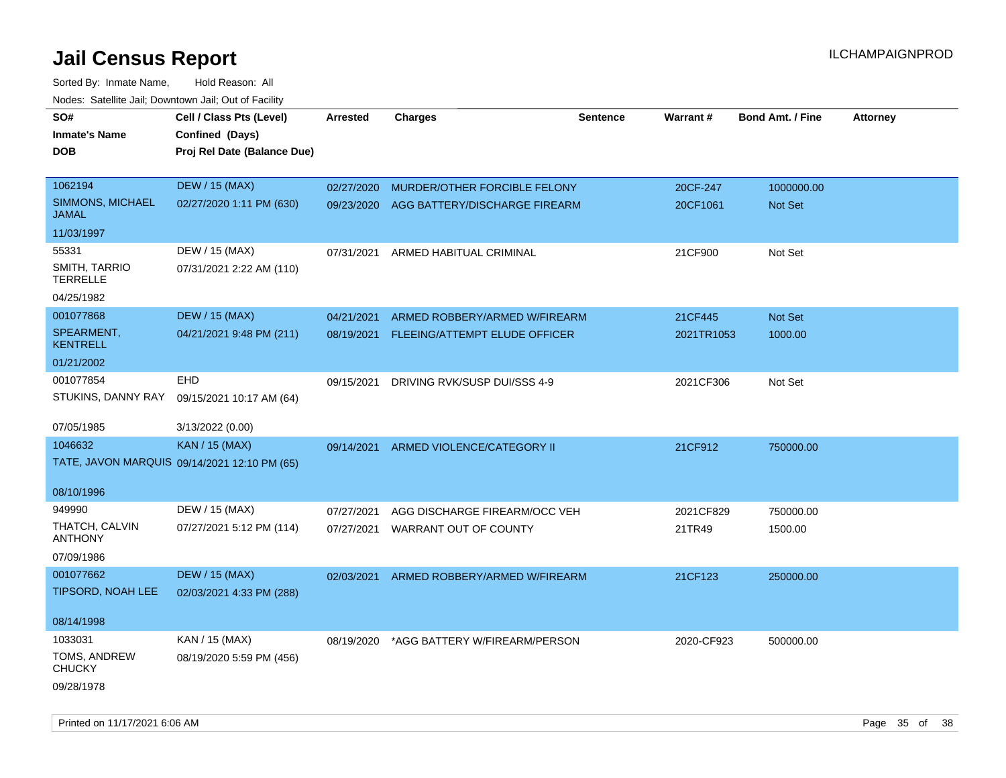| SO#                              | Cell / Class Pts (Level)                     | <b>Arrested</b> | <b>Charges</b>                           | <b>Sentence</b> | Warrant#   | <b>Bond Amt. / Fine</b> | <b>Attorney</b> |
|----------------------------------|----------------------------------------------|-----------------|------------------------------------------|-----------------|------------|-------------------------|-----------------|
| Inmate's Name                    | Confined (Days)                              |                 |                                          |                 |            |                         |                 |
| DOB                              | Proj Rel Date (Balance Due)                  |                 |                                          |                 |            |                         |                 |
|                                  |                                              |                 |                                          |                 |            |                         |                 |
| 1062194                          | <b>DEW / 15 (MAX)</b>                        | 02/27/2020      | MURDER/OTHER FORCIBLE FELONY             |                 | 20CF-247   | 1000000.00              |                 |
| SIMMONS, MICHAEL<br><b>JAMAL</b> | 02/27/2020 1:11 PM (630)                     |                 | 09/23/2020 AGG BATTERY/DISCHARGE FIREARM |                 | 20CF1061   | Not Set                 |                 |
| 11/03/1997                       |                                              |                 |                                          |                 |            |                         |                 |
| 55331                            | DEW / 15 (MAX)                               | 07/31/2021      | ARMED HABITUAL CRIMINAL                  |                 | 21CF900    | Not Set                 |                 |
| SMITH, TARRIO<br><b>TERRELLE</b> | 07/31/2021 2:22 AM (110)                     |                 |                                          |                 |            |                         |                 |
| 04/25/1982                       |                                              |                 |                                          |                 |            |                         |                 |
| 001077868                        | <b>DEW / 15 (MAX)</b>                        | 04/21/2021      | ARMED ROBBERY/ARMED W/FIREARM            |                 | 21CF445    | Not Set                 |                 |
| SPEARMENT,<br><b>KENTRELL</b>    | 04/21/2021 9:48 PM (211)                     | 08/19/2021      | FLEEING/ATTEMPT ELUDE OFFICER            |                 | 2021TR1053 | 1000.00                 |                 |
| 01/21/2002                       |                                              |                 |                                          |                 |            |                         |                 |
| 001077854                        | <b>EHD</b>                                   | 09/15/2021      | DRIVING RVK/SUSP DUI/SSS 4-9             |                 | 2021CF306  | Not Set                 |                 |
| STUKINS, DANNY RAY               | 09/15/2021 10:17 AM (64)                     |                 |                                          |                 |            |                         |                 |
| 07/05/1985                       | 3/13/2022 (0.00)                             |                 |                                          |                 |            |                         |                 |
| 1046632                          | KAN / 15 (MAX)                               | 09/14/2021      | ARMED VIOLENCE/CATEGORY II               |                 | 21CF912    | 750000.00               |                 |
|                                  | TATE, JAVON MARQUIS 09/14/2021 12:10 PM (65) |                 |                                          |                 |            |                         |                 |
| 08/10/1996                       |                                              |                 |                                          |                 |            |                         |                 |
| 949990                           | DEW / 15 (MAX)                               | 07/27/2021      | AGG DISCHARGE FIREARM/OCC VEH            |                 | 2021CF829  | 750000.00               |                 |
| THATCH, CALVIN<br><b>ANTHONY</b> | 07/27/2021 5:12 PM (114)                     |                 | 07/27/2021 WARRANT OUT OF COUNTY         |                 | 21TR49     | 1500.00                 |                 |
| 07/09/1986                       |                                              |                 |                                          |                 |            |                         |                 |
| 001077662                        | <b>DEW / 15 (MAX)</b>                        | 02/03/2021      | ARMED ROBBERY/ARMED W/FIREARM            |                 | 21CF123    | 250000.00               |                 |
| TIPSORD, NOAH LEE                | 02/03/2021 4:33 PM (288)                     |                 |                                          |                 |            |                         |                 |
| 08/14/1998                       |                                              |                 |                                          |                 |            |                         |                 |
| 1033031                          | KAN / 15 (MAX)                               | 08/19/2020      | *AGG BATTERY W/FIREARM/PERSON            |                 | 2020-CF923 | 500000.00               |                 |
| TOMS, ANDREW<br><b>CHUCKY</b>    | 08/19/2020 5:59 PM (456)                     |                 |                                          |                 |            |                         |                 |
| 09/28/1978                       |                                              |                 |                                          |                 |            |                         |                 |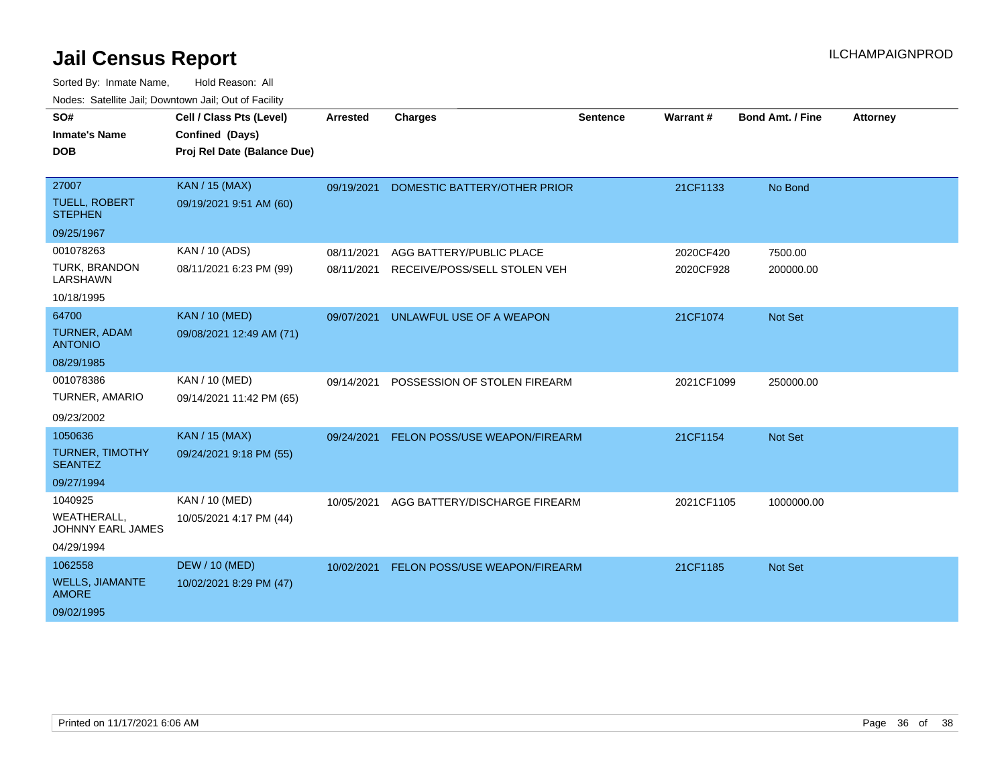| SO#                                            | Cell / Class Pts (Level)    | <b>Arrested</b> | <b>Charges</b>                       | <b>Sentence</b> | Warrant#   | <b>Bond Amt. / Fine</b> | <b>Attorney</b> |
|------------------------------------------------|-----------------------------|-----------------|--------------------------------------|-----------------|------------|-------------------------|-----------------|
| <b>Inmate's Name</b>                           | Confined (Days)             |                 |                                      |                 |            |                         |                 |
| <b>DOB</b>                                     | Proj Rel Date (Balance Due) |                 |                                      |                 |            |                         |                 |
|                                                |                             |                 |                                      |                 |            |                         |                 |
| 27007                                          | <b>KAN / 15 (MAX)</b>       | 09/19/2021      | DOMESTIC BATTERY/OTHER PRIOR         |                 | 21CF1133   | No Bond                 |                 |
| <b>TUELL, ROBERT</b><br><b>STEPHEN</b>         | 09/19/2021 9:51 AM (60)     |                 |                                      |                 |            |                         |                 |
| 09/25/1967                                     |                             |                 |                                      |                 |            |                         |                 |
| 001078263                                      | KAN / 10 (ADS)              | 08/11/2021      | AGG BATTERY/PUBLIC PLACE             |                 | 2020CF420  | 7500.00                 |                 |
| <b>TURK, BRANDON</b><br>LARSHAWN               | 08/11/2021 6:23 PM (99)     | 08/11/2021      | RECEIVE/POSS/SELL STOLEN VEH         |                 | 2020CF928  | 200000.00               |                 |
| 10/18/1995                                     |                             |                 |                                      |                 |            |                         |                 |
| 64700                                          | <b>KAN / 10 (MED)</b>       | 09/07/2021      | UNLAWFUL USE OF A WEAPON             |                 | 21CF1074   | <b>Not Set</b>          |                 |
| <b>TURNER, ADAM</b><br><b>ANTONIO</b>          | 09/08/2021 12:49 AM (71)    |                 |                                      |                 |            |                         |                 |
| 08/29/1985                                     |                             |                 |                                      |                 |            |                         |                 |
| 001078386                                      | KAN / 10 (MED)              | 09/14/2021      | POSSESSION OF STOLEN FIREARM         |                 | 2021CF1099 | 250000.00               |                 |
| TURNER, AMARIO                                 | 09/14/2021 11:42 PM (65)    |                 |                                      |                 |            |                         |                 |
| 09/23/2002                                     |                             |                 |                                      |                 |            |                         |                 |
| 1050636                                        | <b>KAN / 15 (MAX)</b>       | 09/24/2021      | <b>FELON POSS/USE WEAPON/FIREARM</b> |                 | 21CF1154   | <b>Not Set</b>          |                 |
| TURNER, TIMOTHY<br><b>SEANTEZ</b>              | 09/24/2021 9:18 PM (55)     |                 |                                      |                 |            |                         |                 |
| 09/27/1994                                     |                             |                 |                                      |                 |            |                         |                 |
| 1040925                                        | KAN / 10 (MED)              | 10/05/2021      | AGG BATTERY/DISCHARGE FIREARM        |                 | 2021CF1105 | 1000000.00              |                 |
| <b>WEATHERALL,</b><br><b>JOHNNY EARL JAMES</b> | 10/05/2021 4:17 PM (44)     |                 |                                      |                 |            |                         |                 |
| 04/29/1994                                     |                             |                 |                                      |                 |            |                         |                 |
| 1062558                                        | <b>DEW / 10 (MED)</b>       | 10/02/2021      | FELON POSS/USE WEAPON/FIREARM        |                 | 21CF1185   | <b>Not Set</b>          |                 |
| <b>WELLS, JIAMANTE</b><br><b>AMORE</b>         | 10/02/2021 8:29 PM (47)     |                 |                                      |                 |            |                         |                 |
| 09/02/1995                                     |                             |                 |                                      |                 |            |                         |                 |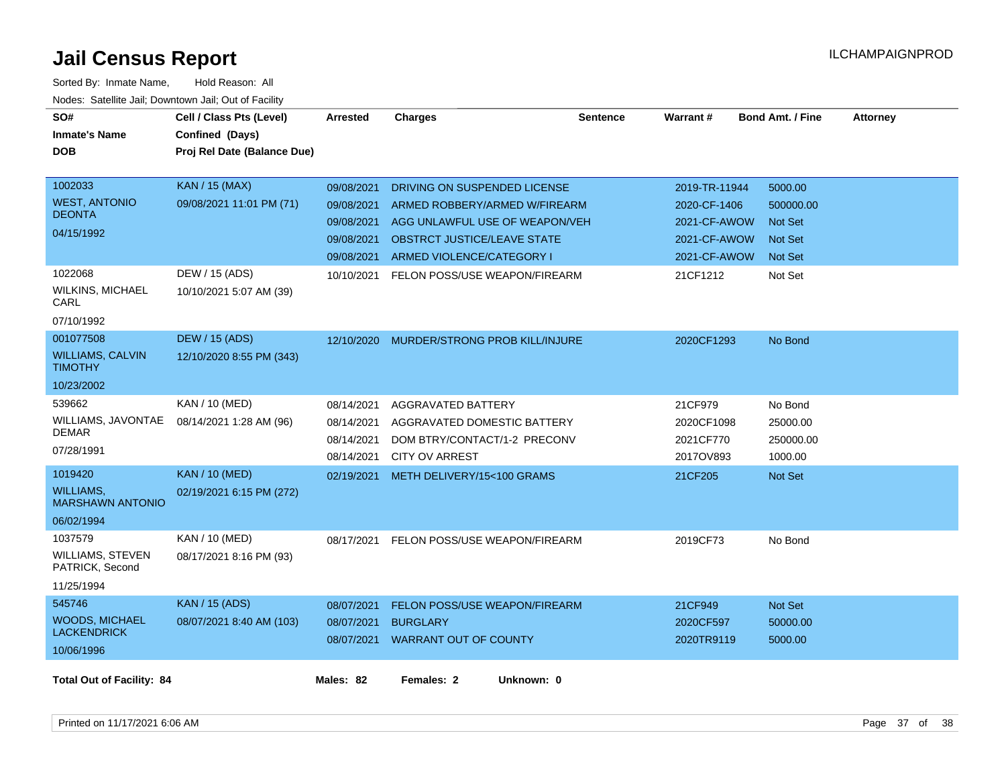| SO#<br><b>Inmate's Name</b>                 | Cell / Class Pts (Level)<br>Confined (Days) | <b>Arrested</b> | <b>Charges</b>                     | <b>Sentence</b> | Warrant#      | <b>Bond Amt. / Fine</b> | <b>Attorney</b> |
|---------------------------------------------|---------------------------------------------|-----------------|------------------------------------|-----------------|---------------|-------------------------|-----------------|
| <b>DOB</b>                                  | Proj Rel Date (Balance Due)                 |                 |                                    |                 |               |                         |                 |
|                                             |                                             |                 |                                    |                 |               |                         |                 |
| 1002033                                     | <b>KAN / 15 (MAX)</b>                       | 09/08/2021      | DRIVING ON SUSPENDED LICENSE       |                 | 2019-TR-11944 | 5000.00                 |                 |
| <b>WEST, ANTONIO</b><br><b>DEONTA</b>       | 09/08/2021 11:01 PM (71)                    | 09/08/2021      | ARMED ROBBERY/ARMED W/FIREARM      |                 | 2020-CF-1406  | 500000.00               |                 |
| 04/15/1992                                  |                                             | 09/08/2021      | AGG UNLAWFUL USE OF WEAPON/VEH     |                 | 2021-CF-AWOW  | <b>Not Set</b>          |                 |
|                                             |                                             | 09/08/2021      | <b>OBSTRCT JUSTICE/LEAVE STATE</b> |                 | 2021-CF-AWOW  | <b>Not Set</b>          |                 |
|                                             |                                             | 09/08/2021      | ARMED VIOLENCE/CATEGORY I          |                 | 2021-CF-AWOW  | <b>Not Set</b>          |                 |
| 1022068                                     | DEW / 15 (ADS)                              | 10/10/2021      | FELON POSS/USE WEAPON/FIREARM      |                 | 21CF1212      | Not Set                 |                 |
| <b>WILKINS, MICHAEL</b><br>CARL             | 10/10/2021 5:07 AM (39)                     |                 |                                    |                 |               |                         |                 |
| 07/10/1992                                  |                                             |                 |                                    |                 |               |                         |                 |
| 001077508                                   | <b>DEW / 15 (ADS)</b>                       | 12/10/2020      | MURDER/STRONG PROB KILL/INJURE     |                 | 2020CF1293    | No Bond                 |                 |
| <b>WILLIAMS, CALVIN</b><br><b>TIMOTHY</b>   | 12/10/2020 8:55 PM (343)                    |                 |                                    |                 |               |                         |                 |
| 10/23/2002                                  |                                             |                 |                                    |                 |               |                         |                 |
| 539662                                      | KAN / 10 (MED)                              | 08/14/2021      | <b>AGGRAVATED BATTERY</b>          |                 | 21CF979       | No Bond                 |                 |
| WILLIAMS, JAVONTAE                          | 08/14/2021 1:28 AM (96)                     | 08/14/2021      | AGGRAVATED DOMESTIC BATTERY        |                 | 2020CF1098    | 25000.00                |                 |
| <b>DEMAR</b>                                |                                             | 08/14/2021      | DOM BTRY/CONTACT/1-2 PRECONV       |                 | 2021CF770     | 250000.00               |                 |
| 07/28/1991                                  |                                             | 08/14/2021      | <b>CITY OV ARREST</b>              |                 | 2017OV893     | 1000.00                 |                 |
| 1019420                                     | <b>KAN / 10 (MED)</b>                       | 02/19/2021      | METH DELIVERY/15<100 GRAMS         |                 | 21CF205       | <b>Not Set</b>          |                 |
| <b>WILLIAMS,</b><br><b>MARSHAWN ANTONIO</b> | 02/19/2021 6:15 PM (272)                    |                 |                                    |                 |               |                         |                 |
| 06/02/1994                                  |                                             |                 |                                    |                 |               |                         |                 |
| 1037579                                     | KAN / 10 (MED)                              | 08/17/2021      | FELON POSS/USE WEAPON/FIREARM      |                 | 2019CF73      | No Bond                 |                 |
| WILLIAMS, STEVEN<br>PATRICK, Second         | 08/17/2021 8:16 PM (93)                     |                 |                                    |                 |               |                         |                 |
| 11/25/1994                                  |                                             |                 |                                    |                 |               |                         |                 |
| 545746                                      | <b>KAN / 15 (ADS)</b>                       | 08/07/2021      | FELON POSS/USE WEAPON/FIREARM      |                 | 21CF949       | Not Set                 |                 |
| <b>WOODS, MICHAEL</b><br><b>LACKENDRICK</b> | 08/07/2021 8:40 AM (103)                    | 08/07/2021      | <b>BURGLARY</b>                    |                 | 2020CF597     | 50000.00                |                 |
|                                             |                                             | 08/07/2021      | WARRANT OUT OF COUNTY              |                 | 2020TR9119    | 5000.00                 |                 |
| 10/06/1996                                  |                                             |                 |                                    |                 |               |                         |                 |
| <b>Total Out of Facility: 84</b>            |                                             | Males: 82       | Females: 2<br>Unknown: 0           |                 |               |                         |                 |